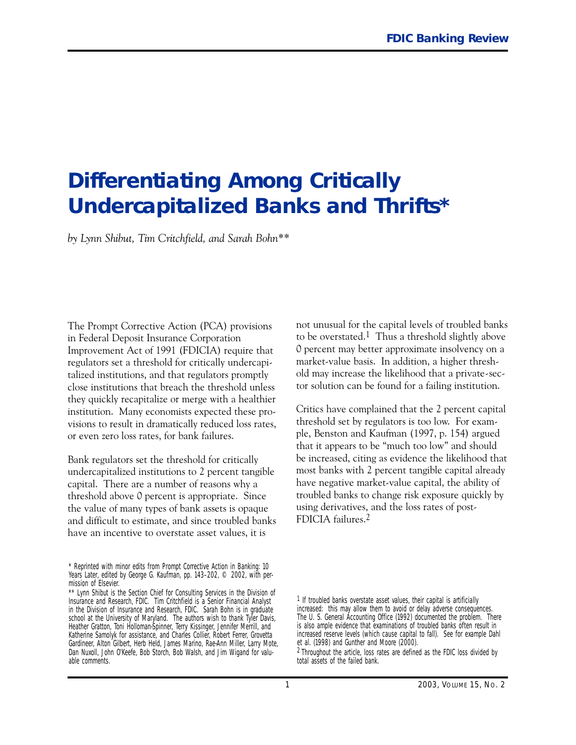# **Differentiating Among Critically Undercapitalized Banks and Thrifts\***

*by Lynn Shibut, Tim Critchfield, and Sarah Bohn\*\**

The Prompt Corrective Action (PCA) provisions in Federal Deposit Insurance Corporation Improvement Act of 1991 (FDICIA) require that regulators set a threshold for critically undercapitalized institutions, and that regulators promptly close institutions that breach the threshold unless they quickly recapitalize or merge with a healthier institution. Many economists expected these provisions to result in dramatically reduced loss rates, or even zero loss rates, for bank failures.

Bank regulators set the threshold for critically undercapitalized institutions to 2 percent tangible capital. There are a number of reasons why a threshold above O percent is appropriate. Since the value of many types of bank assets is opaque and difficult to estimate, and since troubled banks have an incentive to overstate asset values, it is

not unusual for the capital levels of troubled banks to be overstated.<sup>1</sup> Thus a threshold slightly above O percent may better approximate insolvency on a market-value basis. In addition, a higher threshold may increase the likelihood that a private-sector solution can be found for a failing institution.

Critics have complained that the 2 percent capital threshold set by regulators is too low. For example, Benston and Kaufman (1997, p. 154) argued that it appears to be "much too low" and should be increased, citing as evidence the likelihood that most banks with 2 percent tangible capital already have negative market-value capital, the ability of troubled banks to change risk exposure quickly by using derivatives, and the loss rates of post-FDICIA failures.2

 mission of Elsevier. \* Reprinted with minor edits from *Prompt Corrective Action in Banking: 10 Years Later*, edited by George G. Kaufman, pp. 143–202, © 2002, with per-

<sup>\*\*</sup> Lynn Shibut is the Section Chief for Consulting Services in the Division of Insurance and Research, FDIC. Tim Critchfield is a Senior Financial Analyst in the Division of Insurance and Research, FDIC. Sarah Bohn is in graduate school at the University of Maryland. The authors wish to thank Tyler Davis, Heather Gratton, Toni Holloman-Spinner, Terry Kissinger, Jennifer Merrill, and Katherine Samolyk for assistance, and Charles Collier, Robert Ferrer, Grovetta Gardineer, Alton Gilbert, Herb Held, James Marino, Rae-Ann Miller, Larry Mote, Dan Nuxoll, John O'Keefe, Bob Storch, Bob Walsh, and Jim Wigand for valuable comments.

<sup>1</sup> If troubled banks overstate asset values, their capital is artificially increased: this may allow them to avoid or delay adverse consequences. The U. S. General Accounting Office (1992) documented the problem. There is also ample evidence that examinations of troubled banks often result in increased reserve levels (which cause capital to fall). See for example Dahl et al. (1998) and Gunther and Moore (2000).

<sup>2</sup> Throughout the article, loss rates are defined as the FDIC loss divided by total assets of the failed bank.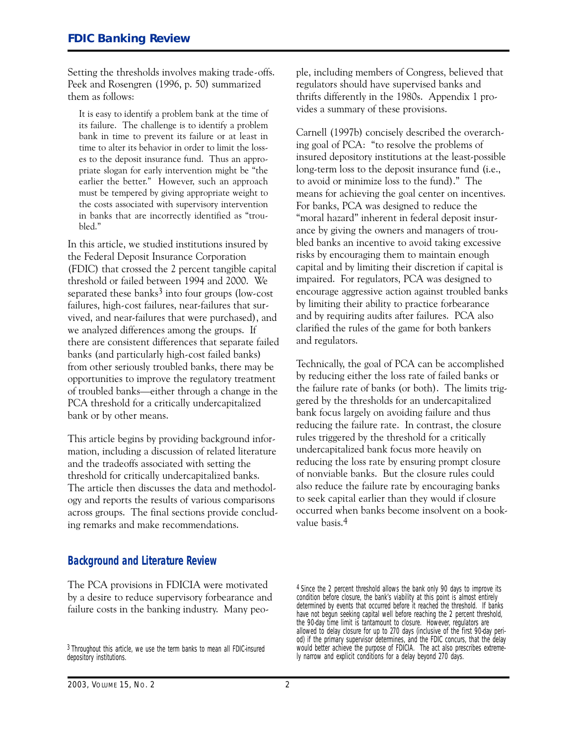Setting the thresholds involves making trade-offs. Peek and Rosengren (1996, p. 5O) summarized them as follows:

It is easy to identify a problem bank at the time of its failure. The challenge is to identify a problem bank in time to prevent its failure or at least in time to alter its behavior in order to limit the losses to the deposit insurance fund. Thus an appropriate slogan for early intervention might be "the earlier the better." However, such an approach must be tempered by giving appropriate weight to the costs associated with supervisory intervention in banks that are incorrectly identified as "troubled."

In this article, we studied institutions insured by the Federal Deposit Insurance Corporation (FDIC) that crossed the 2 percent tangible capital threshold or failed between 1994 and 2OOO. We separated these banks $3$  into four groups (low-cost failures, high-cost failures, near-failures that survived, and near-failures that were purchased), and we analyzed differences among the groups. If there are consistent differences that separate failed banks (and particularly high-cost failed banks) from other seriously troubled banks, there may be opportunities to improve the regulatory treatment of troubled banks-either through a change in the PCA threshold for a critically undercapitalized bank or by other means.

This article begins by providing background information, including a discussion of related literature and the tradeoffs associated with setting the threshold for critically undercapitalized banks. The article then discusses the data and methodology and reports the results of various comparisons across groups. The final sections provide concluding remarks and make recommendations.

ple, including members of Congress, believed that regulators should have supervised banks and thrifts differently in the 198Os. Appendix 1 provides a summary of these provisions.

 ing goal of PCA: "to resolve the problems of and by requiring audits after failures. PCA also Carnell (1997b) concisely described the overarchinsured depository institutions at the least-possible long-term loss to the deposit insurance fund (i.e., to avoid or minimize loss to the fund)." The means for achieving the goal center on incentives. For banks, PCA was designed to reduce the "moral hazard" inherent in federal deposit insurance by giving the owners and managers of troubled banks an incentive to avoid taking excessive risks by encouraging them to maintain enough capital and by limiting their discretion if capital is impaired. For regulators, PCA was designed to encourage aggressive action against troubled banks by limiting their ability to practice forbearance clarified the rules of the game for both bankers and regulators.

Technically, the goal of PCA can be accomplished by reducing either the loss rate of failed banks or the failure rate of banks (or both). The limits triggered by the thresholds for an undercapitalized bank focus largely on avoiding failure and thus reducing the failure rate. In contrast, the closure rules triggered by the threshold for a critically undercapitalized bank focus more heavily on reducing the loss rate by ensuring prompt closure of nonviable banks. But the closure rules could also reduce the failure rate by encouraging banks to seek capital earlier than they would if closure occurred when banks become insolvent on a bookvalue basis.4

#### **Background and Literature Review**

The PCA provisions in FDICIA were motivated by a desire to reduce supervisory forbearance and failure costs in the banking industry. Many peo-

4 Since the 2 percent threshold allows the bank only 90 days to improve its condition before closure, the bank's viability at this point is almost entirely determined by events that occurred before it reached the threshold. If banks have not begun seeking capital well before reaching the 2 percent threshold, the 90-day time limit is tantamount to closure. However, regulators are allowed to delay closure for up to 270 days (inclusive of the first 90-day period) if the primary supervisor determines, and the FDIC concurs, that the delay would better achieve the purpose of FDICIA. The act also prescribes extremely narrow and explicit conditions for a delay beyond 270 days.

<sup>3</sup> Throughout this article, we use the term banks to mean all FDIC-insured depository institutions.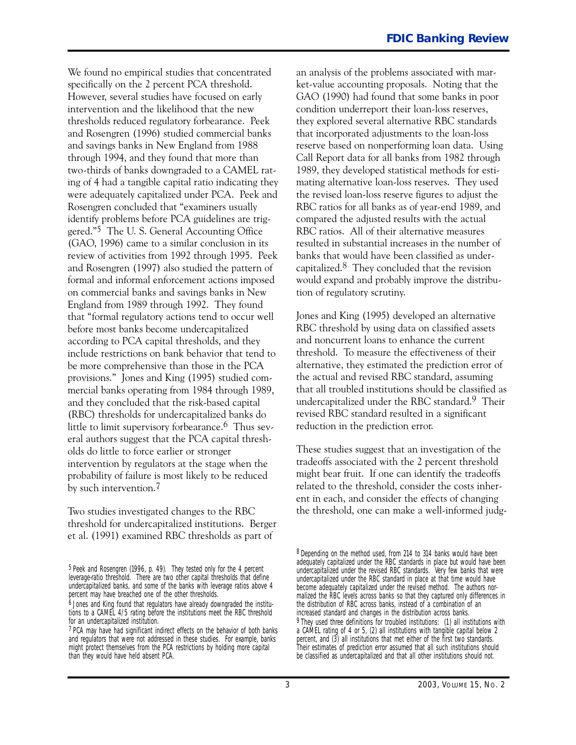We found no empirical studies that concentrated specifically on the 2 percent PCA threshold. However, several studies have focused on early intervention and the likelihood that the new thresholds reduced regulatory forbearance. Peek and Rosengren (1996) studied commercial banks and savings banks in New England from 1988 through 1994, and they found that more than two-thirds of banks downgraded to a CAMEL rating of 4 had a tangible capital ratio indicating they were adequately capitalized under PCA. Peek and Rosengren concluded that "examiners usually identify problems before PCA guidelines are triggered."5 The U. S. General Accounting Office (GAO, 1996) came to a similar conclusion in its review of activities from 1992 through 1995. Peek and Rosengren (1997) also studied the pattern of formal and informal enforcement actions imposed on commercial banks and savings banks in New England from 1989 through 1992. They found that "formal regulatory actions tend to occur well before most banks become undercapitalized according to PCA capital thresholds, and they include restrictions on bank behavior that tend to be more comprehensive than those in the PCA provisions." Jones and King (1995) studied commercial banks operating from 1984 through 1989, and they concluded that the risk-based capital (RBC) thresholds for undercapitalized banks do little to limit supervisory forbearance.<sup>6</sup> Thus several authors suggest that the PCA capital thresholds do little to force earlier or stronger intervention by regulators at the stage when the probability of failure is most likely to be reduced by such intervention.7

Two studies investigated changes to the RBC threshold for undercapitalized institutions. Berger et al. (1991) examined RBC thresholds as part of

an analysis of the problems associated with market-value accounting proposals. Noting that the GAO (199O) had found that some banks in poor condition underreport their loan-loss reserves, they explored several alternative RBC standards that incorporated adjustments to the loan-loss reserve based on nonperforming loan data. Using Call Report data for all banks from 1982 through 1989, they developed statistical methods for estimating alternative loan-loss reserves. They used the revised loan-loss reserve figures to adjust the RBC ratios for all banks as of year-end 1989, and compared the adjusted results with the actual RBC ratios. All of their alternative measures resulted in substantial increases in the number of banks that would have been classified as undercapitalized. $8$  They concluded that the revision would expand and probably improve the distribution of regulatory scrutiny.

Jones and King (1995) developed an alternative RBC threshold by using data on classified assets and noncurrent loans to enhance the current threshold. To measure the effectiveness of their alternative, they estimated the prediction error of the actual and revised RBC standard, assuming that all troubled institutions should be classified as undercapitalized under the RBC standard.9 Their revised RBC standard resulted in a significant reduction in the prediction error.

These studies suggest that an investigation of the tradeoffs associated with the 2 percent threshold might bear fruit. If one can identify the tradeoffs related to the threshold, consider the costs inherent in each, and consider the effects of changing the threshold, one can make a well-informed judg-

<sup>5</sup> Peek and Rosengren (1996, p. 49). They tested only for the 4 percent leverage-ratio threshold. There are two other capital thresholds that define undercapitalized banks, and some of the banks with leverage ratios above 4 percent may have breached one of the other thresholds.

<sup>6</sup> Jones and King found that regulators have already downgraded the institutions to a CAMEL 4/5 rating before the institutions meet the RBC threshold for an undercapitalized institution.

<sup>7</sup> PCA may have had significant indirect effects on the behavior of both banks and regulators that were not addressed in these studies. For example, banks might protect themselves from the PCA restrictions by holding more capital than they would have held absent PCA.

<sup>8</sup> Depending on the method used, from 214 to 314 banks would have been adequately capitalized under the RBC standards in place but would have been undercapitalized under the revised RBC standards. Very few banks that were undercapitalized under the RBC standard in place at that time would have become adequately capitalized under the revised method. The authors normalized the RBC levels across banks so that they captured only differences in the distribution of RBC across banks, instead of a combination of an increased standard and changes in the distribution across banks. 9 They used three definitions for troubled institutions: (1) all institutions with a CAMEL rating of 4 or 5, (2) all institutions with tangible capital below 2 percent, and (3) all institutions that met either of the first two standards. Their estimates of prediction error assumed that all such institutions should be classified as undercapitalized and that all other institutions should not.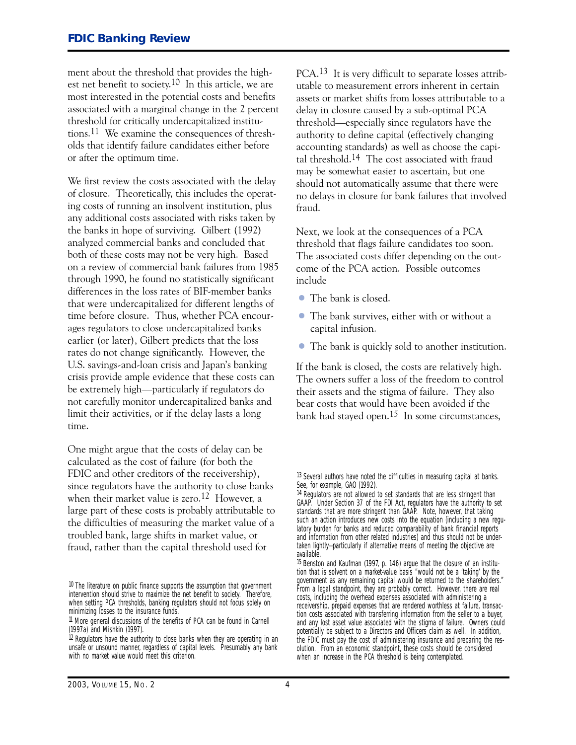ment about the threshold that provides the highest net benefit to society.1O In this article, we are most interested in the potential costs and benefits associated with a marginal change in the 2 percent threshold for critically undercapitalized institutions.11 We examine the consequences of thresholds that identify failure candidates either before or after the optimum time.

 the banks in hope of surviving. Gilbert (1992) We first review the costs associated with the delay of closure. Theoretically, this includes the operating costs of running an insolvent institution, plus any additional costs associated with risks taken by analyzed commercial banks and concluded that both of these costs may not be very high. Based on a review of commercial bank failures from 1985 through 199O, he found no statistically significant differences in the loss rates of BIF-member banks that were undercapitalized for different lengths of time before closure. Thus, whether PCA encourages regulators to close undercapitalized banks earlier (or later), Gilbert predicts that the loss rates do not change significantly. However, the U.S. savings-and-loan crisis and Japan's banking crisis provide ample evidence that these costs can be extremely high-particularly if regulators do not carefully monitor undercapitalized banks and limit their activities, or if the delay lasts a long time.

One might argue that the costs of delay can be calculated as the cost of failure (for both the FDIC and other creditors of the receivership), since regulators have the authority to close banks when their market value is zero.<sup>12</sup> However, a large part of these costs is probably attributable to the difficulties of measuring the market value of a troubled bank, large shifts in market value, or fraud, rather than the capital threshold used for

PCA.13 It is very difficult to separate losses attributable to measurement errors inherent in certain assets or market shifts from losses attributable to a delay in closure caused by a sub-optimal PCA threshold-especially since regulators have the authority to define capital (effectively changing accounting standards) as well as choose the capital threshold.14 The cost associated with fraud may be somewhat easier to ascertain, but one should not automatically assume that there were no delays in closure for bank failures that involved fraud.

Next, we look at the consequences of a PCA threshold that flags failure candidates too soon. The associated costs differ depending on the outcome of the PCA action. Possible outcomes include

- The bank is closed.
- The bank survives, either with or without a capital infusion.
- The bank is quickly sold to another institution.

If the bank is closed, the costs are relatively high. The owners suffer a loss of the freedom to control their assets and the stigma of failure. They also bear costs that would have been avoided if the bank had stayed open.15 In some circumstances,

<sup>&</sup>lt;sup>10</sup> The literature on public finance supports the assumption that government intervention should strive to maximize the net benefit to society. Therefore, when setting PCA thresholds, banking regulators should not focus solely on minimizing losses to the insurance funds.

<sup>11</sup> More general discussions of the benefits of PCA can be found in Carnell (1997a) and Mishkin (1997).

<sup>&</sup>lt;sup>12</sup> Regulators have the authority to close banks when they are operating in an unsafe or unsound manner, regardless of capital levels. Presumably any bank with no market value would meet this criterion.

<sup>&</sup>lt;sup>13</sup> Several authors have noted the difficulties in measuring capital at banks. See, for example, GAO (1992).

<sup>&</sup>lt;sup>14</sup> Regulators are not allowed to set standards that are less stringent than GAAP. Under Section 37 of the FDI Act, regulators have the authority to set standards that are more stringent than GAAP. Note, however, that taking such an action introduces new costs into the equation (including a new regulatory burden for banks and reduced comparability of bank financial reports and information from other related industries) and thus should not be undertaken lightly—particularly if alternative means of meeting the objective are available.

<sup>15</sup> Benston and Kaufman (1997, p. 146) argue that the closure of an institution that is solvent on a market-value basis "would not be a 'taking' by the government as any remaining capital would be returned to the shareholders." From a legal standpoint, they are probably correct. However, there are real costs, including the overhead expenses associated with administering a receivership, prepaid expenses that are rendered worthless at failure, transaction costs associated with transferring information from the seller to a buyer, and any lost asset value associated with the stigma of failure. Owners could potentially be subject to a Directors and Officers claim as well. In addition, the FDIC must pay the cost of administering insurance and preparing the resolution. From an economic standpoint, these costs should be considered when an increase in the PCA threshold is being contemplated.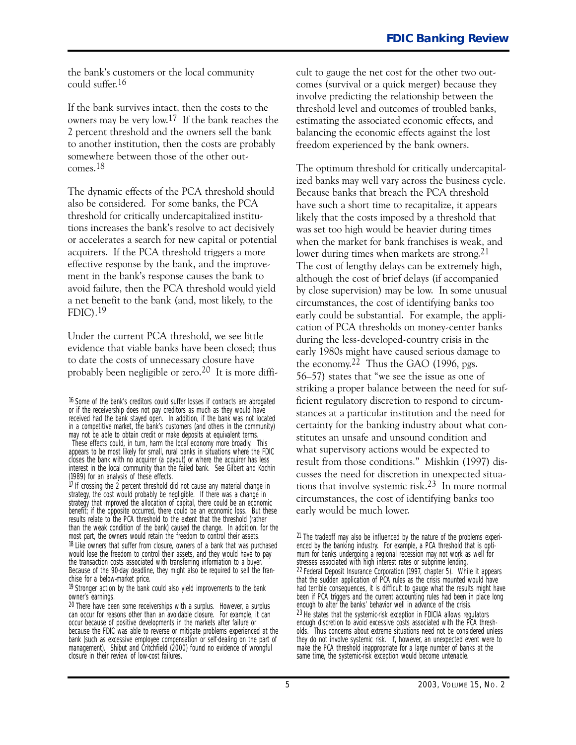the bank's customers or the local community could suffer.16

If the bank survives intact, then the costs to the owners may be very low.17 If the bank reaches the 2 percent threshold and the owners sell the bank to another institution, then the costs are probably somewhere between those of the other outcomes.18

The dynamic effects of the PCA threshold should also be considered. For some banks, the PCA threshold for critically undercapitalized institutions increases the bank's resolve to act decisively or accelerates a search for new capital or potential acquirers. If the PCA threshold triggers a more effective response by the bank, and the improvement in the bank's response causes the bank to avoid failure, then the PCA threshold would yield a net benefit to the bank (and, most likely, to the FDIC).19

Under the current PCA threshold, we see little evidence that viable banks have been closed; thus to date the costs of unnecessary closure have probably been negligible or zero.2O It is more diffi-

These effects could, in turn, harm the local economy more broadly. This appears to be most likely for small, rural banks in situations where the FDIC closes the bank with no acquirer (a payout) or where the acquirer has less interest in the local community than the failed bank. See Gilbert and Kochin (1989) for an analysis of these effects.

 $17$  If crossing the 2 percent threshold did not cause any material change in strategy, the cost would probably be negligible. If there was a change in strategy that improved the allocation of capital, there could be an economic benefit; if the opposite occurred, there could be an economic loss. But these results relate to the PCA threshold to the extent that the threshold (rather than the weak condition of the bank) caused the change. In addition, for the most part, the owners would retain the freedom to control their assets. <sup>18</sup> Like owners that suffer from closure, owners of a bank that was purchased would lose the freedom to control their assets, and they would have to pay the transaction costs associated with transferring information to a buyer. Because of the 90-day deadline, they might also be required to sell the franchise for a below-market price.

<sup>19</sup> Stronger action by the bank could also yield improvements to the bank owner's earnings.

cult to gauge the net cost for the other two outcomes (survival or a quick merger) because they involve predicting the relationship between the threshold level and outcomes of troubled banks, estimating the associated economic effects, and balancing the economic effects against the lost freedom experienced by the bank owners.

The optimum threshold for critically undercapitalized banks may well vary across the business cycle. Because banks that breach the PCA threshold have such a short time to recapitalize, it appears likely that the costs imposed by a threshold that was set too high would be heavier during times when the market for bank franchises is weak, and lower during times when markets are strong.<sup>21</sup> The cost of lengthy delays can be extremely high, although the cost of brief delays (if accompanied by close supervision) may be low. In some unusual circumstances, the cost of identifying banks too early could be substantial. For example, the application of PCA thresholds on money-center banks during the less-developed-country crisis in the early 198Os might have caused serious damage to the economy.22 Thus the GAO (1996, pgs. 56-57) states that "we see the issue as one of striking a proper balance between the need for sufficient regulatory discretion to respond to circumstances at a particular institution and the need for certainty for the banking industry about what constitutes an unsafe and unsound condition and what supervisory actions would be expected to result from those conditions." Mishkin (1997) discusses the need for discretion in unexpected situations that involve systemic risk.23 In more normal circumstances, the cost of identifying banks too early would be much lower.

<sup>21</sup> The tradeoff may also be influenced by the nature of the problems experienced by the banking industry. For example, a PCA threshold that is optimum for banks undergoing a regional recession may not work as well for stresses associated with high interest rates or subprime lending. 22 Federal Deposit Insurance Corporation (1997, chapter 5). While it appears that the sudden application of PCA rules as the crisis mounted would have had terrible consequences, it is difficult to gauge what the results might have been if PCA triggers and the current accounting rules had been in place long enough to alter the banks' behavior well in advance of the crisis. 23 He states that the systemic-risk exception in FDICIA allows regulators enough discretion to avoid excessive costs associated with the PCA thresholds. Thus concerns about extreme situations need not be considered unless they do not involve systemic risk. If, however, an unexpected event were to make the PCA threshold inappropriate for a large number of banks at the same time, the systemic-risk exception would become untenable.

<sup>16</sup> Some of the bank's creditors could suffer losses if contracts are abrogated or if the receivership does not pay creditors as much as they would have received had the bank stayed open. In addition, if the bank was not located in a competitive market, the bank's customers (and others in the community) may not be able to obtain credit or make deposits at equivalent terms.

<sup>20</sup> There have been some receiverships with a surplus. However, a surplus can occur for reasons other than an avoidable closure. For example, it can occur because of positive developments in the markets after failure or because the FDIC was able to reverse or mitigate problems experienced at the bank (such as excessive employee compensation or self-dealing on the part of management). Shibut and Critchfield (2000) found no evidence of wrongful closure in their review of low-cost failures.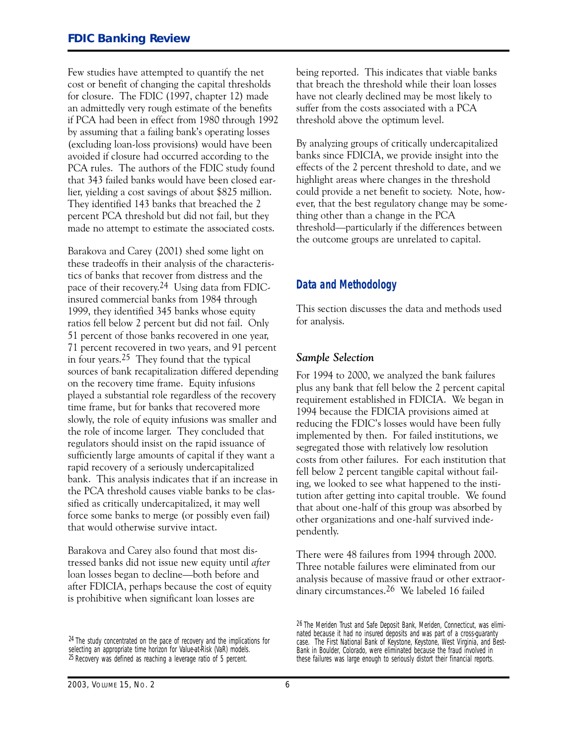Few studies have attempted to quantify the net cost or benefit of changing the capital thresholds for closure. The FDIC (1997, chapter 12) made an admittedly very rough estimate of the benefits if PCA had been in effect from 198O through 1992 by assuming that a failing bank's operating losses (excluding loan-loss provisions) would have been avoided if closure had occurred according to the PCA rules. The authors of the FDIC study found that 343 failed banks would have been closed earlier, yielding a cost savings of about \$825 million. They identified 143 banks that breached the 2 percent PCA threshold but did not fail, but they made no attempt to estimate the associated costs.

Barakova and Carey (2OO1) shed some light on these tradeoffs in their analysis of the characteristics of banks that recover from distress and the pace of their recovery.24 Using data from FDICinsured commercial banks from 1984 through 1999, they identified 345 banks whose equity ratios fell below 2 percent but did not fail. Only 51 percent of those banks recovered in one year, 71 percent recovered in two years, and 91 percent in four years.25 They found that the typical sources of bank recapitalization differed depending on the recovery time frame. Equity infusions played a substantial role regardless of the recovery time frame, but for banks that recovered more slowly, the role of equity infusions was smaller and the role of income larger. They concluded that regulators should insist on the rapid issuance of sufficiently large amounts of capital if they want a rapid recovery of a seriously undercapitalized bank. This analysis indicates that if an increase in the PCA threshold causes viable banks to be classified as critically undercapitalized, it may well force some banks to merge (or possibly even fail) that would otherwise survive intact.

Barakova and Carey also found that most distressed banks did not issue new equity until *after* loan losses began to decline—both before and after FDICIA, perhaps because the cost of equity is prohibitive when significant loan losses are

being reported. This indicates that viable banks that breach the threshold while their loan losses have not clearly declined may be most likely to suffer from the costs associated with a PCA threshold above the optimum level.

By analyzing groups of critically undercapitalized banks since FDICIA, we provide insight into the effects of the 2 percent threshold to date, and we highlight areas where changes in the threshold could provide a net benefit to society. Note, however, that the best regulatory change may be something other than a change in the PCA threshold-particularly if the differences between the outcome groups are unrelated to capital.

### **Data and Methodology**

This section discusses the data and methods used for analysis.

#### *Sample Selection*

For 1994 to 2OOO, we analyzed the bank failures plus any bank that fell below the 2 percent capital requirement established in FDICIA. We began in 1994 because the FDICIA provisions aimed at reducing the FDIC's losses would have been fully implemented by then. For failed institutions, we segregated those with relatively low resolution costs from other failures. For each institution that fell below 2 percent tangible capital without failing, we looked to see what happened to the institution after getting into capital trouble. We found that about one-half of this group was absorbed by other organizations and one-half survived independently.

There were 48 failures from 1994 through 2OOO. Three notable failures were eliminated from our analysis because of massive fraud or other extraordinary circumstances.26 We labeled 16 failed

<sup>&</sup>lt;sup>24</sup> The study concentrated on the pace of recovery and the implications for selecting an appropriate time horizon for Value-at-Risk (VaR) models. 25 Recovery was defined as reaching a leverage ratio of 5 percent.

<sup>26</sup> The Meriden Trust and Safe Deposit Bank, Meriden, Connecticut, was eliminated because it had no insured deposits and was part of a cross-guaranty case. The First National Bank of Keystone, Keystone, West Virginia, and Best-Bank in Boulder, Colorado, were eliminated because the fraud involved in these failures was large enough to seriously distort their financial reports.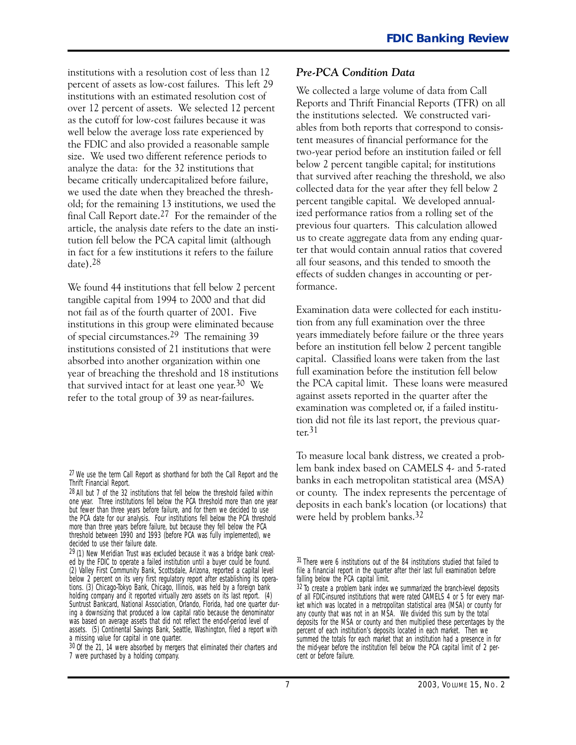institutions with a resolution cost of less than 12 percent of assets as low-cost failures. This left 29 institutions with an estimated resolution cost of over 12 percent of assets. We selected 12 percent as the cutoff for low-cost failures because it was well below the average loss rate experienced by the FDIC and also provided a reasonable sample size. We used two different reference periods to analyze the data: for the 32 institutions that became critically undercapitalized before failure, we used the date when they breached the threshold; for the remaining 13 institutions, we used the final Call Report date.27 For the remainder of the article, the analysis date refers to the date an institution fell below the PCA capital limit (although in fact for a few institutions it refers to the failure date).28

We found 44 institutions that fell below 2 percent tangible capital from 1994 to 2OOO and that did not fail as of the fourth quarter of 2OO1. Five institutions in this group were eliminated because of special circumstances.29 The remaining 39 institutions consisted of 21 institutions that were absorbed into another organization within one year of breaching the threshold and 18 institutions that survived intact for at least one year.3O We refer to the total group of 39 as near-failures.

#### *Pre-PCA Condition Data*

We collected a large volume of data from Call Reports and Thrift Financial Reports (TFR) on all the institutions selected. We constructed variables from both reports that correspond to consistent measures of financial performance for the two-year period before an institution failed or fell below 2 percent tangible capital; for institutions that survived after reaching the threshold, we also collected data for the year after they fell below 2 percent tangible capital. We developed annualized performance ratios from a rolling set of the previous four quarters. This calculation allowed us to create aggregate data from any ending quarter that would contain annual ratios that covered all four seasons, and this tended to smooth the effects of sudden changes in accounting or performance.

Examination data were collected for each institution from any full examination over the three years immediately before failure or the three years before an institution fell below 2 percent tangible capital. Classified loans were taken from the last full examination before the institution fell below the PCA capital limit. These loans were measured against assets reported in the quarter after the examination was completed or, if a failed institution did not file its last report, the previous quarter.31

To measure local bank distress, we created a problem bank index based on CAMELS 4- and 5-rated banks in each metropolitan statistical area (MSA) or county. The index represents the percentage of deposits in each bank's location (or locations) that were held by problem banks.<sup>32</sup>

 $27$  We use the term Call Report as shorthand for both the Call Report and the Thrift Financial Report.

<sup>28</sup> All but 7 of the 32 institutions that fell below the threshold failed within one year. Three institutions fell below the PCA threshold more than one year but fewer than three years before failure, and for them we decided to use the PCA date for our analysis. Four institutions fell below the PCA threshold more than three years before failure, but because they fell below the PCA threshold between 1990 and 1993 (before PCA was fully implemented), we decided to use their failure date.

a missing value for capital in one quarter.  $29(1)$  New Meridian Trust was excluded because it was a bridge bank created by the FDIC to operate a failed institution until a buyer could be found. (2) Valley First Community Bank, Scottsdale, Arizona, reported a capital level below 2 percent on its very first regulatory report after establishing its operations. (3) Chicago-Tokyo Bank, Chicago, Illinois, was held by a foreign bank holding company and it reported virtually zero assets on its last report. (4) Suntrust Bankcard, National Association, Orlando, Florida, had one quarter during a downsizing that produced a low capital ratio because the denominator was based on average assets that did not reflect the end-of-period level of assets. (5) Continental Savings Bank, Seattle, Washington, filed a report with

 $30$  Of the 21, 14 were absorbed by mergers that eliminated their charters and 7 were purchased by a holding company.

<sup>31</sup> There were 6 institutions out of the 84 institutions studied that failed to file a financial report in the quarter after their last full examination before falling below the PCA capital limit.

<sup>32</sup> To create a problem bank index we summarized the branch-level deposits of all FDIC-insured institutions that were rated CAMELS 4 or 5 for every market which was located in a metropolitan statistical area (MSA) or county for any county that was not in an MSA. We divided this sum by the total deposits for the MSA or county and then multiplied these percentages by the percent of each institution's deposits located in each market. Then we summed the totals for each market that an institution had a presence in for the mid-year before the institution fell below the PCA capital limit of 2 percent or before failure.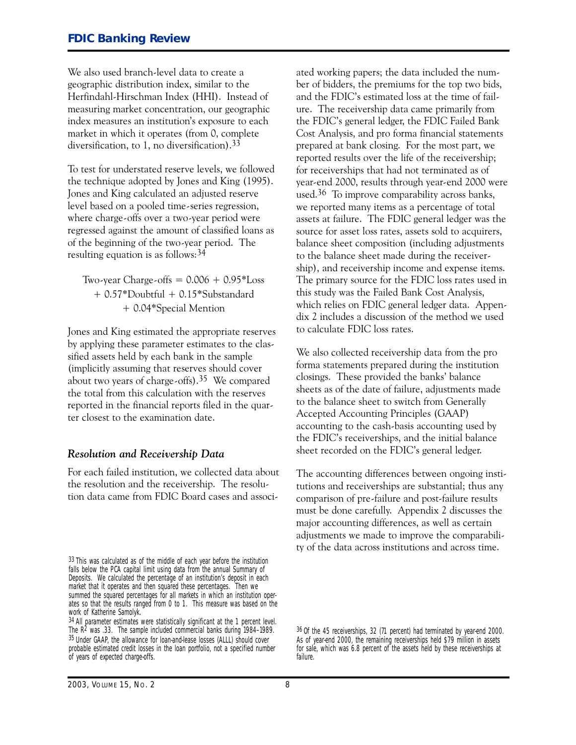We also used branch-level data to create a geographic distribution index, similar to the Herfindahl-Hirschman Index (HHI). Instead of measuring market concentration, our geographic index measures an institution's exposure to each market in which it operates (from O, complete diversification, to 1, no diversification).33

To test for understated reserve levels, we followed the technique adopted by Jones and King (1995). Jones and King calculated an adjusted reserve level based on a pooled time-series regression, where charge-offs over a two-year period were regressed against the amount of classified loans as of the beginning of the two-year period. The resulting equation is as follows:34

Two-year Charge-offs  $= 0.006 + 0.95*$ Loss + O.57\*Doubtful + O.15\*Substandard + O.O4\*Special Mention

Jones and King estimated the appropriate reserves by applying these parameter estimates to the classified assets held by each bank in the sample (implicitly assuming that reserves should cover about two years of charge-offs).<sup>35</sup> We compared the total from this calculation with the reserves reported in the financial reports filed in the quarter closest to the examination date.

#### *Resolution and Receivership Data*

For each failed institution, we collected data about the resolution and the receivership. The resolution data came from FDIC Board cases and associ-

 prepared at bank closing. For the most part, we ated working papers; the data included the number of bidders, the premiums for the top two bids, and the FDIC's estimated loss at the time of failure. The receivership data came primarily from the FDIC's general ledger, the FDIC Failed Bank Cost Analysis, and pro forma financial statements reported results over the life of the receivership; for receiverships that had not terminated as of year-end 2000, results through year-end 2000 were used.36 To improve comparability across banks, we reported many items as a percentage of total assets at failure. The FDIC general ledger was the source for asset loss rates, assets sold to acquirers, balance sheet composition (including adjustments to the balance sheet made during the receivership), and receivership income and expense items. The primary source for the FDIC loss rates used in this study was the Failed Bank Cost Analysis, which relies on FDIC general ledger data. Appendix 2 includes a discussion of the method we used to calculate FDIC loss rates.

We also collected receivership data from the pro forma statements prepared during the institution closings. These provided the banks' balance sheets as of the date of failure, adjustments made to the balance sheet to switch from Generally Accepted Accounting Principles (GAAP) accounting to the cash-basis accounting used by the FDIC's receiverships, and the initial balance sheet recorded on the FDIC's general ledger.

 must be done carefully. Appendix 2 discusses the The accounting differences between ongoing institutions and receiverships are substantial; thus any comparison of pre-failure and post-failure results major accounting differences, as well as certain adjustments we made to improve the comparability of the data across institutions and across time.

<sup>33</sup> This was calculated as of the middle of each year before the institution falls below the PCA capital limit using data from the annual Summary of Deposits. We calculated the percentage of an institution's deposit in each market that it operates and then squared these percentages. Then we summed the squared percentages for all markets in which an institution operates so that the results ranged from 0 to 1. This measure was based on the work of Katherine Samolyk.

<sup>34</sup> All parameter estimates were statistically significant at the 1 percent level. The R2 was .33. The sample included commercial banks during 1984–1989. 35 Under GAAP, the allowance for loan-and-lease losses (ALLL) should cover probable estimated credit losses in the loan portfolio, not a specified number of years of expected charge-offs.

<sup>36</sup> Of the 45 receiverships, 32 (71 percent) had terminated by year-end 2000. As of year-end 2000, the remaining receiverships held \$79 million in assets for sale, which was 6.8 percent of the assets held by these receiverships at failure.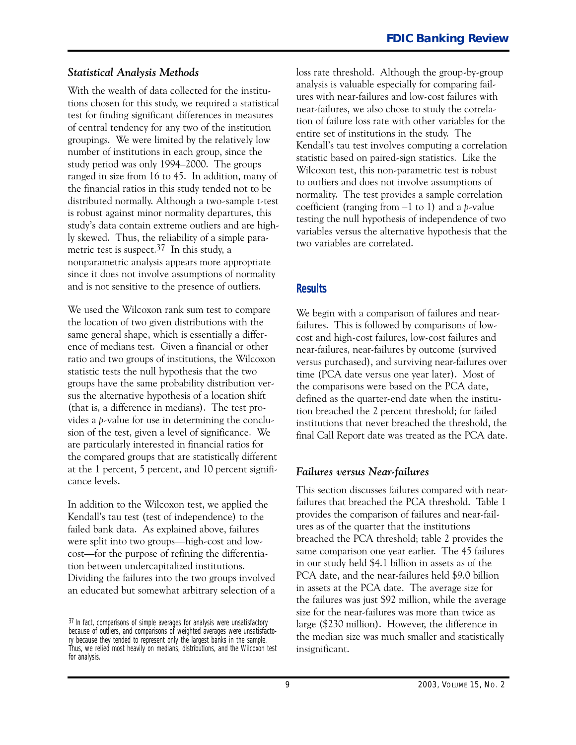#### *Statistical Analysis Methods*

With the wealth of data collected for the institutions chosen for this study, we required a statistical test for finding significant differences in measures of central tendency for any two of the institution groupings. We were limited by the relatively low number of institutions in each group, since the study period was only 1994-2OOO. The groups ranged in size from 16 to 45. In addition, many of the financial ratios in this study tended not to be distributed normally. Although a two-sample t-test is robust against minor normality departures, this study's data contain extreme outliers and are highly skewed. Thus, the reliability of a simple parametric test is suspect.<sup>37</sup> In this study, a nonparametric analysis appears more appropriate since it does not involve assumptions of normality and is not sensitive to the presence of outliers.

We used the Wilcoxon rank sum test to compare the location of two given distributions with the same general shape, which is essentially a difference of medians test. Given a financial or other ratio and two groups of institutions, the Wilcoxon statistic tests the null hypothesis that the two groups have the same probability distribution versus the alternative hypothesis of a location shift (that is, a difference in medians). The test provides a *p*-value for use in determining the conclusion of the test, given a level of significance. We are particularly interested in financial ratios for the compared groups that are statistically different at the 1 percent, 5 percent, and 1O percent significance levels.

In addition to the Wilcoxon test, we applied the Kendall's tau test (test of independence) to the failed bank data. As explained above, failures were split into two groups—high-cost and lowcost—for the purpose of refining the differentiation between undercapitalized institutions. Dividing the failures into the two groups involved an educated but somewhat arbitrary selection of a loss rate threshold. Although the group-by-group analysis is valuable especially for comparing failures with near-failures and low-cost failures with near-failures, we also chose to study the correlation of failure loss rate with other variables for the entire set of institutions in the study. The Kendall's tau test involves computing a correlation statistic based on paired-sign statistics. Like the Wilcoxon test, this non-parametric test is robust to outliers and does not involve assumptions of normality. The test provides a sample correlation coefficient (ranging from  $-1$  to 1) and a *p*-value testing the null hypothesis of independence of two variables versus the alternative hypothesis that the two variables are correlated.

### **Results**

We begin with a comparison of failures and nearfailures. This is followed by comparisons of lowcost and high-cost failures, low-cost failures and near-failures, near-failures by outcome (survived versus purchased), and surviving near-failures over time (PCA date versus one year later). Most of the comparisons were based on the PCA date, defined as the quarter-end date when the institution breached the 2 percent threshold; for failed institutions that never breached the threshold, the final Call Report date was treated as the PCA date.

### *Failures versus Near-failures*

This section discusses failures compared with nearfailures that breached the PCA threshold. Table 1 provides the comparison of failures and near-failures as of the quarter that the institutions breached the PCA threshold; table 2 provides the same comparison one year earlier. The 45 failures in our study held \$4.1 billion in assets as of the PCA date, and the near-failures held \$9.0 billion in assets at the PCA date. The average size for the failures was just \$92 million, while the average size for the near-failures was more than twice as large (\$23O million). However, the difference in the median size was much smaller and statistically insignificant.

<sup>&</sup>lt;sup>37</sup> In fact, comparisons of simple averages for analysis were unsatisfactory because of outliers, and comparisons of weighted averages were unsatisfactory because they tended to represent only the largest banks in the sample. Thus, we relied most heavily on medians, distributions, and the Wilcoxon test for analysis.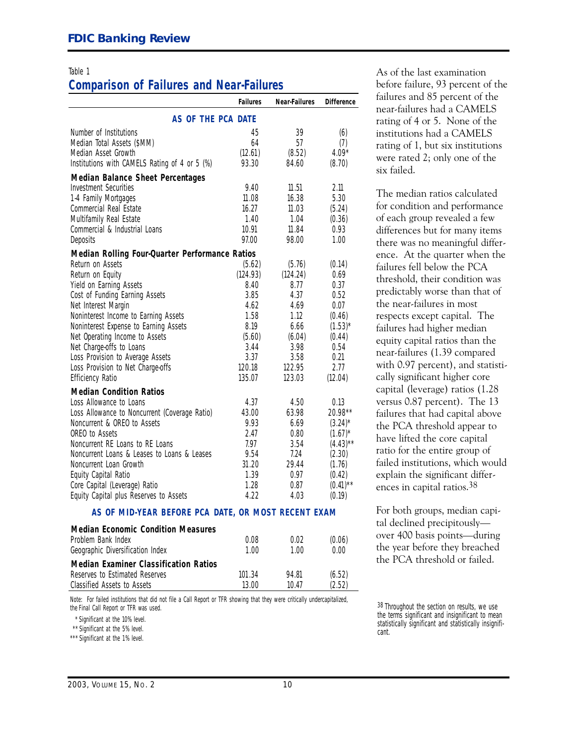# **Comparison of Failures and Near-Failures**

|                                                     | <b>Failures</b> | <b>Near-Failures</b> | <b>Difference</b> |  |  |
|-----------------------------------------------------|-----------------|----------------------|-------------------|--|--|
| AS OF THE PCA DATE                                  |                 |                      |                   |  |  |
| Number of Institutions                              | 45              | 39                   | (6)               |  |  |
| Median Total Assets (\$MM)                          | 64              | 57                   | (7)               |  |  |
| Median Asset Growth                                 | (12.61)         | (8.52)               | $4.09*$           |  |  |
| Institutions with CAMELS Rating of 4 or 5 (%)       | 93.30           | 84.60                | (8.70)            |  |  |
| <b>Median Balance Sheet Percentages</b>             |                 |                      |                   |  |  |
| <b>Investment Securities</b>                        | 9.40            | 11.51                | 2.11              |  |  |
| 1-4 Family Mortgages                                | 11.08           | 16.38                | 5.30              |  |  |
| Commercial Real Estate                              | 16.27           | 11.03                | (5.24)            |  |  |
| Multifamily Real Estate                             | 1.40            | 1.04                 | (0.36)            |  |  |
| Commercial & Industrial Loans                       | 10.91           | 11.84                | 0.93              |  |  |
| Deposits                                            | 97.00           | 98.00                | 1.00              |  |  |
| Median Rolling Four-Quarter Performance Ratios      |                 |                      |                   |  |  |
| Return on Assets                                    | (5.62)          | (5.76)               | (0.14)            |  |  |
| Return on Equity                                    | (124.93)        | (124.24)             | 0.69              |  |  |
| Yield on Earning Assets                             | 8.40            | 8.77                 | 0.37              |  |  |
| Cost of Funding Earning Assets                      | 3.85            | 4.37                 | 0.52              |  |  |
| Net Interest Margin                                 | 4.62            | 4.69                 | 0.07              |  |  |
| Noninterest Income to Earning Assets                | 1.58            | 1.12                 | (0.46)            |  |  |
| Noninterest Expense to Earning Assets               | 8.19            | 6.66                 | $(1.53)^{*}$      |  |  |
| Net Operating Income to Assets                      | (5.60)          | (6.04)               | (0.44)            |  |  |
| Net Charge-offs to Loans                            | 3.44            | 3.98                 | 0.54              |  |  |
| Loss Provision to Average Assets                    | 3.37            | 3.58                 | 0.21              |  |  |
| Loss Provision to Net Charge-offs                   | 120.18          | 122.95               | 2.77              |  |  |
| <b>Efficiency Ratio</b>                             | 135.07          | 123.03               | (12.04)           |  |  |
| <b>Median Condition Ratios</b>                      |                 |                      |                   |  |  |
| Loss Allowance to Loans                             | 4.37            | 4.50                 | 0.13              |  |  |
| Loss Allowance to Noncurrent (Coverage Ratio)       | 43.00           | 63.98                | 20.98**           |  |  |
| Noncurrent & OREO to Assets                         | 9.93            | 6.69                 | $(3.24)^*$        |  |  |
| OREO to Assets                                      | 2.47            | 0.80                 | $(1.67)^*$        |  |  |
| Noncurrent RE Loans to RE Loans                     | 7.97            | 3.54                 | $(4.43)$ **       |  |  |
| Noncurrent Loans & Leases to Loans & Leases         | 9.54            | 7.24                 | (2.30)            |  |  |
| Noncurrent Loan Growth                              | 31.20           | 29.44                | (1.76)            |  |  |
| Equity Capital Ratio                                | 1.39            | 0.97                 | (0.42)            |  |  |
| Core Capital (Leverage) Ratio                       | 1.28            | 0.87                 | $(0.41)$ **       |  |  |
| Equity Capital plus Reserves to Assets              | 4.22            | 4.03                 | (0.19)            |  |  |
| AS OF MID-YEAR BEFORE PCA DATE, OR MOST RECENT EXAM |                 |                      |                   |  |  |

| <b>Median Economic Condition Measures</b>    |        |       |        |
|----------------------------------------------|--------|-------|--------|
| Problem Bank Index                           | 0.08   | 0.02  | (0.06) |
| Geographic Diversification Index             | 1.00   | 1.00  | 0.00   |
| <b>Median Examiner Classification Ratios</b> |        |       |        |
| Reserves to Estimated Reserves               | 101.34 | 94.81 | (6.52) |
| Classified Assets to Assets                  | 13 QO  | 10 47 | (2.52) |

*Note:* For failed institutions that did not file a Call Report or TFR showing that they were critically undercapitalized, the Final Call Report or TFR was used.

\* Significant at the 10% level.

\*\* Significant at the 5% level.

\*\*\* Significant at the 1% level.

 rating of 4 or 5. None of the Table 1 and 1 and 1 and 1 and 1 and 1 and 1 and 1 and 1 and 1 and 1 and 1 and 1 and 1 and 1 and 1 and 1 and 1 and 1 and 1 and 1 and 1 and 1 and 1 and 1 and 1 and 1 and 1 and 1 and 1 and 1 and 1 and 1 and 1 and 1 and 1 and before failure, 93 percent of the failures and 85 percent of the near-failures had a CAMELS institutions had a CAMELS rating of 1, but six institutions were rated 2; only one of the six failed.

> The median ratios calculated for condition and performance of each group revealed a few differences but for many items there was no meaningful difference. At the quarter when the failures fell below the PCA threshold, their condition was predictably worse than that of the near-failures in most respects except capital. The failures had higher median equity capital ratios than the near-failures (1.39 compared with O.97 percent), and statistically significant higher core capital (leverage) ratios (1.28 versus O.87 percent). The 13 failures that had capital above the PCA threshold appear to have lifted the core capital ratio for the entire group of failed institutions, which would explain the significant differences in capital ratios.38

For both groups, median capital declined precipitouslyover 4OO basis points-during the year before they breached the PCA threshold or failed.

 $38$  Throughout the section on results, we use the terms significant and insignificant to mean \* Significant at the 10% level.<br>\*\* Significant at the 5% level.<br>\*\* Significant and statistically insignificant and statistically insignificant and statistically insignifi-<br>\*\* Significant at the 5% level.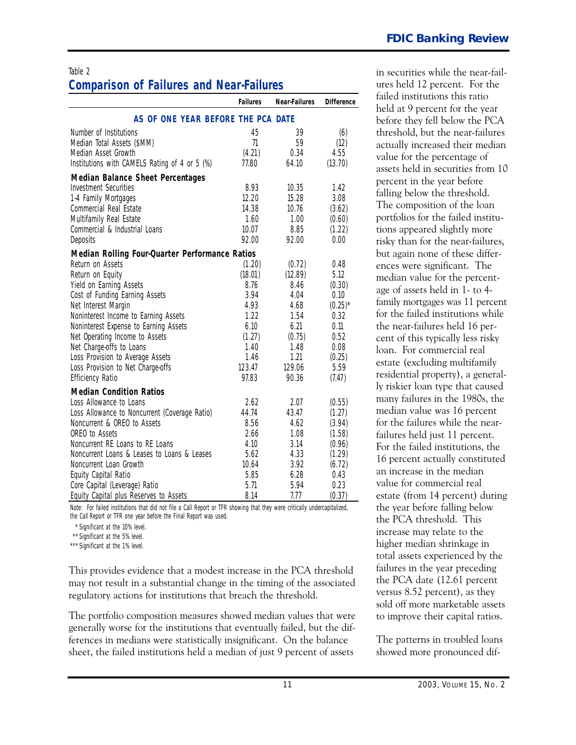# **Comparison of Failures and Near-Failures**

|                                                                              | <b>Failures</b> | <b>Near-Failures</b> | <b>Difference</b> | failed institutions this ratio     |
|------------------------------------------------------------------------------|-----------------|----------------------|-------------------|------------------------------------|
|                                                                              |                 |                      |                   | held at 9 percent for the year     |
| AS OF ONE YEAR BEFORE THE PCA DATE                                           |                 |                      |                   | before they fell below the PCA     |
| Number of Institutions                                                       | 45              | 39                   | (6)               | threshold, but the near-failures   |
| Median Total Assets (\$MM)                                                   | 71              | 59                   | (12)              | actually increased their median    |
| Median Asset Growth                                                          | (4.21)          | 0.34                 | 4.55              | value for the percentage of        |
| Institutions with CAMELS Rating of 4 or 5 (%)                                | 77.80           | 64.10                | (13.70)           | assets held in securities from 10  |
| <b>Median Balance Sheet Percentages</b>                                      |                 |                      |                   | percent in the year before         |
| Investment Securities                                                        | 8.93            | 10.35                | 1.42              | falling below the threshold.       |
| 1-4 Family Mortgages                                                         | 12.20           | 15.28                | 3.08              |                                    |
| Commercial Real Estate                                                       | 14.38           | 10.76                | (3.62)            | The composition of the loan        |
| Multifamily Real Estate                                                      | 1.60            | 1.00                 | (0.60)            | portfolios for the failed institu- |
| Commercial & Industrial Loans                                                | 10.07           | 8.85                 | (1.22)            | tions appeared slightly more       |
| Deposits                                                                     | 92.00           | 92.00                | 0.00              | risky than for the near-failures,  |
| Median Rolling Four-Quarter Performance Ratios                               |                 |                      |                   | but again none of these differ-    |
| Return on Assets                                                             | (1.20)          | (0.72)               | 0.48              | ences were significant. The        |
| Return on Equity                                                             | (18.01)         | (12.89)              | 5.12              | median value for the percent-      |
| Yield on Earning Assets                                                      | 8.76            | 8.46                 | (0.30)            | age of assets held in 1- to 4-     |
| Cost of Funding Earning Assets                                               | 3.94            | 4.04                 | 0.10              | family mortgages was 11 percent    |
| Net Interest Margin                                                          | 4.93            | 4.68                 | $(0.25)^*$        | for the failed institutions while  |
| Noninterest Income to Earning Assets                                         | 1.22            | 1.54                 | 0.32              |                                    |
| Noninterest Expense to Earning Assets                                        | 6.10            | 6.21                 | 0.11              | the near-failures held 16 per-     |
| Net Operating Income to Assets                                               | (1.27)          | (0.75)               | 0.52              | cent of this typically less risky  |
| Net Charge-offs to Loans                                                     | 1.40            | 1.48<br>1.21         | 0.08              | loan. For commercial real          |
| Loss Provision to Average Assets<br>Loss Provision to Net Charge-offs        | 1.46<br>123.47  | 129.06               | (0.25)<br>5.59    | estate (excluding multifamily      |
| <b>Efficiency Ratio</b>                                                      | 97.83           | 90.36                | (7.47)            | residential property), a general-  |
|                                                                              |                 |                      |                   | ly riskier loan type that caused   |
| <b>Median Condition Ratios</b>                                               |                 |                      |                   | many failures in the 1980s, the    |
| Loss Allowance to Loans                                                      | 2.62<br>44.74   | 2.07<br>43.47        | (0.55)            | median value was 16 percent        |
| Loss Allowance to Noncurrent (Coverage Ratio)<br>Noncurrent & OREO to Assets | 8.56            | 4.62                 | (1.27)            | for the failures while the near-   |
| OREO to Assets                                                               | 2.66            | 1.08                 | (3.94)<br>(1.58)  |                                    |
| Noncurrent RE Loans to RE Loans                                              | 4.10            | 3.14                 | (0.96)            | failures held just 11 percent.     |
| Noncurrent Loans & Leases to Loans & Leases                                  | 5.62            | 4.33                 | (1.29)            | For the failed institutions, the   |
| Noncurrent Loan Growth                                                       | 10.64           | 3.92                 | (6.72)            | 16 percent actually constituted    |
| Equity Capital Ratio                                                         | 5.85            | 6.28                 | 0.43              | an increase in the median          |
| Core Capital (Leverage) Ratio                                                | 5.71            | 5.94                 | 0.23              | value for commercial real          |
| Equity Capital plus Reserves to Assets                                       | 8.14            | 7.77                 | (0.37)            | estate (from 14 percent) during    |

*Note:* For failed institutions that did not file a Call Report or TFR showing that they were critically undercapitalized, the year before falling below the Call Report or TFR one year before the Final Report was used. the PCA threshold. This

\*\* Significant at the 5% level.

This provides evidence that a modest increase in the PCA threshold failures in the year preceding<br>may not result in a substantial change in the timing of the associated the PCA date (12.61 percent may not result in a substantial change in the timing of the associated the PCA date (12.61 percent regulatory actions for institutions that breach the threshold. sold off more marketable assets sold off more marketable ass

The portfolio composition measures showed median values that were to improve their capital ratios. generally worse for the institutions that eventually failed, but the differences in medians were statistically insignificant. On the balance The patterns in troubled loans sheet, the failed institutions held a median of just 9 percent of assets showed more pronounced dif-

Table 2 in securities while the near-failures held 12 percent. For the failed institutions this ratio held at 9 percent for the year before they fell below the PCA threshold, but the near-failures portfolios for the failed institutions appeared slightly more risky than for the near-failures, but again none of these differences were significant. The median value for the percentfor the failed institutions while the near-failures held 16 percent of this typically less risky<br>loan. For commercial real median value was 16 percent for the failures while the nearvalue for commercial real estate (from 14 percent) during increase may relate to the \*\*\* Significant at the 1% level.<br>A thigher median shrinkage in total assets experienced by the

<sup>\*</sup> Significant at the 10% level.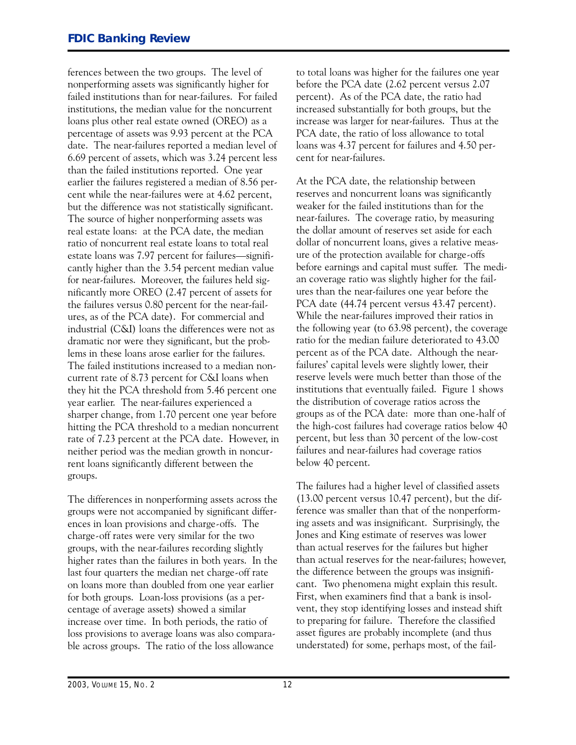ferences between the two groups. The level of nonperforming assets was significantly higher for failed institutions than for near-failures. For failed institutions, the median value for the noncurrent loans plus other real estate owned (OREO) as a percentage of assets was 9.93 percent at the PCA date. The near-failures reported a median level of 6.69 percent of assets, which was 3.24 percent less than the failed institutions reported. One year earlier the failures registered a median of 8.56 percent while the near-failures were at 4.62 percent, but the difference was not statistically significant. The source of higher nonperforming assets was real estate loans: at the PCA date, the median ratio of noncurrent real estate loans to total real estate loans was 7.97 percent for failures—significantly higher than the 3.54 percent median value for near-failures. Moreover, the failures held significantly more OREO (2.47 percent of assets for the failures versus 0.80 percent for the near-failures, as of the PCA date). For commercial and industrial (C�I) loans the differences were not as dramatic nor were they significant, but the problems in these loans arose earlier for the failures. The failed institutions increased to a median noncurrent rate of 8.73 percent for C�I loans when they hit the PCA threshold from 5.46 percent one year earlier. The near-failures experienced a sharper change, from 1.7O percent one year before hitting the PCA threshold to a median noncurrent rate of 7.23 percent at the PCA date. However, in neither period was the median growth in noncurrent loans significantly different between the groups.

The differences in nonperforming assets across the groups were not accompanied by significant differences in loan provisions and charge-offs. The charge-off rates were very similar for the two groups, with the near-failures recording slightly higher rates than the failures in both years. In the last four quarters the median net charge-off rate on loans more than doubled from one year earlier for both groups. Loan-loss provisions (as a percentage of average assets) showed a similar increase over time. In both periods, the ratio of loss provisions to average loans was also comparable across groups. The ratio of the loss allowance

to total loans was higher for the failures one year before the PCA date (2.62 percent versus 2.O7 percent). As of the PCA date, the ratio had increased substantially for both groups, but the increase was larger for near-failures. Thus at the PCA date, the ratio of loss allowance to total loans was 4.37 percent for failures and 4.5O percent for near-failures.

At the PCA date, the relationship between reserves and noncurrent loans was significantly weaker for the failed institutions than for the near-failures. The coverage ratio, by measuring the dollar amount of reserves set aside for each dollar of noncurrent loans, gives a relative measure of the protection available for charge-offs before earnings and capital must suffer. The median coverage ratio was slightly higher for the failures than the near-failures one year before the PCA date (44.74 percent versus 43.47 percent). While the near-failures improved their ratios in the following year (to 63.98 percent), the coverage ratio for the median failure deteriorated to 43.OO percent as of the PCA date. Although the nearfailures' capital levels were slightly lower, their reserve levels were much better than those of the institutions that eventually failed. Figure 1 shows the distribution of coverage ratios across the groups as of the PCA date: more than one-half of the high-cost failures had coverage ratios below 40 percent, but less than 30 percent of the low-cost failures and near-failures had coverage ratios below 4O percent.

The failures had a higher level of classified assets (13.OO percent versus 1O.47 percent), but the difference was smaller than that of the nonperforming assets and was insignificant. Surprisingly, the Jones and King estimate of reserves was lower than actual reserves for the failures but higher than actual reserves for the near-failures; however, the difference between the groups was insignificant. Two phenomena might explain this result. First, when examiners find that a bank is insolvent, they stop identifying losses and instead shift to preparing for failure. Therefore the classified asset figures are probably incomplete (and thus understated) for some, perhaps most, of the fail-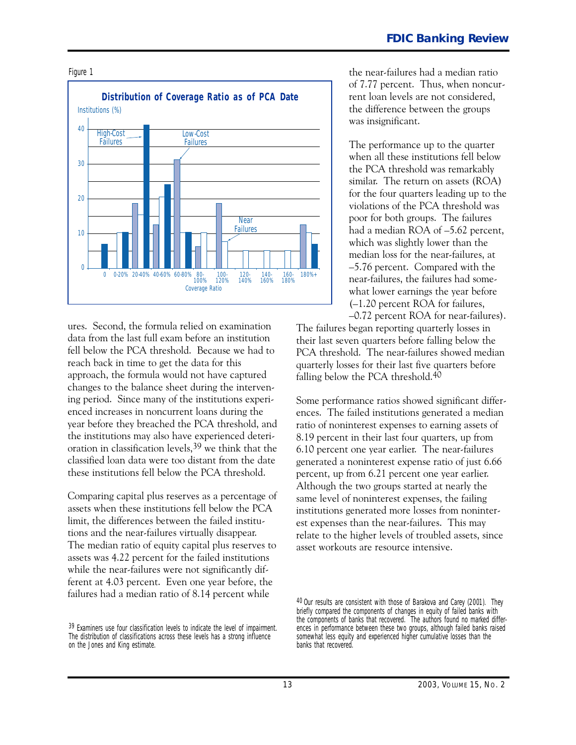

ures. Second, the formula relied on examination data from the last full exam before an institution fell below the PCA threshold. Because we had to reach back in time to get the data for this approach, the formula would not have captured changes to the balance sheet during the intervening period. Since many of the institutions experienced increases in noncurrent loans during the year before they breached the PCA threshold, and the institutions may also have experienced deterioration in classification levels,39 we think that the classified loan data were too distant from the date these institutions fell below the PCA threshold.

Comparing capital plus reserves as a percentage of assets when these institutions fell below the PCA limit, the differences between the failed institutions and the near-failures virtually disappear. The median ratio of equity capital plus reserves to assets was 4.22 percent for the failed institutions while the near-failures were not significantly different at 4.O3 percent. Even one year before, the failures had a median ratio of 8.14 percent while

Figure 1 the near-failures had a median ratio of 7.77 percent. Thus, when noncurthe difference between the groups was insignificant.

> The performance up to the quarter when all these institutions fell below the PCA threshold was remarkably similar. The return on assets (ROA) for the four quarters leading up to the violations of the PCA threshold was poor for both groups. The failures had a median ROA of  $-5.62$  percent, which was slightly lower than the median loss for the near-failures, at -5.76 percent. Compared with the near-failures, the failures had somewhat lower earnings the year before (-1.2O percent ROA for failures, -0.72 percent ROA for near-failures).

The failures began reporting quarterly losses in their last seven quarters before falling below the PCA threshold. The near-failures showed median quarterly losses for their last five quarters before falling below the PCA threshold.4O

6.10 percent one year earlier. The near-failures Some performance ratios showed significant differences. The failed institutions generated a median ratio of noninterest expenses to earning assets of 8.19 percent in their last four quarters, up from generated a noninterest expense ratio of just 6.66 percent, up from 6.21 percent one year earlier. Although the two groups started at nearly the same level of noninterest expenses, the failing institutions generated more losses from noninterest expenses than the near-failures. This may relate to the higher levels of troubled assets, since asset workouts are resource intensive.

<sup>39</sup> Examiners use four classification levels to indicate the level of impairment. The distribution of classifications across these levels has a strong influence on the Jones and King estimate.

<sup>40</sup> Our results are consistent with those of Barakova and Carey (2001). They briefly compared the components of changes in equity of failed banks with the components of banks that recovered. The authors found no marked differences in performance between these two groups, although failed banks raised somewhat less equity and experienced higher cumulative losses than the banks that recovered.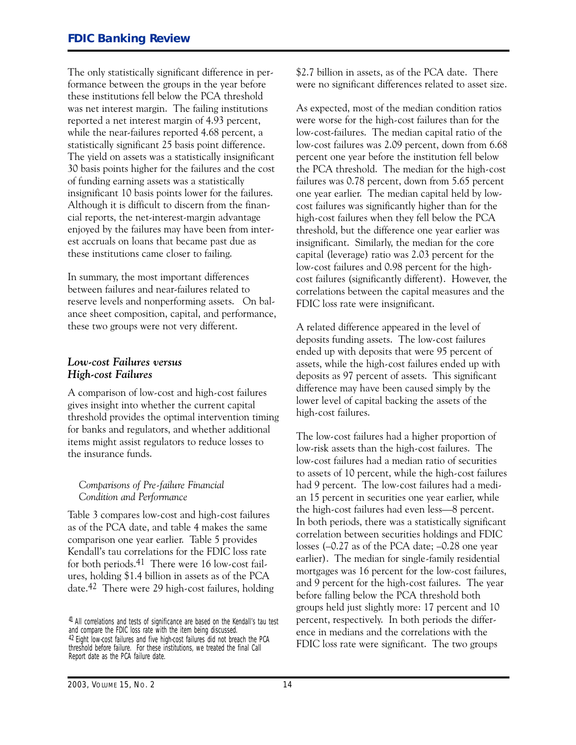The only statistically significant difference in performance between the groups in the year before these institutions fell below the PCA threshold was net interest margin. The failing institutions reported a net interest margin of 4.93 percent, while the near-failures reported 4.68 percent, a statistically significant 25 basis point difference. The yield on assets was a statistically insignificant 3O basis points higher for the failures and the cost of funding earning assets was a statistically insignificant 1O basis points lower for the failures. Although it is difficult to discern from the financial reports, the net-interest-margin advantage enjoyed by the failures may have been from interest accruals on loans that became past due as these institutions came closer to failing.

 reserve levels and nonperforming assets. On bal-In summary, the most important differences between failures and near-failures related to ance sheet composition, capital, and performance, these two groups were not very different.

#### *Low-cost Failures versus High-cost Failures*

A comparison of low-cost and high-cost failures gives insight into whether the current capital threshold provides the optimal intervention timing for banks and regulators, and whether additional items might assist regulators to reduce losses to the insurance funds.

#### *Comparisons of Pre-failure Financial Condition and Performance*

Table 3 compares low-cost and high-cost failures as of the PCA date, and table 4 makes the same comparison one year earlier. Table 5 provides Kendall's tau correlations for the FDIC loss rate for both periods.<sup>41</sup> There were 16 low-cost failures, holding \$1.4 billion in assets as of the PCA date.<sup>42</sup> There were 29 high-cost failures, holding \$2.7 billion in assets, as of the PCA date. There were no significant differences related to asset size.

 one year earlier. The median capital held by low- cost failures (significantly different). However, the As expected, most of the median condition ratios were worse for the high-cost failures than for the low-cost-failures. The median capital ratio of the low-cost failures was 2.09 percent, down from 6.68 percent one year before the institution fell below the PCA threshold. The median for the high-cost failures was O.78 percent, down from 5.65 percent cost failures was significantly higher than for the high-cost failures when they fell below the PCA threshold, but the difference one year earlier was insignificant. Similarly, the median for the core capital (leverage) ratio was 2.O3 percent for the low-cost failures and 0.98 percent for the highcorrelations between the capital measures and the FDIC loss rate were insignificant.

A related difference appeared in the level of deposits funding assets. The low-cost failures ended up with deposits that were 95 percent of assets, while the high-cost failures ended up with deposits as 97 percent of assets. This significant difference may have been caused simply by the lower level of capital backing the assets of the high-cost failures.

The low-cost failures had a higher proportion of low-risk assets than the high-cost failures. The low-cost failures had a median ratio of securities to assets of 10 percent, while the high-cost failures had 9 percent. The low-cost failures had a median 15 percent in securities one year earlier, while the high-cost failures had even less-8 percent. In both periods, there was a statistically significant correlation between securities holdings and FDIC losses  $(-0.27$  as of the PCA date;  $-0.28$  one year earlier). The median for single-family residential mortgages was 16 percent for the low-cost failures, and 9 percent for the high-cost failures. The year before falling below the PCA threshold both groups held just slightly more: 17 percent and 1O percent, respectively. In both periods the difference in medians and the correlations with the FDIC loss rate were significant. The two groups

<sup>41</sup> All correlations and tests of significance are based on the Kendall's tau test and compare the FDIC loss rate with the item being discussed. 42 Eight low-cost failures and five high-cost failures did not breach the PCA threshold before failure. For these institutions, we treated the final Call Report date as the PCA failure date.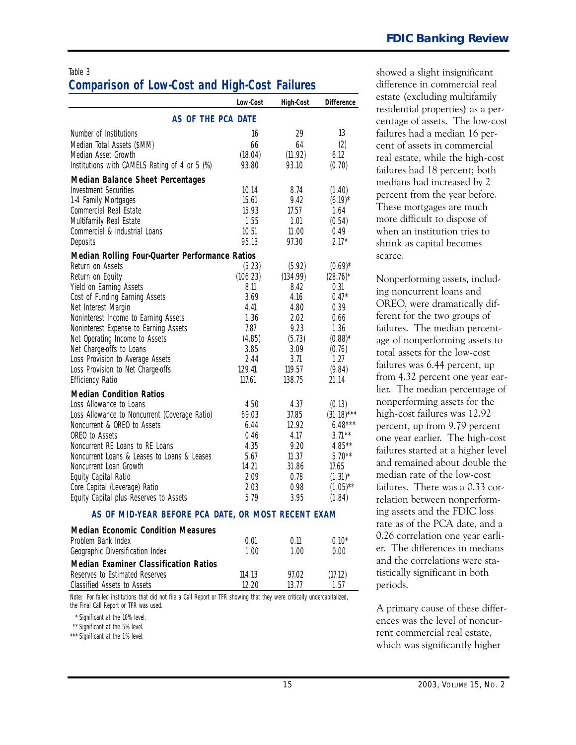# **Comparison of Low-Cost and High-Cost Failures**

|                                                     | <b>Low-Cost</b> | <b>High-Cost</b> | <b>Difference</b>     |  |  |
|-----------------------------------------------------|-----------------|------------------|-----------------------|--|--|
| AS OF THE PCA DATE                                  |                 |                  |                       |  |  |
| Number of Institutions                              | 16              | 29               | 13                    |  |  |
| Median Total Assets (\$MM)                          | 66              | 64               | (2)                   |  |  |
| Median Asset Growth                                 | (18.04)         | (11.92)          | 6.12                  |  |  |
| Institutions with CAMELS Rating of 4 or 5 (%)       | 93.80           | 93.10            | (0.70)                |  |  |
| <b>Median Balance Sheet Percentages</b>             |                 |                  |                       |  |  |
| <b>Investment Securities</b>                        | 10.14           | 8.74             | (1.40)                |  |  |
| 1-4 Family Mortgages                                | 15.61           | 9.42             | $(6.19)^*$            |  |  |
| Commercial Real Estate                              | 15.93           | 17.57            | 1.64                  |  |  |
| Multifamily Real Estate                             | 1.55            | 1.01             | (0.54)                |  |  |
| Commercial & Industrial Loans                       | 10.51           | 11.00            | 0.49                  |  |  |
| Deposits                                            | 95.13           | 97.30            | $2.17*$               |  |  |
| Median Rolling Four-Quarter Performance Ratios      |                 |                  |                       |  |  |
| Return on Assets                                    | (5.23)          | (5.92)           | $(0.69)^*$            |  |  |
| Return on Equity                                    | (106.23)        | (134.99)         | $(28.76)^*$           |  |  |
| Yield on Earning Assets                             | 8.11            | 8.42             | 0.31                  |  |  |
| Cost of Funding Earning Assets                      | 3.69            | 4.16             | $0.47*$               |  |  |
| Net Interest Margin                                 | 4.41            | 4.80             | 0.39                  |  |  |
| Noninterest Income to Earning Assets                | 1.36            | 2.02             | 0.66                  |  |  |
| Noninterest Expense to Earning Assets               | 7.87            | 9.23             | 1.36                  |  |  |
| Net Operating Income to Assets                      | (4.85)          | (5.73)           | $(0.88)$ <sup>*</sup> |  |  |
| Net Charge-offs to Loans                            | 3.85            | 3.09             | (0.76)                |  |  |
| Loss Provision to Average Assets                    | 2.44            | 3.71             | 1.27                  |  |  |
| Loss Provision to Net Charge-offs                   | 129.41          | 119.57           | (9.84)                |  |  |
| <b>Efficiency Ratio</b>                             | 117.61          | 138.75           | 21.14                 |  |  |
| <b>Median Condition Ratios</b>                      |                 |                  |                       |  |  |
| Loss Allowance to Loans                             | 4.50            | 4.37             | (0.13)                |  |  |
| Loss Allowance to Noncurrent (Coverage Ratio)       | 69.03           | 37.85            | $(31.18)***$          |  |  |
| Noncurrent & OREO to Assets                         | 6.44            | 12.92            | $6.48***$             |  |  |
| OREO to Assets                                      | 0.46            | 4.17             | $3.71***$             |  |  |
| Noncurrent RE Loans to RE Loans                     | 4.35            | 9.20             | $4.85***$             |  |  |
| Noncurrent Loans & Leases to Loans & Leases         | 5.67            | 11.37            | $5.70**$              |  |  |
| Noncurrent Loan Growth                              | 14.21           | 31.86            | 17.65                 |  |  |
| Equity Capital Ratio                                | 2.09            | 0.78             | $(1.31)^*$            |  |  |
| Core Capital (Leverage) Ratio                       | 2.03            | 0.98             | $(1.05)$ **           |  |  |
| Equity Capital plus Reserves to Assets              | 5.79            | 3.95             | (1.84)                |  |  |
| AS OF MID-YEAR BEFORE PCA DATE, OR MOST RECENT EXAM |                 |                  |                       |  |  |

| <b>Median Economic Condition Measures</b>    |        |       |         |
|----------------------------------------------|--------|-------|---------|
| Problem Bank Index                           | 0.01   | O 11  | $0.10*$ |
| Geographic Diversification Index             | 1.00   | 1 00  | 0.00    |
| <b>Median Examiner Classification Ratios</b> |        |       |         |
| Reserves to Estimated Reserves               | 114.13 | 97.02 | (17.12) |
| Classified Assets to Assets                  | 12 2N  | 13 77 | 1 57    |

*Note:* For failed institutions that did not file a Call Report or TFR showing that they were critically undercapitalized, the Final Call Report or TFR was used.

\*\* \* Significant at the 10% level.

\*\* Significant at the 5% level.

\*\*\* Significant at the 1% level.

Table 3 showed a slight insignificant difference in commercial real estate (excluding multifamily residential properties) as a percentage of assets. The low-cost failures had a median 16 percent of assets in commercial real estate, while the high-cost failures had 18 percent; both medians had increased by 2 percent from the year before. These mortgages are much more difficult to dispose of when an institution tries to shrink as capital becomes scarce.

> lier. The median percentage of one year earlier. The high-cost failures. There was a O.33 cor-Nonperforming assets, including noncurrent loans and OREO, were dramatically different for the two groups of failures. The median percentage of nonperforming assets to total assets for the low-cost failures was 6.44 percent, up from 4.32 percent one year earnonperforming assets for the high-cost failures was 12.92 percent, up from 9.79 percent failures started at a higher level and remained about double the median rate of the low-cost relation between nonperforming assets and the FDIC loss rate as of the PCA date, and a O.26 correlation one year earlier. The differences in medians and the correlations were statistically significant in both periods.

A primary cause of these differences was the level of noncurrent commercial real estate, which was significantly higher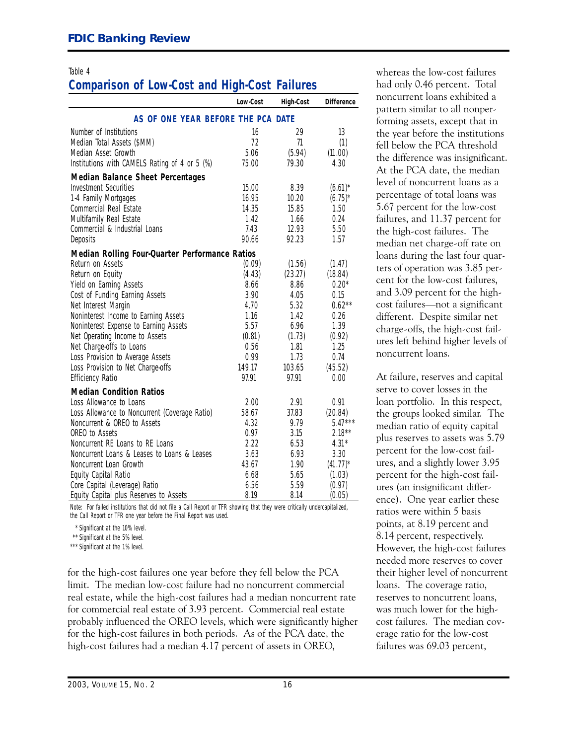# **Comparison of Low-Cost and High-Cost Failures** had only 0.46 percent. Total

|                                                | Low-Cost | <b>High-Cost</b> | <b>Difference</b> | noncurrent loans exhibited a                                     |
|------------------------------------------------|----------|------------------|-------------------|------------------------------------------------------------------|
| AS OF ONE YEAR BEFORE THE PCA DATE             |          |                  |                   | pattern similar to all nonper-<br>forming assets, except that in |
| Number of Institutions                         | 16       | 29               | 13                | the year before the institutions                                 |
| Median Total Assets (\$MM)                     | 72       | 71               | (1)               | fell below the PCA threshold                                     |
| Median Asset Growth                            | 5.06     | (5.94)           | (11.00)           |                                                                  |
| Institutions with CAMELS Rating of 4 or 5 (%)  | 75.00    | 79.30            | 4.30              | the difference was insignificant.                                |
| <b>Median Balance Sheet Percentages</b>        |          |                  |                   | At the PCA date, the median                                      |
| <b>Investment Securities</b>                   | 15.00    | 8.39             | $(6.61)^*$        | level of noncurrent loans as a                                   |
| 1-4 Family Mortgages                           | 16.95    | 10.20            | $(6.75)^*$        | percentage of total loans was                                    |
| Commercial Real Estate                         | 14.35    | 15.85            | 1.50              | 5.67 percent for the low-cost                                    |
| Multifamily Real Estate                        | 1.42     | 1.66             | 0.24              | failures, and 11.37 percent for                                  |
| Commercial & Industrial Loans                  | 7.43     | 12.93            | 5.50              | the high-cost failures. The                                      |
| Deposits                                       | 90.66    | 92.23            | 1.57              | median net charge-off rate on                                    |
| Median Rolling Four-Quarter Performance Ratios |          |                  |                   | loans during the last four quar-                                 |
| Return on Assets                               | (0.09)   | (1.56)           | (1.47)            |                                                                  |
| Return on Equity                               | (4.43)   | (23.27)          | (18.84)           | ters of operation was 3.85 per-                                  |
| Yield on Earning Assets                        | 8.66     | 8.86             | $0.20*$           | cent for the low-cost failures,                                  |
| Cost of Funding Earning Assets                 | 3.90     | 4.05             | 0.15              | and 3.09 percent for the high-                                   |
| Net Interest Margin                            | 4.70     | 5.32             | $0.62**$          | cost failures-not a significant                                  |
| Noninterest Income to Earning Assets           | 1.16     | 1.42             | 0.26              | different. Despite similar net                                   |
| Noninterest Expense to Earning Assets          | 5.57     | 6.96             | 1.39              | charge-offs, the high-cost fail-                                 |
| Net Operating Income to Assets                 | (0.81)   | (1.73)           | (0.92)            | ures left behind higher levels of                                |
| Net Charge-offs to Loans                       | 0.56     | 1.81             | 1.25              | noncurrent loans.                                                |
| Loss Provision to Average Assets               | 0.99     | 1.73             | 0.74              |                                                                  |
| Loss Provision to Net Charge-offs              | 149.17   | 103.65           | (45.52)           |                                                                  |
| <b>Efficiency Ratio</b>                        | 97.91    | 97.91            | 0.00              | At failure, reserves and capital                                 |
| <b>Median Condition Ratios</b>                 |          |                  |                   | serve to cover losses in the                                     |
| Loss Allowance to Loans                        | 2.00     | 2.91             | 0.91              | loan portfolio. In this respect,                                 |
| Loss Allowance to Noncurrent (Coverage Ratio)  | 58.67    | 37.83            | (20.84)           | the groups looked similar. The                                   |
| Noncurrent & OREO to Assets                    | 4.32     | 9.79             | $5.47***$         | median ratio of equity capital                                   |
| OREO to Assets                                 | 0.97     | 3.15             | $2.18***$         | plus reserves to assets was 5.79                                 |
| Noncurrent RE Loans to RE Loans                | 2.22     | 6.53             | $4.31*$           | percent for the low-cost fail-                                   |
| Noncurrent Loans & Leases to Loans & Leases    | 3.63     | 6.93             | 3.30              |                                                                  |
| Noncurrent Loan Growth                         | 43.67    | 1.90             | $(41.77)^*$       | ures, and a slightly lower 3.95                                  |
| Equity Capital Ratio                           | 6.68     | 5.65             | (1.03)            | percent for the high-cost fail-                                  |
| Core Capital (Leverage) Ratio                  | 6.56     | 5.59             | (0.97)            | ures (an insignificant differ-                                   |
| Equity Capital plus Reserves to Assets         | 8.19     | 8.14             | (0.05)            | $_{\rm ence})$ . One year earlier these                          |

Note: For failed institutions that did not file a Call Report or TFR showing that they were critically undercapitalized,<br>the Call Report or TFR one year before the Final Report was used. The Call Report or TFR one year bef

\*\* Significant at the 5% level.

for the high-cost failures one year before they fell below the PCA their higher level of noncurrent limit. The median low-cost failure had no noncurrent commercial loans. The coverage ratio, real estate, while the high-cost failures had a median noncurrent rate reserves to noncurrent loans, for commercial real estate of 3.93 percent. Commercial real estate was much lower for the highprobably influenced the OREO levels, which were significantly higher cost failures. The median covfor the high-cost failures in both periods. As of the PCA date, the erage ratio for the low-cost high-cost failures had a median 4.17 percent of assets in OREO, failures was 69.03 percent,

Table 4 whereas the low-cost failures noncurrent loans exhibited a pattern similar to all nonperforming assets, except that in the year before the institutions<br>fell below the PCA threshold 5.67 percent for the low-cost failures, and 11.37 percent for median net charge-off rate on and 3.09 percent for the highcost failures—not a significant different. Despite similar net

At failure, reserves and capital serve to cover losses in the loan portfolio. In this respect, the groups looked similar. The ures, and a slightly lower 3.95 percent for the high-cost failures (an insignificant differ-<br>ence). One year earlier these points, at 8.19 percent and 8.14 percent, respectively. \*\*\* Significant at the 1% level. **However, the high-cost failures** needed more reserves to cover

<sup>\*</sup> Significant at the 10% level.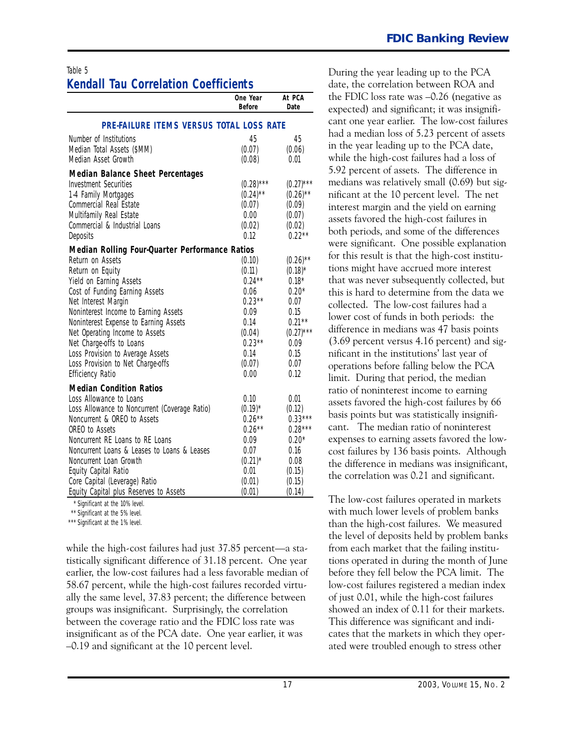|                                                                                                                                                                                                                                                                                                           | One Year<br><b>Before</b> | At PCA<br>Date         |  |  |  |
|-----------------------------------------------------------------------------------------------------------------------------------------------------------------------------------------------------------------------------------------------------------------------------------------------------------|---------------------------|------------------------|--|--|--|
| PRE-FAILURE ITEMS VERSUS TOTAL LOSS RATE                                                                                                                                                                                                                                                                  |                           |                        |  |  |  |
| Number of Institutions                                                                                                                                                                                                                                                                                    | 45                        | 45                     |  |  |  |
| Median Total Assets (\$MM)                                                                                                                                                                                                                                                                                | (0.07)                    | (0.06)                 |  |  |  |
| Median Asset Growth                                                                                                                                                                                                                                                                                       | (0.08)                    | 0.01                   |  |  |  |
| <b>Median Balance Sheet Percentages</b>                                                                                                                                                                                                                                                                   |                           |                        |  |  |  |
| <b>Investment Securities</b>                                                                                                                                                                                                                                                                              | $(0.28)$ ***              | $(0.27)$ ***           |  |  |  |
| 1-4 Family Mortgages                                                                                                                                                                                                                                                                                      | $(0.24)$ **               | $(0.26)$ <sup>**</sup> |  |  |  |
| Commercial Real Estate                                                                                                                                                                                                                                                                                    | (0.07)                    | (0.09)                 |  |  |  |
| Multifamily Real Estate                                                                                                                                                                                                                                                                                   | 0.00                      | (0.07)                 |  |  |  |
| Commercial & Industrial Loans                                                                                                                                                                                                                                                                             | (0.02)                    | (0.02)                 |  |  |  |
| Deposits                                                                                                                                                                                                                                                                                                  | 0.12                      | $0.22***$              |  |  |  |
| Median Rolling Four-Quarter Performance Ratios                                                                                                                                                                                                                                                            |                           |                        |  |  |  |
| Return on Assets                                                                                                                                                                                                                                                                                          | (0.10)                    | $(0.26)$ <sup>**</sup> |  |  |  |
| Return on Equity                                                                                                                                                                                                                                                                                          | (0.11)                    | $(0.18)^*$             |  |  |  |
| Yield on Earning Assets                                                                                                                                                                                                                                                                                   | $0.24***$                 | $0.18*$                |  |  |  |
| Cost of Funding Earning Assets                                                                                                                                                                                                                                                                            | 0.06                      | $0.20*$                |  |  |  |
| Net Interest Margin                                                                                                                                                                                                                                                                                       | $0.23**$                  | 0.07                   |  |  |  |
| Noninterest Income to Earning Assets                                                                                                                                                                                                                                                                      | 0.09                      | 0.15                   |  |  |  |
| Noninterest Expense to Earning Assets                                                                                                                                                                                                                                                                     | 0.14                      | $0.21**$               |  |  |  |
| Net Operating Income to Assets                                                                                                                                                                                                                                                                            | (0.04)                    | $(0.27)$ ***           |  |  |  |
| Net Charge-offs to Loans                                                                                                                                                                                                                                                                                  | $0.23***$                 | 0.09                   |  |  |  |
| Loss Provision to Average Assets                                                                                                                                                                                                                                                                          | 0.14                      | 0.15                   |  |  |  |
| Loss Provision to Net Charge-offs                                                                                                                                                                                                                                                                         | (0.07)                    | 0.07                   |  |  |  |
| <b>Efficiency Ratio</b>                                                                                                                                                                                                                                                                                   | 0.00                      | 0.12                   |  |  |  |
| <b>Median Condition Ratios</b>                                                                                                                                                                                                                                                                            |                           |                        |  |  |  |
| Loss Allowance to Loans                                                                                                                                                                                                                                                                                   | 0.10                      | 0.01                   |  |  |  |
| Loss Allowance to Noncurrent (Coverage Ratio)                                                                                                                                                                                                                                                             | $(0.19)^*$                | (0.12)                 |  |  |  |
| Noncurrent & OREO to Assets                                                                                                                                                                                                                                                                               | $0.26***$                 | $0.33***$              |  |  |  |
| OREO to Assets                                                                                                                                                                                                                                                                                            | $0.26**$                  | $0.28***$              |  |  |  |
| Noncurrent RE Loans to RE Loans                                                                                                                                                                                                                                                                           | 0.09                      | $0.20*$                |  |  |  |
| Noncurrent Loans & Leases to Loans & Leases                                                                                                                                                                                                                                                               | 0.07                      | 0.16                   |  |  |  |
| Noncurrent Loan Growth                                                                                                                                                                                                                                                                                    | $(0.21)^*$                | 0.08                   |  |  |  |
| Equity Capital Ratio                                                                                                                                                                                                                                                                                      | 0.01                      | (0.15)                 |  |  |  |
| Core Capital (Leverage) Ratio                                                                                                                                                                                                                                                                             | (0.01)                    | (0.15)                 |  |  |  |
| Equity Capital plus Reserves to Assets<br>$*$ $C1$ , $C1$ , $C2$ , $C3$ , $C4$ , $C4$ , $C5$ , $C5$ , $C6$ , $C6$ , $C6$ , $C6$ , $C6$ , $C6$ , $C6$ , $C6$ , $C6$ , $C6$ , $C6$ , $C6$ , $C6$ , $C6$ , $C6$ , $C6$ , $C6$ , $C6$ , $C6$ , $C6$ , $C6$ , $C6$ , $C6$ , $C6$ , $C6$ , $C6$ , $C6$ , $C6$ , | (0.01)                    | (0.14)                 |  |  |  |

Significant at the 10% level.

\* \*\* Significant at the 5% level.

\*\*\* Significant at the 1% level.

 groups was insignificant. Surprisingly, the correlation while the high-cost failures had just  $37.85$  percent-a statistically significant difference of 31.18 percent. One year earlier, the low-cost failures had a less favorable median of 58.67 percent, while the high-cost failures recorded virtually the same level, 37.83 percent; the difference between between the coverage ratio and the FDIC loss rate was insignificant as of the PCA date. One year earlier, it was -O.19 and significant at the 1O percent level.

 cant. The median ratio of noninterest During the year leading up to the PCA date, the correlation between ROA and the FDIC loss rate was  $-0.26$  (negative as expected) and significant; it was insignificant one year earlier. The low-cost failures had a median loss of 5.23 percent of assets in the year leading up to the PCA date, while the high-cost failures had a loss of 5.92 percent of assets. The difference in medians was relatively small (O.69) but significant at the 1O percent level. The net interest margin and the yield on earning assets favored the high-cost failures in both periods, and some of the differences were significant. One possible explanation for this result is that the high-cost institutions might have accrued more interest that was never subsequently collected, but this is hard to determine from the data we collected. The low-cost failures had a lower cost of funds in both periods: the difference in medians was 47 basis points (3.69 percent versus 4.16 percent) and significant in the institutions' last year of operations before falling below the PCA limit. During that period, the median ratio of noninterest income to earning assets favored the high-cost failures by 66 basis points but was statistically insignifiexpenses to earning assets favored the lowcost failures by 136 basis points. Although the difference in medians was insignificant, the correlation was O.21 and significant.

The low-cost failures operated in markets with much lower levels of problem banks than the high-cost failures. We measured the level of deposits held by problem banks from each market that the failing institutions operated in during the month of June before they fell below the PCA limit. The low-cost failures registered a median index of just 0.01, while the high-cost failures showed an index of O.11 for their markets. This difference was significant and indicates that the markets in which they operated were troubled enough to stress other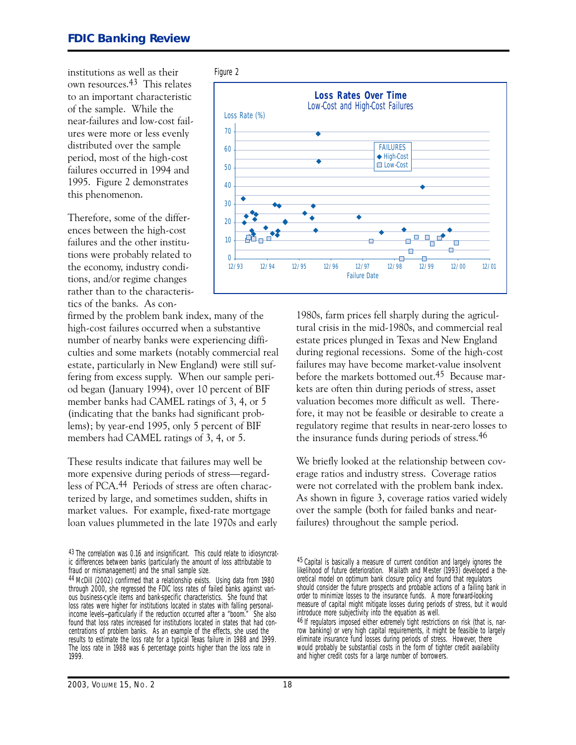institutions as well as their Figure 2 own resources.43 This relates to an important characteristic of the sample. While the near-failures and low-cost failures were more or less evenly distributed over the sample period, most of the high-cost failures occurred in 1994 and 1995. Figure 2 demonstrates this phenomenon.

Therefore, some of the differences between the high-cost failures and the other institutions were probably related to the economy, industry conditions, and/or regime changes rather than to the characteristics of the banks. As con-

firmed by the problem bank index, many of the high-cost failures occurred when a substantive number of nearby banks were experiencing difficulties and some markets (notably commercial real estate, particularly in New England) were still suffering from excess supply. When our sample period began (January 1994), over 1O percent of BIF member banks had CAMEL ratings of 3, 4, or 5 (indicating that the banks had significant problems); by year-end 1995, only 5 percent of BIF members had CAMEL ratings of 3, 4, or 5.

These results indicate that failures may well be more expensive during periods of stress—regardless of PCA.44 Periods of stress are often characterized by large, and sometimes sudden, shifts in market values. For example, fixed-rate mortgage loan values plummeted in the late 197Os and early

43 The correlation was 0.16 and insignificant. This could relate to idiosyncratic differences between banks (particularly the amount of loss attributable to fraud or mismanagement) and the small sample size.



198Os, farm prices fell sharply during the agricultural crisis in the mid-1980s, and commercial real estate prices plunged in Texas and New England during regional recessions. Some of the high-cost failures may have become market-value insolvent before the markets bottomed out.45 Because markets are often thin during periods of stress, asset valuation becomes more difficult as well. Therefore, it may not be feasible or desirable to create a regulatory regime that results in nearzero losses to the insurance funds during periods of stress.46

We briefly looked at the relationship between coverage ratios and industry stress. Coverage ratios were not correlated with the problem bank index. As shown in figure 3, coverage ratios varied widely over the sample (both for failed banks and nearfailures) throughout the sample period.

<sup>44</sup> McDill (2002) confirmed that a relationship exists. Using data from 1980 through 2000, she regressed the FDIC loss rates of failed banks against various business-cycle items and bank-specific characteristics. She found that loss rates were higher for institutions located in states with falling personalincome levels-particularly if the reduction occurred after a "boom." She also found that loss rates increased for institutions located in states that had concentrations of problem banks. As an example of the effects, she used the results to estimate the loss rate for a typical Texas failure in 1988 and 1999. The loss rate in 1988 was 6 percentage points higher than the loss rate in 1999.

<sup>45</sup> Capital is basically a measure of current condition and largely ignores the likelihood of future deterioration. Mailath and Mester (1993) developed a theoretical model on optimum bank closure policy and found that regulators should consider the future prospects and probable actions of a failing bank in order to minimize losses to the insurance funds. A more forward-looking measure of capital might mitigate losses during periods of stress, but it would introduce more subjectivity into the equation as well.

<sup>46</sup> If regulators imposed either extremely tight restrictions on risk (that is, narrow banking) or very high capital requirements, it might be feasible to largely eliminate insurance fund losses during periods of stress. However, there would probably be substantial costs in the form of tighter credit availability and higher credit costs for a large number of borrowers.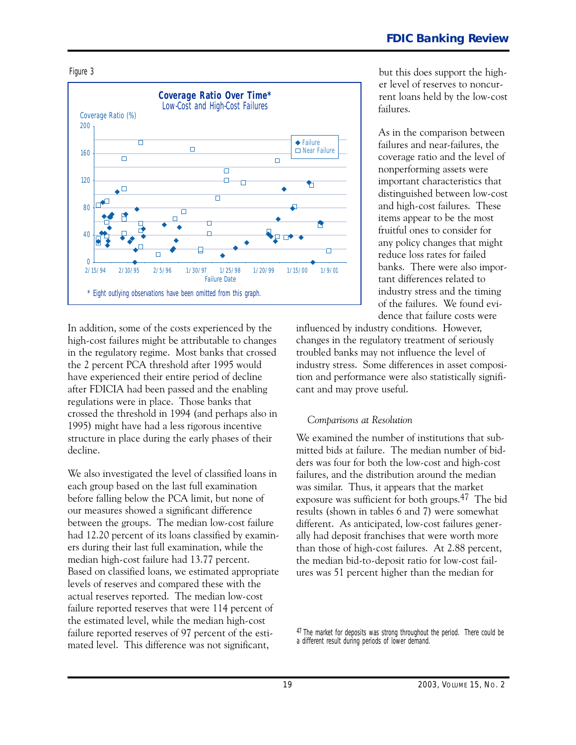



 decline. In addition, some of the costs experienced by the high-cost failures might be attributable to changes in the regulatory regime. Most banks that crossed the 2 percent PCA threshold after 1995 would have experienced their entire period of decline after FDICIA had been passed and the enabling regulations were in place. Those banks that crossed the threshold in 1994 (and perhaps also in 1995) might have had a less rigorous incentive structure in place during the early phases of their

We also investigated the level of classified loans in each group based on the last full examination before falling below the PCA limit, but none of our measures showed a significant difference between the groups. The median low-cost failure had 12.2O percent of its loans classified by examiners during their last full examination, while the median high-cost failure had 13.77 percent. Based on classified loans, we estimated appropriate levels of reserves and compared these with the actual reserves reported. The median low-cost failure reported reserves that were 114 percent of the estimated level, while the median high-cost failure reported reserves of 97 percent of the estimated level. This difference was not significant,

but this does support the higher level of reserves to noncurrent loans held by the low-cost failures.

As in the comparison between failures and near-failures, the coverage ratio and the level of nonperforming assets were important characteristics that distinguished between low-cost and high-cost failures. These items appear to be the most fruitful ones to consider for any policy changes that might reduce loss rates for failed banks. There were also important differences related to industry stress and the timing of the failures. We found evidence that failure costs were

influenced by industry conditions. However, changes in the regulatory treatment of seriously troubled banks may not influence the level of industry stress. Some differences in asset composition and performance were also statistically significant and may prove useful.

#### *Comparisons at Resolution*

We examined the number of institutions that submitted bids at failure. The median number of bidders was four for both the low-cost and high-cost failures, and the distribution around the median was similar. Thus, it appears that the market exposure was sufficient for both groups.47 The bid results (shown in tables 6 and 7) were somewhat different. As anticipated, low-cost failures generally had deposit franchises that were worth more than those of high-cost failures. At 2.88 percent, the median bid-to-deposit ratio for low-cost failures was 51 percent higher than the median for

47 The market for deposits was strong throughout the period. There could be a different result during periods of lower demand.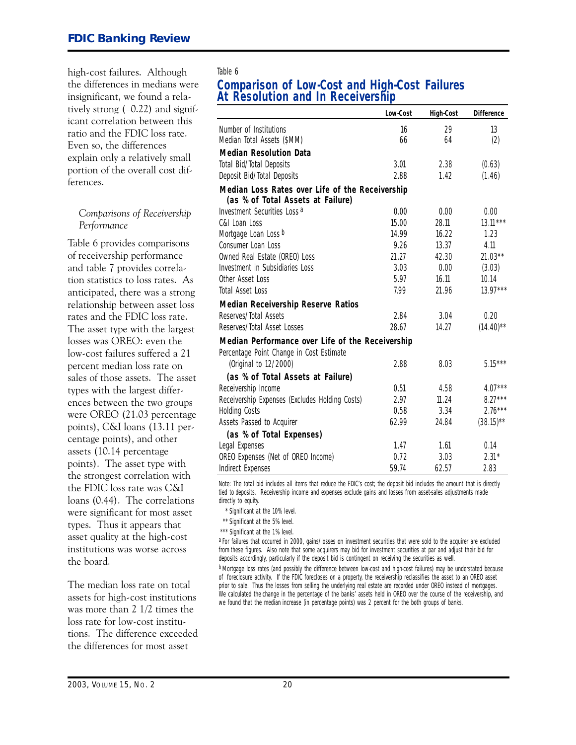high-cost failures. Although Table 6 tively strong  $(-0.22)$  and significant correlation between this ratio and the FDIC loss rate. Even so, the differences explain only a relatively small portion of the overall cost differences.

#### *Comparisons of Receivership Performance*

Table 6 provides comparisons of receivership performance and table 7 provides correlation statistics to loss rates. As anticipated, there was a strong relationship between asset loss rates and the FDIC loss rate. The asset type with the largest losses was OREO: even the low-cost failures suffered a 21 percent median loss rate on sales of those assets. The asset types with the largest differences between the two groups were OREO (21.O3 percentage points), C�I loans (13.11 percentage points), and other assets (1O.14 percentage points). The asset type with the strongest correlation with the FDIC loss rate was C�I loans (O.44). The correlations were significant for most asset types. Thus it appears that asset quality at the high-cost institutions was worse across the board.

The median loss rate on total assets for high-cost institutions was more than 2 1/2 times the loss rate for low-cost institutions. The difference exceeded the differences for most asset

### the differences in medians were **Comparison of Low-Cost and High-Cost Failures** At Resolution and In Receivership

| Number of Institutions<br>16<br>29<br>13<br>Median Total Assets (\$MM)<br>66<br>(2)<br>64<br><b>Median Resolution Data</b><br>Total Bid/Total Deposits<br>3.01<br>2.38<br>(0.63)<br>2.88<br>Deposit Bid/Total Deposits<br>1.42<br>(1.46)<br>Median Loss Rates over Life of the Receivership<br>(as % of Total Assets at Failure)<br>Investment Securities Loss <sup>a</sup><br>0.00<br>0.00<br>0.00<br>15.00<br>C&I Loan Loss<br>28.11<br>$13.11***$<br>Mortgage Loan Loss b<br>14.99<br>16.22<br>1.23<br>Consumer Loan Loss<br>9.26<br>13.37<br>4.11<br>21.27<br>Owned Real Estate (OREO) Loss<br>$21.03***$<br>42.30<br>Investment in Subsidiaries Loss<br>3.03<br>0.00<br>(3.03)<br>5.97<br>Other Asset Loss<br>10.14<br>16.11<br>$13.97***$<br>Total Asset Loss<br>7.99<br>21.96<br><b>Median Receivership Reserve Ratios</b><br>Reserves/Total Assets<br>2.84<br>3.04<br>0.20<br>Reserves/Total Asset Losses<br>28.67<br>14.27<br>$(14.40)$ **<br>Median Performance over Life of the Receivership |
|---------------------------------------------------------------------------------------------------------------------------------------------------------------------------------------------------------------------------------------------------------------------------------------------------------------------------------------------------------------------------------------------------------------------------------------------------------------------------------------------------------------------------------------------------------------------------------------------------------------------------------------------------------------------------------------------------------------------------------------------------------------------------------------------------------------------------------------------------------------------------------------------------------------------------------------------------------------------------------------------------------|
|                                                                                                                                                                                                                                                                                                                                                                                                                                                                                                                                                                                                                                                                                                                                                                                                                                                                                                                                                                                                         |
|                                                                                                                                                                                                                                                                                                                                                                                                                                                                                                                                                                                                                                                                                                                                                                                                                                                                                                                                                                                                         |
|                                                                                                                                                                                                                                                                                                                                                                                                                                                                                                                                                                                                                                                                                                                                                                                                                                                                                                                                                                                                         |
|                                                                                                                                                                                                                                                                                                                                                                                                                                                                                                                                                                                                                                                                                                                                                                                                                                                                                                                                                                                                         |
|                                                                                                                                                                                                                                                                                                                                                                                                                                                                                                                                                                                                                                                                                                                                                                                                                                                                                                                                                                                                         |
|                                                                                                                                                                                                                                                                                                                                                                                                                                                                                                                                                                                                                                                                                                                                                                                                                                                                                                                                                                                                         |
|                                                                                                                                                                                                                                                                                                                                                                                                                                                                                                                                                                                                                                                                                                                                                                                                                                                                                                                                                                                                         |
|                                                                                                                                                                                                                                                                                                                                                                                                                                                                                                                                                                                                                                                                                                                                                                                                                                                                                                                                                                                                         |
|                                                                                                                                                                                                                                                                                                                                                                                                                                                                                                                                                                                                                                                                                                                                                                                                                                                                                                                                                                                                         |
|                                                                                                                                                                                                                                                                                                                                                                                                                                                                                                                                                                                                                                                                                                                                                                                                                                                                                                                                                                                                         |
|                                                                                                                                                                                                                                                                                                                                                                                                                                                                                                                                                                                                                                                                                                                                                                                                                                                                                                                                                                                                         |
|                                                                                                                                                                                                                                                                                                                                                                                                                                                                                                                                                                                                                                                                                                                                                                                                                                                                                                                                                                                                         |
|                                                                                                                                                                                                                                                                                                                                                                                                                                                                                                                                                                                                                                                                                                                                                                                                                                                                                                                                                                                                         |
|                                                                                                                                                                                                                                                                                                                                                                                                                                                                                                                                                                                                                                                                                                                                                                                                                                                                                                                                                                                                         |
|                                                                                                                                                                                                                                                                                                                                                                                                                                                                                                                                                                                                                                                                                                                                                                                                                                                                                                                                                                                                         |
|                                                                                                                                                                                                                                                                                                                                                                                                                                                                                                                                                                                                                                                                                                                                                                                                                                                                                                                                                                                                         |
|                                                                                                                                                                                                                                                                                                                                                                                                                                                                                                                                                                                                                                                                                                                                                                                                                                                                                                                                                                                                         |
|                                                                                                                                                                                                                                                                                                                                                                                                                                                                                                                                                                                                                                                                                                                                                                                                                                                                                                                                                                                                         |
|                                                                                                                                                                                                                                                                                                                                                                                                                                                                                                                                                                                                                                                                                                                                                                                                                                                                                                                                                                                                         |
| Percentage Point Change in Cost Estimate<br>$5.15***$<br>(Original to 12/2000)<br>2.88<br>8.03                                                                                                                                                                                                                                                                                                                                                                                                                                                                                                                                                                                                                                                                                                                                                                                                                                                                                                          |
|                                                                                                                                                                                                                                                                                                                                                                                                                                                                                                                                                                                                                                                                                                                                                                                                                                                                                                                                                                                                         |
| (as % of Total Assets at Failure)                                                                                                                                                                                                                                                                                                                                                                                                                                                                                                                                                                                                                                                                                                                                                                                                                                                                                                                                                                       |
| Receivership Income<br>0.51<br>$4.07***$<br>4.58                                                                                                                                                                                                                                                                                                                                                                                                                                                                                                                                                                                                                                                                                                                                                                                                                                                                                                                                                        |
| 2.97<br>11.24<br>$8.27***$<br>Receivership Expenses (Excludes Holding Costs)<br>$2.76***$                                                                                                                                                                                                                                                                                                                                                                                                                                                                                                                                                                                                                                                                                                                                                                                                                                                                                                               |
| <b>Holding Costs</b><br>0.58<br>3.34<br>$(38.15)$ **<br>62.99<br>24.84                                                                                                                                                                                                                                                                                                                                                                                                                                                                                                                                                                                                                                                                                                                                                                                                                                                                                                                                  |
| Assets Passed to Acquirer                                                                                                                                                                                                                                                                                                                                                                                                                                                                                                                                                                                                                                                                                                                                                                                                                                                                                                                                                                               |
| (as % of Total Expenses)                                                                                                                                                                                                                                                                                                                                                                                                                                                                                                                                                                                                                                                                                                                                                                                                                                                                                                                                                                                |
| Legal Expenses<br>0.14<br>1.47<br>1.61<br>0.72<br>3.03<br>$2.31*$                                                                                                                                                                                                                                                                                                                                                                                                                                                                                                                                                                                                                                                                                                                                                                                                                                                                                                                                       |
| OREO Expenses (Net of OREO Income)<br>59.74<br>2.83<br>Indirect Expenses<br>62.57                                                                                                                                                                                                                                                                                                                                                                                                                                                                                                                                                                                                                                                                                                                                                                                                                                                                                                                       |

*Note:* The total bid includes all items that reduce the FDIC's cost; the deposit bid includes the amount that is directly tied to deposits. Receivership income and expenses exclude gains and losses from asset-sales adjustments made directly to equity.

\*\* \* Significant at the 10% level.

\*\* Significant at the 5% level. \*\*\* Significant at the 1% level.

a For failures that occurred in 2000, gains/losses on investment securities that were sold to the acquirer are excluded from these figures. Also note that some acquirers may bid for investment securities at par and adjust their bid for deposits accordingly, particularly if the deposit bid is contingent on receiving the securities as well.

b Mortgage loss rates (and possibly the difference between low-cost and high-cost failures) may be understated because of foreclosure activity. If the FDIC forecloses on a property, the receivership reclassifies the asset to an OREO asset prior to sale. Thus the losses from selling the underlying real estate are recorded under OREO instead of mortgages. We calculated the change in the percentage of the banks' assets held in OREO over the course of the receivership, and we found that the median increase (in percentage points) was 2 percent for the both groups of banks.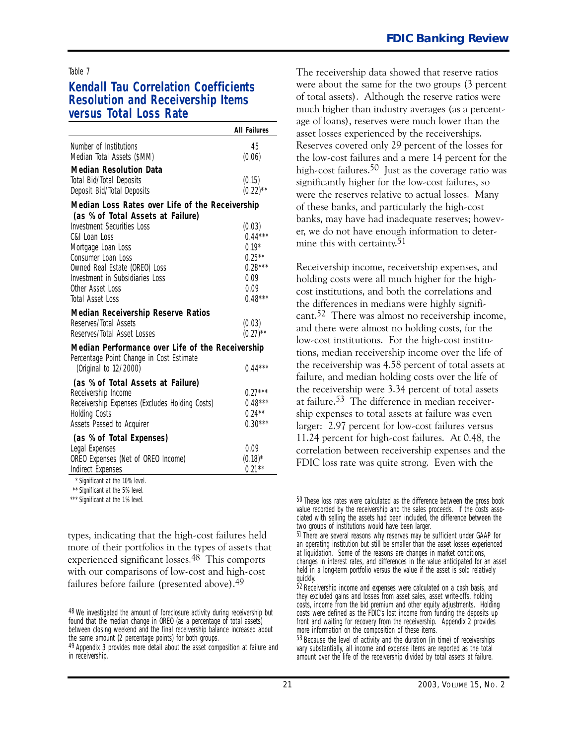#### **Kendall Tau Correlation Coefficients Resolution and Receivership Items versus Total Loss Rate**

|                                                                                                                                                                                                                                                                                  | <b>All Failures</b>                                                                             |
|----------------------------------------------------------------------------------------------------------------------------------------------------------------------------------------------------------------------------------------------------------------------------------|-------------------------------------------------------------------------------------------------|
| Number of Institutions<br>Median Total Assets (\$MM)                                                                                                                                                                                                                             | 45<br>(0.06)                                                                                    |
| <b>Median Resolution Data</b>                                                                                                                                                                                                                                                    |                                                                                                 |
| Total Bid/Total Deposits<br>Deposit Bid/Total Deposits                                                                                                                                                                                                                           | (0.15)<br>$(0.22)$ **                                                                           |
| Median Loss Rates over Life of the Receivership                                                                                                                                                                                                                                  |                                                                                                 |
| (as % of Total Assets at Failure)                                                                                                                                                                                                                                                |                                                                                                 |
| <b>Investment Securities Loss</b><br>C&L Loan Loss<br>Mortgage Loan Loss<br>Consumer Loan Loss<br>Owned Real Estate (OREO) Loss<br>Investment in Subsidiaries Loss<br>Other Asset Loss<br>Total Asset Loss<br><b>Median Receivership Reserve Ratios</b><br>Reserves/Total Assets | (0.03)<br>$0.44***$<br>$0.19*$<br>$0.25***$<br>$0.28***$<br>0.09<br>0.09<br>$0.48***$<br>(0.03) |
| Reserves/Total Asset Losses                                                                                                                                                                                                                                                      | $(0.27)^{**}$                                                                                   |
| Median Performance over Life of the Receivership                                                                                                                                                                                                                                 |                                                                                                 |
| Percentage Point Change in Cost Estimate                                                                                                                                                                                                                                         |                                                                                                 |
| (Original to 12/2000)                                                                                                                                                                                                                                                            | $0.44***$                                                                                       |
| (as % of Total Assets at Failure)<br>Receivership Income<br>Receivership Expenses (Excludes Holding Costs)<br><b>Holding Costs</b><br>Assets Passed to Acquirer                                                                                                                  | $0.27***$<br>$0.48***$<br>$0.24***$<br>$0.30***$                                                |
| (as % of Total Expenses)                                                                                                                                                                                                                                                         |                                                                                                 |
| Legal Expenses<br>OREO Expenses (Net of OREO Income)<br>Indirect Expenses                                                                                                                                                                                                        | 0.09<br>$(0.18)^*$<br>$0.21***$                                                                 |

\*\* \* Significant at the 10% level.

\*\* Significant at the 5% level. \*\*\* Significant at the 1% level.

types, indicating that the high-cost failures held more of their portfolios in the types of assets that experienced significant losses.48 This comports with our comparisons of low-cost and high-cost failures before failure (presented above).49

The receivership data showed that reserve ratios were about the same for the two groups (3 percent of total assets). Although the reserve ratios were much higher than industry averages (as a percentage of loans), reserves were much lower than the asset losses experienced by the receiverships. Reserves covered only 29 percent of the losses for the low-cost failures and a mere 14 percent for the high-cost failures.<sup>50</sup> Just as the coverage ratio was significantly higher for the low-cost failures, so were the reserves relative to actual losses. Many of these banks, and particularly the high-cost banks, may have had inadequate reserves; however, we do not have enough information to determine this with certainty.51

Receivership income, receivership expenses, and holding costs were all much higher for the highcost institutions, and both the correlations and the differences in medians were highly significant.52 There was almost no receivership income, and there were almost no holding costs, for the low-cost institutions. For the high-cost institutions, median receivership income over the life of the receivership was 4.58 percent of total assets at failure, and median holding costs over the life of the receivership were 3.34 percent of total assets at failure.53 The difference in median receivership expenses to total assets at failure was even larger: 2.97 percent for low-cost failures versus 11.24 percent for high-cost failures. At  $0.48$ , the correlation between receivership expenses and the FDIC loss rate was quite strong. Even with the

<sup>48</sup> We investigated the amount of foreclosure activity during receivership but found that the median change in OREO (as a percentage of total assets) between closing weekend and the final receivership balance increased about the same amount (2 percentage points) for both groups.

<sup>49</sup> Appendix 3 provides more detail about the asset composition at failure and in receivership.

<sup>50</sup> These loss rates were calculated as the difference between the gross book value recorded by the receivership and the sales proceeds. If the costs associated with selling the assets had been included, the difference between the two groups of institutions would have been larger.

<sup>51</sup> There are several reasons why reserves may be sufficient under GAAP for an operating institution but still be smaller than the asset losses experienced at liquidation. Some of the reasons are changes in market conditions, changes in interest rates, and differences in the value anticipated for an asset held in a long-term portfolio versus the value if the asset is sold relatively quickly.

<sup>52</sup> Receivership income and expenses were calculated on a cash basis, and they excluded gains and losses from asset sales, asset write-offs, holding costs, income from the bid premium and other equity adjustments. Holding costs were defined as the FDIC's lost income from funding the deposits up front and waiting for recovery from the receivership. Appendix 2 provides more information on the composition of these items.

<sup>53</sup> Because the level of activity and the duration (in time) of receiverships vary substantially, all income and expense items are reported as the total amount over the life of the receivership divided by total assets at failure.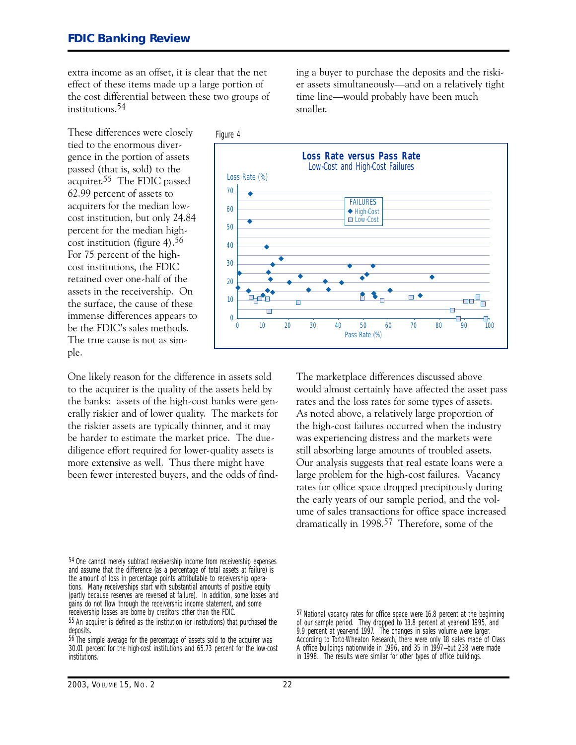extra income as an offset, it is clear that the net effect of these items made up a large portion of the cost differential between these two groups of institutions.54

These differences were closely Figure 4 tied to the enormous divergence in the portion of assets passed (that is, sold) to the acquirer.55 The FDIC passed 62.99 percent of assets to acquirers for the median lowcost institution, but only 24.84 percent for the median highcost institution (figure 4).56 For 75 percent of the highcost institutions, the FDIC retained over one-half of the assets in the receivership. On the surface, the cause of these immense differences appears to be the FDIC's sales methods. The true cause is not as simple.

One likely reason for the difference in assets sold to the acquirer is the quality of the assets held by the banks: assets of the high-cost banks were generally riskier and of lower quality. The markets for the riskier assets are typically thinner, and it may be harder to estimate the market price. The duediligence effort required for lower-quality assets is more extensive as well. Thus there might have been fewer interested buyers, and the odds of find-

54 One cannot merely subtract receivership income from receivership expenses and assume that the difference (as a percentage of total assets at failure) is the amount of loss in percentage points attributable to receivership operations. Many receiverships start with substantial amounts of positive equity (partly because reserves are reversed at failure). In addition, some losses and gains do not flow through the receivership income statement, and some receivership losses are borne by creditors other than the FDIC.

ing a buyer to purchase the deposits and the riskier assets simultaneously-and on a relatively tight time line-would probably have been much smaller.



The marketplace differences discussed above would almost certainly have affected the asset pass rates and the loss rates for some types of assets. As noted above, a relatively large proportion of the high-cost failures occurred when the industry was experiencing distress and the markets were still absorbing large amounts of troubled assets. Our analysis suggests that real estate loans were a large problem for the high-cost failures. Vacancy rates for office space dropped precipitously during the early years of our sample period, and the volume of sales transactions for office space increased dramatically in 1998.57 Therefore, some of the

<sup>55</sup> An acquirer is defined as the institution (or institutions) that purchased the deposits.

<sup>56</sup> The simple average for the percentage of assets sold to the acquirer was 30.01 percent for the high-cost institutions and 65.73 percent for the low-cost institutions.

<sup>57</sup> National vacancy rates for office space were 16.8 percent at the beginning of our sample period. They dropped to 13.8 percent at year-end 1995, and 9.9 percent at year-end 1997. The changes in sales volume were larger. According to Torto-Wheaton Research, there were only 18 sales made of Class A office buildings nationwide in 1996, and 35 in 1997—but 238 were made in 1998. The results were similar for other types of office buildings.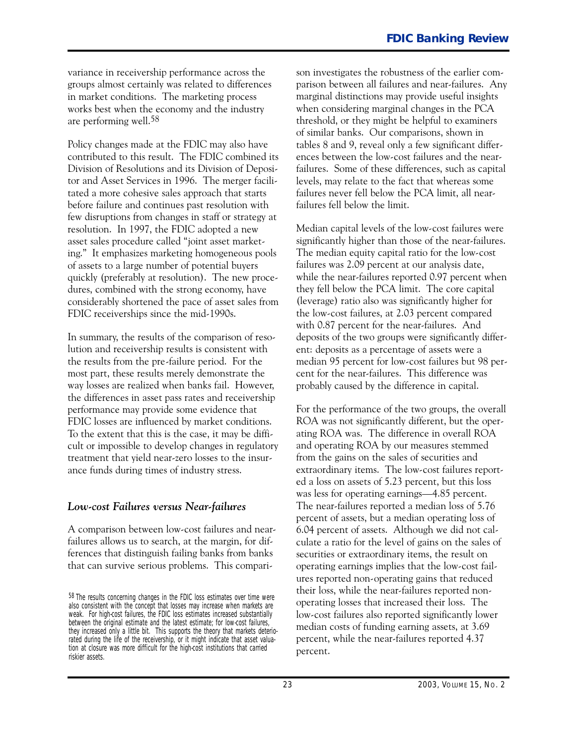variance in receivership performance across the groups almost certainly was related to differences in market conditions. The marketing process works best when the economy and the industry are performing well.58

Policy changes made at the FDIC may also have contributed to this result. The FDIC combined its Division of Resolutions and its Division of Depositor and Asset Services in 1996. The merger facilitated a more cohesive sales approach that starts before failure and continues past resolution with few disruptions from changes in staff or strategy at resolution. In 1997, the FDIC adopted a new asset sales procedure called "joint asset marketing." It emphasizes marketing homogeneous pools of assets to a large number of potential buyers quickly (preferably at resolution). The new procedures, combined with the strong economy, have considerably shortened the pace of asset sales from FDIC receiverships since the mid-1990s.

In summary, the results of the comparison of resolution and receivership results is consistent with the results from the pre-failure period. For the most part, these results merely demonstrate the way losses are realized when banks fail. However, the differences in asset pass rates and receivership performance may provide some evidence that FDIC losses are influenced by market conditions. To the extent that this is the case, it may be difficult or impossible to develop changes in regulatory treatment that yield nearzero losses to the insurance funds during times of industry stress.

#### *Low-cost Failures versus Near-failures*

A comparison between low-cost failures and nearfailures allows us to search, at the margin, for differences that distinguish failing banks from banks that can survive serious problems. This comparison investigates the robustness of the earlier comparison between all failures and near-failures. Any marginal distinctions may provide useful insights when considering marginal changes in the PCA threshold, or they might be helpful to examiners of similar banks. Our comparisons, shown in tables 8 and 9, reveal only a few significant differences between the low-cost failures and the nearfailures. Some of these differences, such as capital levels, may relate to the fact that whereas some failures never fell below the PCA limit, all nearfailures fell below the limit.

Median capital levels of the low-cost failures were significantly higher than those of the near-failures. The median equity capital ratio for the low-cost failures was 2.O9 percent at our analysis date, while the near-failures reported 0.97 percent when they fell below the PCA limit. The core capital (leverage) ratio also was significantly higher for the low-cost failures, at 2.03 percent compared with 0.87 percent for the near-failures. And deposits of the two groups were significantly different: deposits as a percentage of assets were a median 95 percent for low-cost failures but 98 percent for the near-failures. This difference was probably caused by the difference in capital.

For the performance of the two groups, the overall ROA was not significantly different, but the operating ROA was. The difference in overall ROA and operating ROA by our measures stemmed from the gains on the sales of securities and extraordinary items. The low-cost failures reported a loss on assets of 5.23 percent, but this loss was less for operating earnings—4.85 percent. The near-failures reported a median loss of 5.76 percent of assets, but a median operating loss of 6.O4 percent of assets. Although we did not calculate a ratio for the level of gains on the sales of securities or extraordinary items, the result on operating earnings implies that the lowcost failures reported non-operating gains that reduced their loss, while the near-failures reported nonoperating losses that increased their loss. The low-cost failures also reported significantly lower median costs of funding earning assets, at 3.69 percent, while the near-failures reported 4.37 percent.

<sup>58</sup> The results concerning changes in the FDIC loss estimates over time were also consistent with the concept that losses may increase when markets are weak. For high-cost failures, the FDIC loss estimates increased substantially between the original estimate and the latest estimate; for low-cost failures, they increased only a little bit. This supports the theory that markets deteriorated during the life of the receivership, or it might indicate that asset valuation at closure was more difficult for the high-cost institutions that carried riskier assets.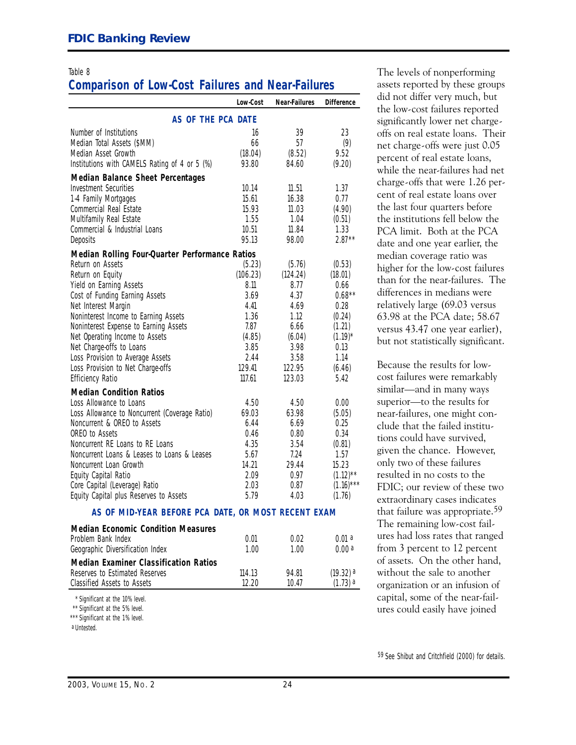# **Comparison of Low-Cost Failures and Near-Failures**

|                                                     | Low-Cost | <b>Near-Failures</b> | <b>Difference</b> |  |
|-----------------------------------------------------|----------|----------------------|-------------------|--|
| AS OF THE PCA DATE                                  |          |                      |                   |  |
| Number of Institutions                              | 16       | 39                   | 23                |  |
| Median Total Assets (\$MM)                          | 66       | 57                   | (9)               |  |
| Median Asset Growth                                 | (18.04)  | (8.52)               | 9.52              |  |
| Institutions with CAMELS Rating of 4 or 5 (%)       | 93.80    | 84.60                | (9.20)            |  |
| <b>Median Balance Sheet Percentages</b>             |          |                      |                   |  |
| <b>Investment Securities</b>                        | 10.14    | 11.51                | 1.37              |  |
| 1-4 Family Mortgages                                | 15.61    | 16.38                | 0.77              |  |
| Commercial Real Estate                              | 15.93    | 11.03                | (4.90)            |  |
| Multifamily Real Estate                             | 1.55     | 1.04                 | (0.51)            |  |
| Commercial & Industrial Loans                       | 10.51    | 11.84                | 1.33              |  |
| Deposits                                            | 95.13    | 98.00                | $2.87**$          |  |
| Median Rolling Four-Quarter Performance Ratios      |          |                      |                   |  |
| Return on Assets                                    | (5.23)   | (5.76)               | (0.53)            |  |
| Return on Equity                                    | (106.23) | (124.24)             | (18.01)           |  |
| Yield on Earning Assets                             | 8.11     | 8.77                 | 0.66              |  |
| Cost of Funding Earning Assets                      | 3.69     | 4.37                 | $0.68**$          |  |
| Net Interest Margin                                 | 4.41     | 4.69                 | 0.28              |  |
| Noninterest Income to Earning Assets                | 1.36     | 1.12                 | (0.24)            |  |
| Noninterest Expense to Earning Assets               | 7.87     | 6.66                 | (1.21)            |  |
| Net Operating Income to Assets                      | (4.85)   | (6.04)               | $(1.19)^*$        |  |
| Net Charge-offs to Loans                            | 3.85     | 3.98                 | 0.13              |  |
| Loss Provision to Average Assets                    | 2.44     | 3.58                 | 1.14              |  |
| Loss Provision to Net Charge-offs                   | 129.41   | 122.95               | (6.46)            |  |
| <b>Efficiency Ratio</b>                             | 117.61   | 123.03               | 5.42              |  |
| <b>Median Condition Ratios</b>                      |          |                      |                   |  |
| Loss Allowance to Loans                             | 4.50     | 4.50                 | 0.00              |  |
| Loss Allowance to Noncurrent (Coverage Ratio)       | 69.03    | 63.98                | (5.05)            |  |
| Noncurrent & OREO to Assets                         | 6.44     | 6.69                 | 0.25              |  |
| OREO to Assets                                      | 0.46     | 0.80                 | 0.34              |  |
| Noncurrent RE Loans to RE Loans                     | 4.35     | 3.54                 | (0.81)            |  |
| Noncurrent Loans & Leases to Loans & Leases         | 5.67     | 7.24                 | 1.57              |  |
| Noncurrent Loan Growth                              | 14.21    | 29.44                | 15.23             |  |
| Equity Capital Ratio                                | 2.09     | 0.97                 | $(1.12)$ **       |  |
| Core Capital (Leverage) Ratio                       | 2.03     | 0.87                 | $(1.16)$ ***      |  |
| Equity Capital plus Reserves to Assets              | 5.79     | 4.03                 | (1.76)            |  |
| AS OF MID-YEAR BEFORE PCA DATE. OR MOST RECENT EXAM |          |                      |                   |  |

#### **AS OF MID-YEAR BEFORE PCA DATE, OR MOST RECENT EXAM**

| <b>Median Economic Condition Measures</b>    |        |       |                       |
|----------------------------------------------|--------|-------|-----------------------|
| Problem Bank Index                           | 0.01   | 0.02  | 001a                  |
| Geographic Diversification Index             | 1.00   | 1.00. | n nn a                |
| <b>Median Examiner Classification Ratios</b> |        |       |                       |
| Reserves to Estimated Reserves               | 114.13 | 94.81 | $(19.32)$ a           |
| Classified Assets to Assets                  | 12 20  | 10 47 | $(1.73)$ <sup>a</sup> |

\*\* \* Significant at the 10% level.

\*\* Significant at the 5% level.

\*\*\* Significant at the 1% level.

Table 8 Table 8 The levels of nonperforming assets reported by these groups did not differ very much, but the low-cost failures reported significantly lower net chargeoffs on real estate loans. Their net charge-offs were just 0.05 percent of real estate loans, while the near-failures had net charge-offs that were 1.26 percent of real estate loans over the last four quarters before the institutions fell below the PCA limit. Both at the PCA date and one year earlier, the median coverage ratio was higher for the low-cost failures than for the near-failures. The differences in medians were relatively large (69.O3 versus 63.98 at the PCA date; 58.67 versus 43.47 one year earlier), but not statistically significant.

> Because the results for lowcost failures were remarkably similar-and in many ways superior-to the results for near-failures, one might conclude that the failed institutions could have survived, given the chance. However, only two of these failures resulted in no costs to the FDIC; our review of these two extraordinary cases indicates that failure was appropriate.59 The remaining low-cost failures had loss rates that ranged from 3 percent to 12 percent of assets. On the other hand, without the sale to another organization or an infusion of capital, some of the near-failures could easily have joined

59 See Shibut and Critchfield (2000) for details.

a Untested.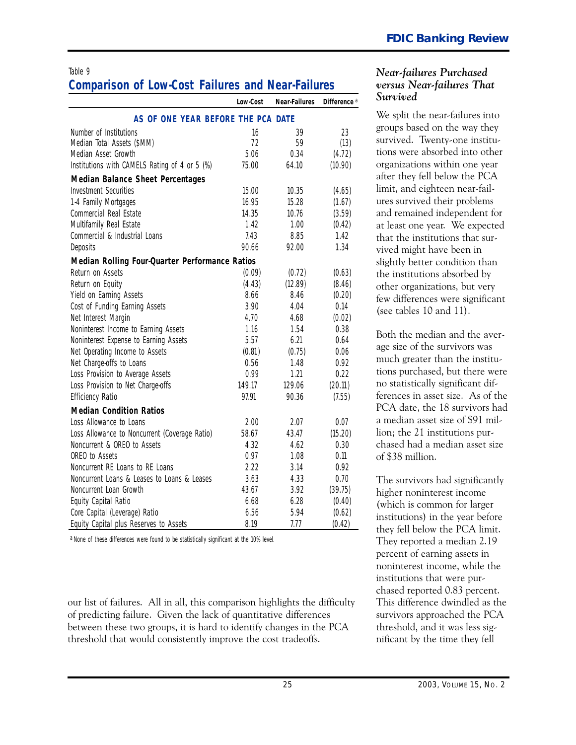#### Table 9 *Near-failures Purchased* **Comparison of Low-Cost Failures and Near-Failures** *versus Near-failures That*

|                                                | Low-Cost | <b>Near-Failures</b> | Difference <sup>a</sup> |  |  |
|------------------------------------------------|----------|----------------------|-------------------------|--|--|
| AS OF ONE YEAR BEFORE THE PCA DATE             |          |                      |                         |  |  |
| Number of Institutions                         | 16       | 39                   | 23                      |  |  |
| Median Total Assets (\$MM)                     | 72       | 59                   | (13)                    |  |  |
| Median Asset Growth                            | 5.06     | 0.34                 | (4.72)                  |  |  |
| Institutions with CAMELS Rating of 4 or 5 (%)  | 75.00    | 64.10                | (10.90)                 |  |  |
| <b>Median Balance Sheet Percentages</b>        |          |                      |                         |  |  |
| <b>Investment Securities</b>                   | 15.00    | 10.35                | (4.65)                  |  |  |
| 1-4 Family Mortgages                           | 16.95    | 15.28                | (1.67)                  |  |  |
| Commercial Real Estate                         | 14.35    | 10.76                | (3.59)                  |  |  |
| Multifamily Real Estate                        | 1.42     | 1.00                 | (0.42)                  |  |  |
| Commercial & Industrial Loans                  | 7.43     | 8.85                 | 1.42                    |  |  |
| Deposits                                       | 90.66    | 92.00                | 1.34                    |  |  |
| Median Rolling Four-Quarter Performance Ratios |          |                      |                         |  |  |
| Return on Assets                               | (0.09)   | (0.72)               | (0.63)                  |  |  |
| Return on Equity                               | (4.43)   | (12.89)              | (8.46)                  |  |  |
| Yield on Earning Assets                        | 8.66     | 8.46                 | (0.20)                  |  |  |
| Cost of Funding Earning Assets                 | 3.90     | 4.04                 | 0.14                    |  |  |
| Net Interest Margin                            | 4.70     | 4.68                 | (0.02)                  |  |  |
| Noninterest Income to Earning Assets           | 1.16     | 1.54                 | 0.38                    |  |  |
| Noninterest Expense to Earning Assets          | 5.57     | 6.21                 | 0.64                    |  |  |
| Net Operating Income to Assets                 | (0.81)   | (0.75)               | 0.06                    |  |  |
| Net Charge-offs to Loans                       | 0.56     | 1.48                 | 0.92                    |  |  |
| Loss Provision to Average Assets               | 0.99     | 1.21                 | 0.22                    |  |  |
| Loss Provision to Net Charge-offs              | 149.17   | 129.06               | (20.11)                 |  |  |
| <b>Efficiency Ratio</b>                        | 97.91    | 90.36                | (7.55)                  |  |  |
| <b>Median Condition Ratios</b>                 |          |                      |                         |  |  |
| Loss Allowance to Loans                        | 2.00     | 2.07                 | 0.07                    |  |  |
| Loss Allowance to Noncurrent (Coverage Ratio)  | 58.67    | 43.47                | (15.20)                 |  |  |
| Noncurrent & OREO to Assets                    | 4.32     | 4.62                 | 0.30                    |  |  |
| OREO to Assets                                 | 0.97     | 1.08                 | 0.11                    |  |  |
| Noncurrent RE Loans to RE Loans                | 2.22     | 3.14                 | 0.92                    |  |  |
| Noncurrent Loans & Leases to Loans & Leases    | 3.63     | 4.33                 | 0.70                    |  |  |
| Noncurrent Loan Growth                         | 43.67    | 3.92                 | (39.75)                 |  |  |
| Equity Capital Ratio                           | 6.68     | 6.28                 | (0.40)                  |  |  |
| Core Capital (Leverage) Ratio                  | 6.56     | 5.94                 | (0.62)                  |  |  |
| Equity Capital plus Reserves to Assets         | 8.19     | 7.77                 | (0.42)                  |  |  |

a None of these differences were found to be statistically significant at the 10% level.

our list of failures. All in all, this comparison highlights the difficulty of predicting failure. Given the lack of quantitative differences between these two groups, it is hard to identify changes in the PCA threshold that would consistently improve the cost tradeoffs.

# *Survived*

We split the near-failures into groups based on the way they survived. Twenty-one institutions were absorbed into other organizations within one year after they fell below the PCA limit, and eighteen near-failures survived their problems and remained independent for at least one year. We expected that the institutions that survived might have been in slightly better condition than the institutions absorbed by other organizations, but very few differences were significant (see tables 1O and 11).

Both the median and the average size of the survivors was much greater than the institutions purchased, but there were no statistically significant differences in asset size. As of the PCA date, the 18 survivors had a median asset size of \$91 million; the 21 institutions purchased had a median asset size of \$38 million.

The survivors had significantly higher noninterest income (which is common for larger institutions) in the year before they fell below the PCA limit. They reported a median 2.19 percent of earning assets in noninterest income, while the institutions that were purchased reported O.83 percent. This difference dwindled as the survivors approached the PCA threshold, and it was less significant by the time they fell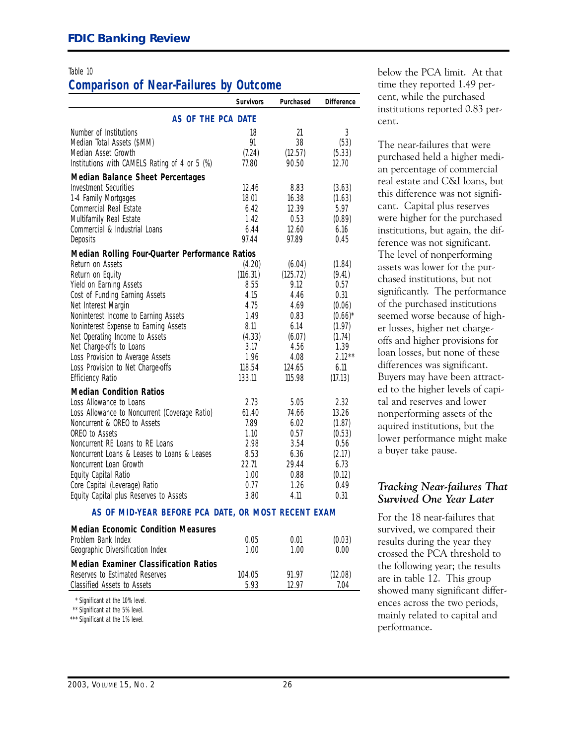#### Table 10

# **Comparison of Near-Failures by Outcome**

|                                                                                                          |                                                                                                          | AS OF THE PCA DATE                                                                                                   |  |  |  |  |  |  |
|----------------------------------------------------------------------------------------------------------|----------------------------------------------------------------------------------------------------------|----------------------------------------------------------------------------------------------------------------------|--|--|--|--|--|--|
| 18<br>91<br>(7.24)                                                                                       | 21<br>38<br>(12.57)                                                                                      | 3<br>(53)<br>(5.33)                                                                                                  |  |  |  |  |  |  |
|                                                                                                          |                                                                                                          | 12.70                                                                                                                |  |  |  |  |  |  |
| 12.46<br>18.01<br>6.42<br>1.42<br>6.44                                                                   | 8.83<br>16.38<br>12.39<br>0.53<br>12.60                                                                  | (3.63)<br>(1.63)<br>5.97<br>(0.89)<br>6.16<br>0.45                                                                   |  |  |  |  |  |  |
|                                                                                                          |                                                                                                          |                                                                                                                      |  |  |  |  |  |  |
| (4.20)<br>(116.31)<br>8.55<br>4.15<br>4.75<br>1.49<br>8.11<br>(4.33)<br>3.17<br>1.96<br>118.54<br>133.11 | (6.04)<br>(125.72)<br>9.12<br>4.46<br>4.69<br>0.83<br>6.14<br>(6.07)<br>4.56<br>4.08<br>124.65<br>115.98 | (1.84)<br>(9.41)<br>0.57<br>0.31<br>(0.06)<br>$(0.66)^*$<br>(1.97)<br>(1.74)<br>1.39<br>$2.12***$<br>6.11<br>(17.13) |  |  |  |  |  |  |
| 2.73<br>61.40<br>7.89<br>1.10<br>2.98<br>8.53<br>22.71<br>1.00<br>0.77<br>3.80                           | 5.05<br>74.66<br>6.02<br>0.57<br>3.54<br>6.36<br>29.44<br>0.88<br>1.26<br>4.11                           | 2.32<br>13.26<br>(1.87)<br>(0.53)<br>0.56<br>(2.17)<br>6.73<br>(0.12)<br>0.49<br>0.31                                |  |  |  |  |  |  |
|                                                                                                          | 77.80<br>97.44<br>Median Rolling Four-Quarter Performance Ratios                                         | 90.50<br>97.89<br>AS OF MID-YFAR REFORE PCA DATE. OR MOST RECENT EXAM                                                |  |  |  |  |  |  |

#### **AS OF MID-YEAR BEFORE PCA DATE, OR MOST RECENT EXAM**

| <b>Median Economic Condition Measures</b>    |        |       |         |
|----------------------------------------------|--------|-------|---------|
| Problem Bank Index                           | 0.05   | 0.01  | (0.03)  |
| Geographic Diversification Index             | 1.00   | 1 00  | 0.00    |
| <b>Median Examiner Classification Ratios</b> |        |       |         |
| Reserves to Estimated Reserves               | 104.05 | 91.97 | (12.08) |
| Classified Assets to Assets                  | 593    | 12 97 | 7.04    |
|                                              |        |       |         |

\*\* \* Significant at the 10% level.

\* \*\* Significant at the 5% level.

\*\*\* Significant at the 1% level.

below the PCA limit. At that time they reported 1.49 percent, while the purchased institutions reported O.83 percent.

The near-failures that were purchased held a higher median percentage of commercial real estate and C�I loans, but this difference was not significant. Capital plus reserves were higher for the purchased institutions, but again, the difference was not significant. The level of nonperforming assets was lower for the purchased institutions, but not significantly. The performance of the purchased institutions seemed worse because of higher losses, higher net chargeoffs and higher provisions for loan losses, but none of these differences was significant. Buyers may have been attracted to the higher levels of capital and reserves and lower nonperforming assets of the aquired institutions, but the lower performance might make a buyer take pause.

#### *Tracking Near-failures That Survived One Year Later*

For the 18 near-failures that survived, we compared their results during the year they crossed the PCA threshold to the following year; the results are in table 12. This group showed many significant differences across the two periods, mainly related to capital and performance.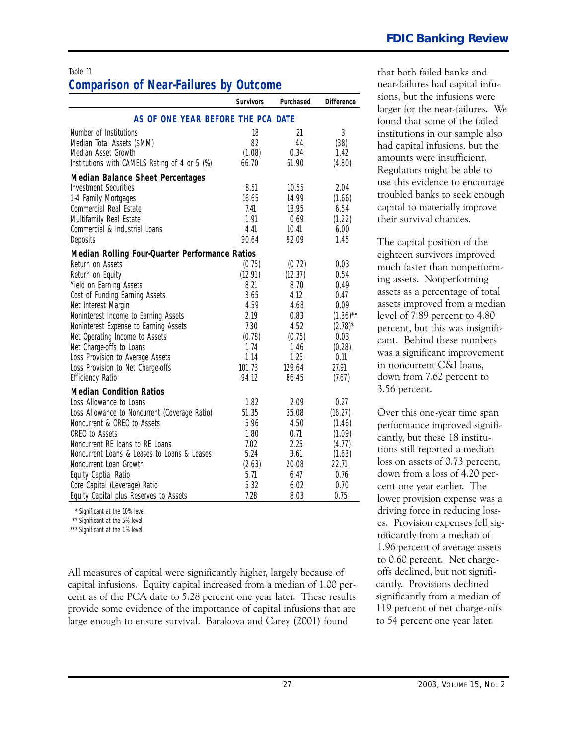# **Comparison of Near-Failures by Outcome**

|                                                | <b>Survivors</b> | Purchased | <b>Difference</b> |  |  |  |  |
|------------------------------------------------|------------------|-----------|-------------------|--|--|--|--|
| AS OF ONE YEAR BEFORE THE PCA DATE             |                  |           |                   |  |  |  |  |
| Number of Institutions                         | 18               | 21        | 3                 |  |  |  |  |
| Median Total Assets (\$MM)                     | 82               | 44        | (38)              |  |  |  |  |
| Median Asset Growth                            | (1.08)           | 0.34      | 1.42              |  |  |  |  |
| Institutions with CAMELS Rating of 4 or 5 (%)  | 66.70            | 61.90     | (4.80)            |  |  |  |  |
| <b>Median Balance Sheet Percentages</b>        |                  |           |                   |  |  |  |  |
| <b>Investment Securities</b>                   | 8.51             | 10.55     | 2.04              |  |  |  |  |
| 1-4 Family Mortgages                           | 16.65            | 14.99     | (1.66)            |  |  |  |  |
| Commercial Real Estate                         | 7.41             | 13.95     | 6.54              |  |  |  |  |
| Multifamily Real Estate                        | 1.91             | 0.69      | (1.22)            |  |  |  |  |
| Commercial & Industrial Loans                  | 4.41             | 10.41     | 6.00              |  |  |  |  |
| Deposits                                       | 90.64            | 92.09     | 1.45              |  |  |  |  |
| Median Rolling Four-Quarter Performance Ratios |                  |           |                   |  |  |  |  |
| Return on Assets                               | (0.75)           | (0.72)    | 0.03              |  |  |  |  |
| Return on Equity                               | (12.91)          | (12.37)   | 0.54              |  |  |  |  |
| Yield on Earning Assets                        | 8.21             | 8.70      | 0.49              |  |  |  |  |
| Cost of Funding Earning Assets                 | 3.65             | 4.12      | 0.47              |  |  |  |  |
| Net Interest Margin                            | 4.59             | 4.68      | 0.09              |  |  |  |  |
| Noninterest Income to Earning Assets           | 2.19             | 0.83      | $(1.36)$ **       |  |  |  |  |
| Noninterest Expense to Earning Assets          | 7.30             | 4.52      | $(2.78)^*$        |  |  |  |  |
| Net Operating Income to Assets                 | (0.78)           | (0.75)    | 0.03              |  |  |  |  |
| Net Charge-offs to Loans                       | 1.74             | 1.46      | (0.28)            |  |  |  |  |
| Loss Provision to Average Assets               | 1.14             | 1.25      | 0.11              |  |  |  |  |
| Loss Provision to Net Charge-offs              | 101.73           | 129.64    | 27.91             |  |  |  |  |
| <b>Efficiency Ratio</b>                        | 94.12            | 86.45     | (7.67)            |  |  |  |  |
| <b>Median Condition Ratios</b>                 |                  |           |                   |  |  |  |  |
| Loss Allowance to Loans                        | 1.82             | 2.09      | 0.27              |  |  |  |  |
| Loss Allowance to Noncurrent (Coverage Ratio)  | 51.35            | 35.08     | (16.27)           |  |  |  |  |
| Noncurrent & OREO to Assets                    | 5.96             | 4.50      | (1.46)            |  |  |  |  |
| OREO to Assets                                 | 1.80             | 0.71      | (1.09)            |  |  |  |  |
| Noncurrent RE loans to RE Loans                | 7.02             | 2.25      | (4.77)            |  |  |  |  |
| Noncurrent Loans & Leases to Loans & Leases    | 5.24             | 3.61      | (1.63)            |  |  |  |  |
| Noncurrent Loan Growth                         | (2.63)           | 20.08     | 22.71             |  |  |  |  |
| Equity Captial Ratio                           | 5.71             | 6.47      | 0.76              |  |  |  |  |
| Core Capital (Leverage) Ratio                  | 5.32             | 6.02      | 0.70              |  |  |  |  |
| Equity Capital plus Reserves to Assets         | 7.28             | 8.03      | 0.75              |  |  |  |  |

\*\* \* Significant at the 10% level.

\* \*\* Significant at the 5% level.

\*\*\* Significant at the 1% level.

All measures of capital were significantly higher, largely because of capital infusions. Equity capital increased from a median of 1.OO percent as of the PCA date to 5.28 percent one year later. These results provide some evidence of the importance of capital infusions that are large enough to ensure survival. Barakova and Carey (2OO1) found

Table 11 that both failed banks and that both failed banks and near-failures had capital infusions, but the infusions were larger for the near-failures. We found that some of the failed institutions in our sample also had capital infusions, but the amounts were insufficient. Regulators might be able to use this evidence to encourage troubled banks to seek enough capital to materially improve their survival chances.

> The capital position of the eighteen survivors improved much faster than nonperforming assets. Nonperforming assets as a percentage of total assets improved from a median level of 7.89 percent to 4.8O percent, but this was insignificant. Behind these numbers was a significant improvement in noncurrent C�I loans, down from 7.62 percent to 3.56 percent.

Over this one-year time span performance improved significantly, but these 18 institutions still reported a median loss on assets of O.73 percent, down from a loss of 4.2O percent one year earlier. The lower provision expense was a driving force in reducing losses. Provision expenses fell significantly from a median of 1.96 percent of average assets to O.6O percent. Net chargeoffs declined, but not significantly. Provisions declined significantly from a median of 119 percent of net charge-offs to 54 percent one year later.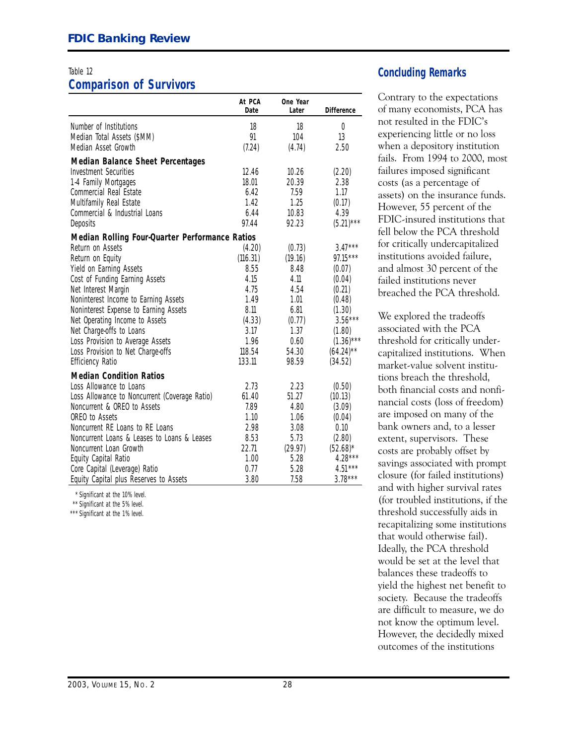# **Comparison of Survivors**

|                                                | At PCA<br>Date | One Year<br>Later | <b>Difference</b> |
|------------------------------------------------|----------------|-------------------|-------------------|
| Number of Institutions                         | 18             | 18                | $\overline{0}$    |
| Median Total Assets (\$MM)                     | 91             | 104               | 13                |
| Median Asset Growth                            | (7.24)         | (4.74)            | 2.50              |
| <b>Median Balance Sheet Percentages</b>        |                |                   |                   |
| <b>Investment Securities</b>                   | 12.46          | 10.26             | (2.20)            |
| 1-4 Family Mortgages                           | 18.01          | 20.39             | 2.38              |
| Commercial Real Estate                         | 6.42           | 7.59              | 1.17              |
| Multifamily Real Estate                        | 1.42           | 1.25              | (0.17)            |
| Commercial & Industrial Loans                  | 6.44           | 10.83             | 4.39              |
| Deposits                                       | 97.44          | 92.23             | $(5.21)***$       |
| Median Rolling Four-Quarter Performance Ratios |                |                   |                   |
| Return on Assets                               | (4.20)         | (0.73)            | $3.47***$         |
| Return on Equity                               | (116.31)       | (19.16)           | $97.15***$        |
| Yield on Earning Assets                        | 8.55           | 8.48              | (0.07)            |
| Cost of Funding Earning Assets                 | 4.15           | 4.11              | (0.04)            |
| Net Interest Margin                            | 4.75           | 4.54              | (0.21)            |
| Noninterest Income to Earning Assets           | 1.49           | 1.01              | (0.48)            |
| Noninterest Expense to Earning Assets          | 8.11           | 6.81              | (1.30)            |
| Net Operating Income to Assets                 | (4.33)         | (0.77)            | $3.56***$         |
| Net Charge-offs to Loans                       | 3.17           | 1.37              | (1.80)            |
| Loss Provision to Average Assets               | 1.96           | 0.60              | $(1.36)$ ***      |
| Loss Provision to Net Charge-offs              | 118.54         | 54.30             | $(64.24)$ **      |
| <b>Efficiency Ratio</b>                        | 133.11         | 98.59             | (34.52)           |
| <b>Median Condition Ratios</b>                 |                |                   |                   |
| Loss Allowance to Loans                        | 2.73           | 2.23              | (0.50)            |
| Loss Allowance to Noncurrent (Coverage Ratio)  | 61.40          | 51.27             | (10.13)           |
| Noncurrent & OREO to Assets                    | 7.89           | 4.80              | (3.09)            |
| OREO to Assets                                 | 1.10           | 1.06              | (0.04)            |
| Noncurrent RE Loans to RE Loans                | 2.98           | 3.08              | 0.10              |
| Noncurrent Loans & Leases to Loans & Leases    | 8.53           | 5.73              | (2.80)            |
| Noncurrent Loan Growth                         | 22.71          | (29.97)           | $(52.68)^*$       |
| Equity Capital Ratio                           | 1.00           | 5.28              | $4.28***$         |
| Core Capital (Leverage) Ratio                  | 0.77           | 5.28              | $4.51***$         |
| Equity Capital plus Reserves to Assets         | 3.80           | 7.58              | $3.78***$         |

\*\* \* Significant at the 10% level.

\* \*\* Significant at the 5% level.

\*\*\* Significant at the 1% level.

### Table 12 **Concluding Remarks**

Contrary to the expectations of many economists, PCA has not resulted in the FDIC's experiencing little or no loss when a depository institution fails. From 1994 to 2OOO, most failures imposed significant costs (as a percentage of assets) on the insurance funds. However, 55 percent of the FDIC-insured institutions that fell below the PCA threshold for critically undercapitalized institutions avoided failure, and almost 3O percent of the failed institutions never breached the PCA threshold.

 society. Because the tradeoffs We explored the tradeoffs associated with the PCA threshold for critically undercapitalized institutions. When market-value solvent institutions breach the threshold, both financial costs and nonfinancial costs (loss of freedom) are imposed on many of the bank owners and, to a lesser extent, supervisors. These costs are probably offset by savings associated with prompt closure (for failed institutions) and with higher survival rates (for troubled institutions, if the threshold successfully aids in recapitalizing some institutions that would otherwise fail). Ideally, the PCA threshold would be set at the level that balances these tradeoffs to yield the highest net benefit to are difficult to measure, we do not know the optimum level. However, the decidedly mixed outcomes of the institutions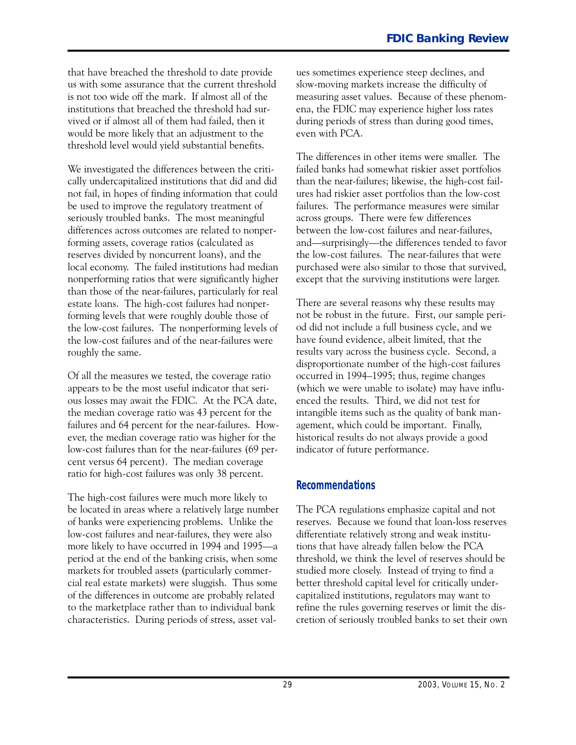that have breached the threshold to date provide us with some assurance that the current threshold is not too wide off the mark. If almost all of the institutions that breached the threshold had survived or if almost all of them had failed, then it would be more likely that an adjustment to the threshold level would yield substantial benefits.

We investigated the differences between the critically undercapitalized institutions that did and did not fail, in hopes of finding information that could be used to improve the regulatory treatment of seriously troubled banks. The most meaningful differences across outcomes are related to nonperforming assets, coverage ratios (calculated as reserves divided by noncurrent loans), and the local economy. The failed institutions had median nonperforming ratios that were significantly higher than those of the near-failures, particularly for real estate loans. The high-cost failures had nonperforming levels that were roughly double those of the lowcost failures. The nonperforming levels of the low-cost failures and of the near-failures were roughly the same.

Of all the measures we tested, the coverage ratio appears to be the most useful indicator that serious losses may await the FDIC. At the PCA date, the median coverage ratio was 43 percent for the failures and 64 percent for the near-failures. However, the median coverage ratio was higher for the low-cost failures than for the near-failures (69 percent versus 64 percent). The median coverage ratio for high-cost failures was only 38 percent.

The high-cost failures were much more likely to be located in areas where a relatively large number of banks were experiencing problems. Unlike the low-cost failures and near-failures, they were also more likely to have occurred in 1994 and 1995—a period at the end of the banking crisis, when some markets for troubled assets (particularly commercial real estate markets) were sluggish. Thus some of the differences in outcome are probably related to the marketplace rather than to individual bank characteristics. During periods of stress, asset values sometimes experience steep declines, and slow-moving markets increase the difficulty of measuring asset values. Because of these phenomena, the FDIC may experience higher loss rates during periods of stress than during good times, even with PCA.

 except that the surviving institutions were larger. The differences in other items were smaller. The failed banks had somewhat riskier asset portfolios than the near-failures; likewise, the high-cost failures had riskier asset portfolios than the low-cost failures. The performance measures were similar across groups. There were few differences between the low-cost failures and near-failures, and-surprisingly-the differences tended to favor the low-cost failures. The near-failures that were purchased were also similar to those that survived,

There are several reasons why these results may not be robust in the future. First, our sample period did not include a full business cycle, and we have found evidence, albeit limited, that the results vary across the business cycle. Second, a disproportionate number of the high-cost failures occurred in 1994-1995; thus, regime changes (which we were unable to isolate) may have influenced the results. Third, we did not test for intangible items such as the quality of bank management, which could be important. Finally, historical results do not always provide a good indicator of future performance.

### **Recommendations**

The PCA regulations emphasize capital and not reserves. Because we found that loan-loss reserves differentiate relatively strong and weak institutions that have already fallen below the PCA threshold, we think the level of reserves should be studied more closely. Instead of trying to find a better threshold capital level for critically undercapitalized institutions, regulators may want to refine the rules governing reserves or limit the discretion of seriously troubled banks to set their own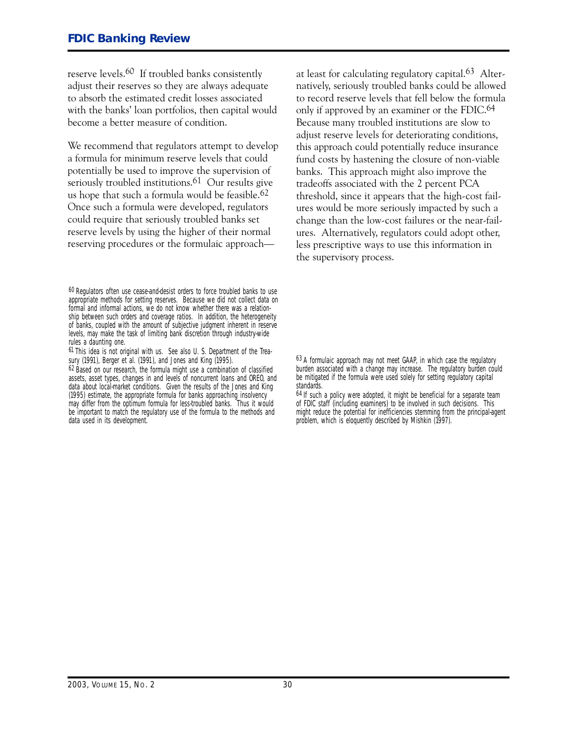reserve levels.6O If troubled banks consistently adjust their reserves so they are always adequate to absorb the estimated credit losses associated with the banks' loan portfolios, then capital would become a better measure of condition.

We recommend that regulators attempt to develop a formula for minimum reserve levels that could potentially be used to improve the supervision of seriously troubled institutions.<sup>61</sup> Our results give us hope that such a formula would be feasible.<sup>62</sup> Once such a formula were developed, regulators could require that seriously troubled banks set reserve levels by using the higher of their normal reserving procedures or the formulaic approachat least for calculating regulatory capital.63 Alternatively, seriously troubled banks could be allowed to record reserve levels that fell below the formula only if approved by an examiner or the FDIC.64 Because many troubled institutions are slow to adjust reserve levels for deteriorating conditions, this approach could potentially reduce insurance fund costs by hastening the closure of non-viable banks. This approach might also improve the tradeoffs associated with the 2 percent PCA threshold, since it appears that the high-cost failures would be more seriously impacted by such a change than the low-cost failures or the near-failures. Alternatively, regulators could adopt other, less prescriptive ways to use this information in the supervisory process.

<sup>60</sup> Regulators often use cease-and-desist orders to force troubled banks to use appropriate methods for setting reserves. Because we did not collect data on formal and informal actions, we do not know whether there was a relationship between such orders and coverage ratios. In addition, the heterogeneity of banks, coupled with the amount of subjective judgment inherent in reserve levels, may make the task of limiting bank discretion through industry-wide rules a daunting one.

<sup>61</sup> This idea is not original with us. See also U. S. Department of the Treasury (1991), Berger et al. (1991), and Jones and King (1995).

<sup>62</sup> Based on our research, the formula might use a combination of classified assets, asset types, changes in and levels of noncurrent loans and OREO, and data about local-market conditions. Given the results of the Jones and King (1995) estimate, the appropriate formula for banks approaching insolvency may differ from the optimum formula for less-troubled banks. Thus it would be important to match the regulatory use of the formula to the methods and data used in its development.

<sup>63</sup> A formulaic approach may not meet GAAP, in which case the regulatory burden associated with a change may increase. The regulatory burden could be mitigated if the formula were used solely for setting regulatory capital standards.

<sup>64</sup> If such a policy were adopted, it might be beneficial for a separate team of FDIC staff (including examiners) to be involved in such decisions. This might reduce the potential for inefficiencies stemming from the principal-agent problem, which is eloquently described by Mishkin (1997).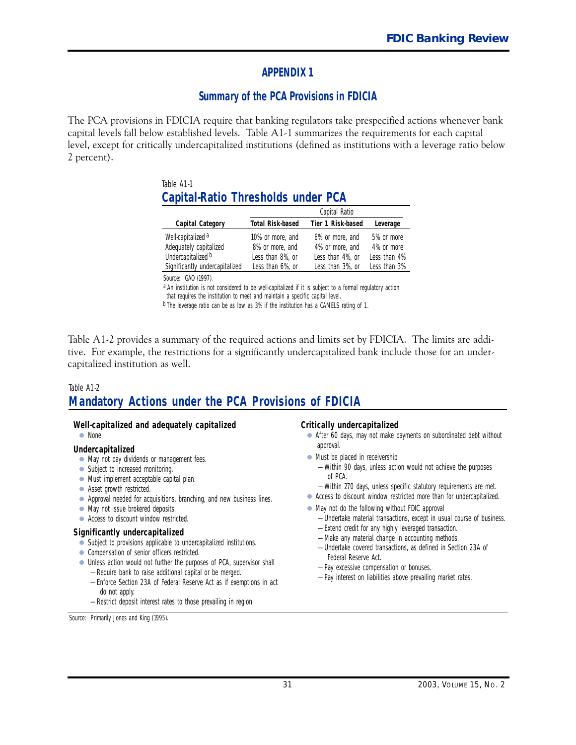### **APPENDIX 1**

### **Summary of the PCA Provisions in FDICIA**

The PCA provisions in FDICIA require that banking regulators take prespecified actions whenever bank capital levels fall below established levels. Table A1-1 summarizes the requirements for each capital level, except for critically undercapitalized institutions (defined as institutions with a leverage ratio below 2 percent).

#### Table A1-1 **Capital-Ratio Thresholds under PCA**

|                                                                               | Capital Ratio                                           |                                                        |                                          |  |
|-------------------------------------------------------------------------------|---------------------------------------------------------|--------------------------------------------------------|------------------------------------------|--|
| Capital Category                                                              | <b>Total Risk-based</b>                                 | Tier 1 Risk-based                                      | Leverage                                 |  |
| Well-capitalized <sup>a</sup><br>Adequately capitalized<br>Undercapitalized b | 10% or more, and<br>8% or more, and<br>Less than 8%, or | 6% or more, and<br>4% or more, and<br>Less than 4%, or | 5% or more<br>4% or more<br>Less than 4% |  |
| Significantly undercapitalized                                                | Less than 6%, or                                        | Less than 3%, or                                       | Less than 3%                             |  |
|                                                                               |                                                         |                                                        |                                          |  |

*Source:* GAO (1997).

a An institution is not considered to be well-capitalized if it is subject to a formal regulatory action that requires the institution to meet and maintain a specific capital level.

b The leverage ratio can be as low as 3% if the institution has a CAMELS rating of 1.

Table A12 provides a summary of the required actions and limits set by FDICIA. The limits are additive. For example, the restrictions for a significantly undercapitalized bank include those for an undercapitalized institution as well.

#### Table A1-2

# **Mandatory Actions under the PCA Provisions of FDICIA**

#### **Well-capitalized and adequately capitalized**

• None

#### **Undercapitalized**

- May not pay dividends or management fees.
- Subject to increased monitoring.
- Must implement acceptable capital plan.
- Asset growth restricted.
- Approval needed for acquisitions, branching, and new business lines.
- May not issue brokered deposits.
- Access to discount window restricted.

#### **Significantly undercapitalized**

- Subject to provisions applicable to undercapitalized institutions.
- Compensation of senior officers restricted.
- Unless action would not further the purposes of PCA, supervisor shall
	- Require bank to raise additional capital or be merged.
	- Enforce Section 23A of Federal Reserve Act as if exemptions in act do not apply.
	- Restrict deposit interest rates to those prevailing in region.

*Source:* Primarily Jones and King (1995).

#### **Critically undercapitalized**

- After 60 days, may not make payments on subordinated debt without approval.
- Must be placed in receivership
	- Within 90 days, unless action would not achieve the purposes of PCA.
	- Within 270 days, unless specific statutory requirements are met.
- Access to discount window restricted more than for undercapitalized.
- May not do the following without FDIC approval
	- Undertake material transactions, except in usual course of business. — Extend credit for any highly leveraged transaction.
	- Make any material change in accounting methods.
	- Undertake covered transactions, as defined in Section 23A of Federal Reserve Act.
	- Pay excessive compensation or bonuses.
	- Pay interest on liabilities above prevailing market rates.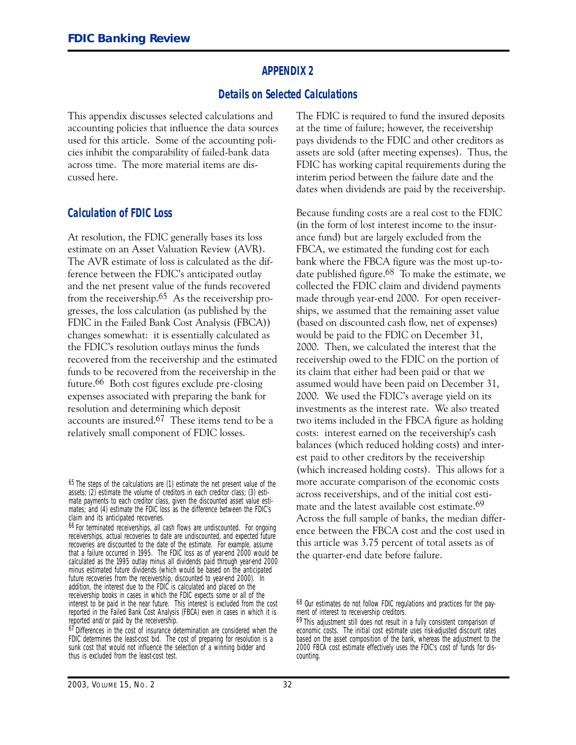#### **APPENDIX 2**

#### **Details on Selected Calculations**

This appendix discusses selected calculations and accounting policies that influence the data sources used for this article. Some of the accounting policies inhibit the comparability of failed-bank data across time. The more material items are discussed here.

#### **Calculation of FDIC Loss**

At resolution, the FDIC generally bases its loss estimate on an Asset Valuation Review (AVR). The AVR estimate of loss is calculated as the difference between the FDIC's anticipated outlay and the net present value of the funds recovered from the receivership.65 As the receivership progresses, the loss calculation (as published by the FDIC in the Failed Bank Cost Analysis (FBCA)) changes somewhat: it is essentially calculated as the FDIC's resolution outlays minus the funds recovered from the receivership and the estimated funds to be recovered from the receivership in the future.<sup>66</sup> Both cost figures exclude pre-closing expenses associated with preparing the bank for resolution and determining which deposit accounts are insured.67 These items tend to be a relatively small component of FDIC losses.

The FDIC is required to fund the insured deposits at the time of failure; however, the receivership pays dividends to the FDIC and other creditors as assets are sold (after meeting expenses). Thus, the FDIC has working capital requirements during the interim period between the failure date and the dates when dividends are paid by the receivership.

Because funding costs are a real cost to the FDIC (in the form of lost interest income to the insurance fund) but are largely excluded from the FBCA, we estimated the funding cost for each bank where the FBCA figure was the most up-todate published figure. $68$  To make the estimate, we collected the FDIC claim and dividend payments made through year-end 2000. For open receiverships, we assumed that the remaining asset value (based on discounted cash flow, net of expenses) would be paid to the FDIC on December 31, 2OOO. Then, we calculated the interest that the receivership owed to the FDIC on the portion of its claim that either had been paid or that we assumed would have been paid on December 31, 2OOO. We used the FDIC's average yield on its investments as the interest rate. We also treated two items included in the FBCA figure as holding costs: interest earned on the receivership's cash balances (which reduced holding costs) and interest paid to other creditors by the receivership (which increased holding costs). This allows for a more accurate comparison of the economic costs across receiverships, and of the initial cost estimate and the latest available cost estimate.<sup>69</sup> Across the full sample of banks, the median difference between the FBCA cost and the cost used in this article was 3.75 percent of total assets as of the quarter-end date before failure.

<sup>65</sup> The steps of the calculations are (1) estimate the net present value of the assets; (2) estimate the volume of creditors in each creditor class; (3) estimate payments to each creditor class, given the discounted asset value estimates; and (4) estimate the FDIC loss as the difference between the FDIC's claim and its anticipated recoveries.

<sup>66</sup> For terminated receiverships, all cash flows are undiscounted. For ongoing receiverships, actual recoveries to date are undiscounted, and expected future recoveries are discounted to the date of the estimate. For example, assume that a failure occurred in 1995. The FDIC loss as of year-end 2000 would be calculated as the 1995 outlay minus all dividends paid through year-end 2000 minus estimated future dividends (which would be based on the anticipated future recoveries from the receivership, discounted to year-end 2000). In addition, the interest due to the FDIC is calculated and placed on the receivership books in cases in which the FDIC expects some or all of the interest to be paid in the near future. This interest is excluded from the cost reported in the Failed Bank Cost Analysis (FBCA) even in cases in which it is reported and/or paid by the receivership.

<sup>&</sup>lt;sup>67</sup> Differences in the cost of insurance determination are considered when the FDIC determines the least-cost bid. The cost of preparing for resolution is a sunk cost that would not influence the selection of a winning bidder and thus is excluded from the least-cost test.

<sup>68</sup> Our estimates do not follow FDIC regulations and practices for the payment of interest to receivership creditors.

<sup>69</sup> This adjustment still does not result in a fully consistent comparison of economic costs. The initial cost estimate uses risk-adjusted discount rates based on the asset composition of the bank, whereas the adjustment to the 2000 FBCA cost estimate effectively uses the FDIC's cost of funds for discounting.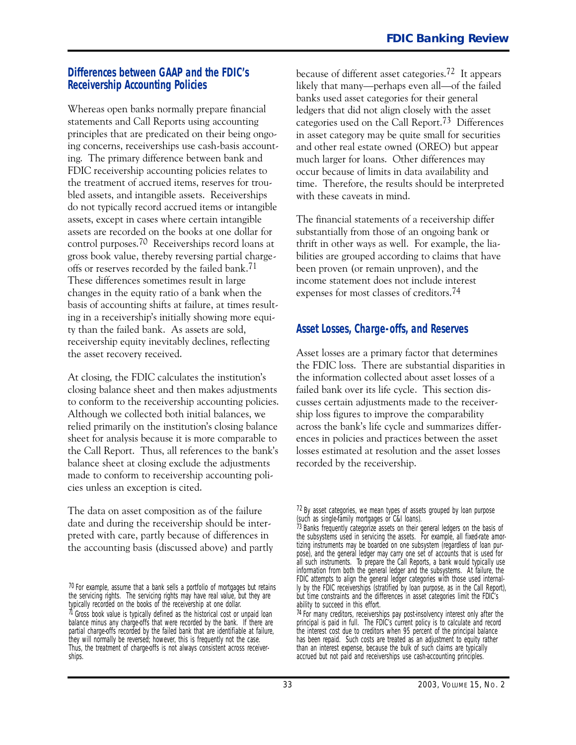#### **Differences between GAAP and the FDIC's Receivership Accounting Policies**

Whereas open banks normally prepare financial statements and Call Reports using accounting principles that are predicated on their being ongoing concerns, receiverships use cash-basis accounting. The primary difference between bank and FDIC receivership accounting policies relates to the treatment of accrued items, reserves for troubled assets, and intangible assets. Receiverships do not typically record accrued items or intangible assets, except in cases where certain intangible assets are recorded on the books at one dollar for control purposes.7O Receiverships record loans at gross book value, thereby reversing partial chargeoffs or reserves recorded by the failed bank.71 These differences sometimes result in large changes in the equity ratio of a bank when the basis of accounting shifts at failure, at times resulting in a receivership's initially showing more equity than the failed bank. As assets are sold, receivership equity inevitably declines, reflecting the asset recovery received.

At closing, the FDIC calculates the institution's closing balance sheet and then makes adjustments to conform to the receivership accounting policies. Although we collected both initial balances, we relied primarily on the institution's closing balance sheet for analysis because it is more comparable to the Call Report. Thus, all references to the bank's balance sheet at closing exclude the adjustments made to conform to receivership accounting policies unless an exception is cited.

The data on asset composition as of the failure date and during the receivership should be interpreted with care, partly because of differences in the accounting basis (discussed above) and partly because of different asset categories.72 It appears likely that many---perhaps even all---of the failed banks used asset categories for their general ledgers that did not align closely with the asset categories used on the Call Report.73 Differences in asset category may be quite small for securities and other real estate owned (OREO) but appear much larger for loans. Other differences may occur because of limits in data availability and time. Therefore, the results should be interpreted with these caveats in mind.

The financial statements of a receivership differ substantially from those of an ongoing bank or thrift in other ways as well. For example, the liabilities are grouped according to claims that have been proven (or remain unproven), and the income statement does not include interest expenses for most classes of creditors.74

### **Asset Losses, Charge-offs, and Reserves**

Asset losses are a primary factor that determines the FDIC loss. There are substantial disparities in the information collected about asset losses of a failed bank over its life cycle. This section discusses certain adjustments made to the receivership loss figures to improve the comparability across the bank's life cycle and summarizes differences in policies and practices between the asset losses estimated at resolution and the asset losses recorded by the receivership.

<sup>70</sup> For example, assume that a bank sells a portfolio of mortgages but retains the servicing rights. The servicing rights may have real value, but they are typically recorded on the books of the receivership at one dollar.  $71$  Gross book value is typically defined as the historical cost or unpaid loan balance minus any charge-offs that were recorded by the bank. If there are partial charge-offs recorded by the failed bank that are identifiable at failure, they will normally be reversed; however, this is frequently not the case. Thus, the treatment of charge-offs is not always consistent across receiverships.

<sup>72</sup> By asset categories, we mean types of assets grouped by loan purpose (such as single-family mortgages or C&I loans).

<sup>73</sup> Banks frequently categorize assets on their general ledgers on the basis of the subsystems used in servicing the assets. For example, all fixed-rate amortizing instruments may be boarded on one subsystem (regardless of loan purpose), and the general ledger may carry one set of accounts that is used for all such instruments. To prepare the Call Reports, a bank would typically use information from both the general ledger and the subsystems. At failure, the FDIC attempts to align the general ledger categories with those used internally by the FDIC receiverships (stratified by loan purpose, as in the Call Report), but time constraints and the differences in asset categories limit the FDIC's ability to succeed in this effort.

 $74$  For many creditors, receiverships pay post-insolvency interest only after the principal is paid in full. The FDIC's current policy is to calculate and record the interest cost due to creditors when 95 percent of the principal balance has been repaid. Such costs are treated as an adjustment to equity rather than an interest expense, because the bulk of such claims are typically accrued but not paid and receiverships use cash-accounting principles.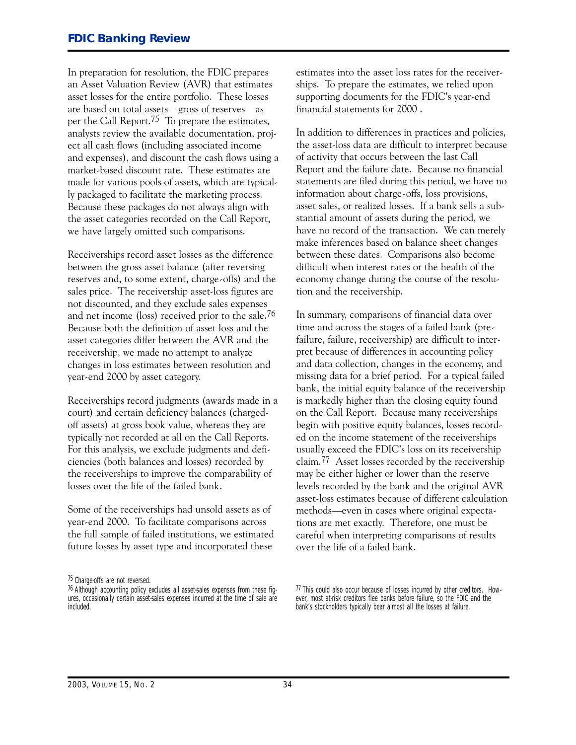In preparation for resolution, the FDIC prepares an Asset Valuation Review (AVR) that estimates asset losses for the entire portfolio. These losses are based on total assets-gross of reserves-as per the Call Report.75 To prepare the estimates, analysts review the available documentation, project all cash flows (including associated income and expenses), and discount the cash flows using a market-based discount rate. These estimates are made for various pools of assets, which are typically packaged to facilitate the marketing process. Because these packages do not always align with the asset categories recorded on the Call Report, we have largely omitted such comparisons.

Receiverships record asset losses as the difference between the gross asset balance (after reversing reserves and, to some extent, charge-offs) and the sales price. The receivership asset-loss figures are not discounted, and they exclude sales expenses and net income (loss) received prior to the sale.76 Because both the definition of asset loss and the asset categories differ between the AVR and the receivership, we made no attempt to analyze changes in loss estimates between resolution and year-end 2000 by asset category.

Receiverships record judgments (awards made in a court) and certain deficiency balances (chargedoff assets) at gross book value, whereas they are typically not recorded at all on the Call Reports. For this analysis, we exclude judgments and deficiencies (both balances and losses) recorded by the receiverships to improve the comparability of losses over the life of the failed bank.

Some of the receiverships had unsold assets as of yearend 2OOO. To facilitate comparisons across the full sample of failed institutions, we estimated future losses by asset type and incorporated these

75 Charge-offs are not reversed.

estimates into the asset loss rates for the receiverships. To prepare the estimates, we relied upon supporting documents for the FDIC's year-end financial statements for 2OOO .

In addition to differences in practices and policies, the asset-loss data are difficult to interpret because of activity that occurs between the last Call Report and the failure date. Because no financial statements are filed during this period, we have no information about charge-offs, loss provisions, asset sales, or realized losses. If a bank sells a substantial amount of assets during the period, we have no record of the transaction. We can merely make inferences based on balance sheet changes between these dates. Comparisons also become difficult when interest rates or the health of the economy change during the course of the resolution and the receivership.

In summary, comparisons of financial data over time and across the stages of a failed bank (prefailure, failure, receivership) are difficult to interpret because of differences in accounting policy and data collection, changes in the economy, and missing data for a brief period. For a typical failed bank, the initial equity balance of the receivership is markedly higher than the closing equity found on the Call Report. Because many receiverships begin with positive equity balances, losses recorded on the income statement of the receiverships usually exceed the FDIC's loss on its receivership claim.77 Asset losses recorded by the receivership may be either higher or lower than the reserve levels recorded by the bank and the original AVR asset-loss estimates because of different calculation methods-even in cases where original expectations are met exactly. Therefore, one must be careful when interpreting comparisons of results over the life of a failed bank.

77 This could also occur because of losses incurred by other creditors. However, most at-risk creditors flee banks before failure, so the FDIC and the bank's stockholders typically bear almost all the losses at failure.

<sup>&</sup>lt;sup>76</sup> Although accounting policy excludes all asset-sales expenses from these figures, occasionally certain asset-sales expenses incurred at the time of sale are included.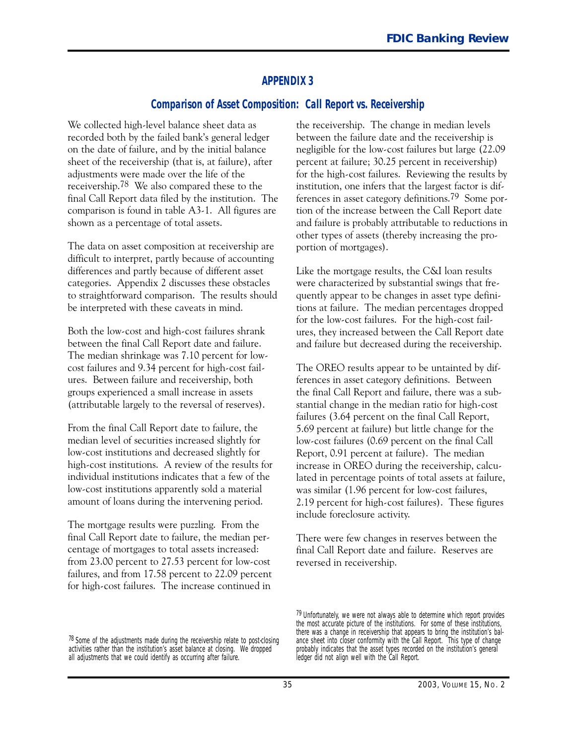### **APPENDIX 3**

#### **Comparison of Asset Composition: Call Report vs. Receivership**

We collected high-level balance sheet data as recorded both by the failed bank's general ledger on the date of failure, and by the initial balance sheet of the receivership (that is, at failure), after adjustments were made over the life of the receivership.78 We also compared these to the final Call Report data filed by the institution. The comparison is found in table  $A3-1$ . All figures are shown as a percentage of total assets.

The data on asset composition at receivership are difficult to interpret, partly because of accounting differences and partly because of different asset categories. Appendix 2 discusses these obstacles to straightforward comparison. The results should be interpreted with these caveats in mind.

Both the low-cost and high-cost failures shrank between the final Call Report date and failure. The median shrinkage was 7.1O percent for lowcost failures and 9.34 percent for high-cost failures. Between failure and receivership, both groups experienced a small increase in assets (attributable largely to the reversal of reserves).

high-cost institutions. A review of the results for From the final Call Report date to failure, the median level of securities increased slightly for low-cost institutions and decreased slightly for individual institutions indicates that a few of the low-cost institutions apparently sold a material amount of loans during the intervening period.

The mortgage results were puzzling. From the final Call Report date to failure, the median percentage of mortgages to total assets increased: from 23.00 percent to 27.53 percent for low-cost failures, and from 17.58 percent to 22.O9 percent for high-cost failures. The increase continued in

the receivership. The change in median levels between the failure date and the receivership is negligible for the low-cost failures but large (22.09) percent at failure; 3O.25 percent in receivership) for the high-cost failures. Reviewing the results by institution, one infers that the largest factor is differences in asset category definitions.79 Some portion of the increase between the Call Report date and failure is probably attributable to reductions in other types of assets (thereby increasing the proportion of mortgages).

Like the mortgage results, the C�I loan results were characterized by substantial swings that frequently appear to be changes in asset type definitions at failure. The median percentages dropped for the low-cost failures. For the high-cost failures, they increased between the Call Report date and failure but decreased during the receivership.

The OREO results appear to be untainted by differences in asset category definitions. Between the final Call Report and failure, there was a substantial change in the median ratio for high-cost failures (3.64 percent on the final Call Report, 5.69 percent at failure) but little change for the low-cost failures (0.69 percent on the final Call Report, O.91 percent at failure). The median increase in OREO during the receivership, calculated in percentage points of total assets at failure, was similar (1.96 percent for low-cost failures, 2.19 percent for high-cost failures). These figures include foreclosure activity.

There were few changes in reserves between the final Call Report date and failure. Reserves are reversed in receivership.

<sup>79</sup> Unfortunately, we were not always able to determine which report provides the most accurate picture of the institutions. For some of these institutions, there was a change in receivership that appears to bring the institution's balance sheet into closer conformity with the Call Report. This type of change probably indicates that the asset types recorded on the institution's general ledger did not align well with the Call Report.

 $78$  Some of the adjustments made during the receivership relate to post-closing activities rather than the institution's asset balance at closing. We dropped all adjustments that we could identify as occurring after failure.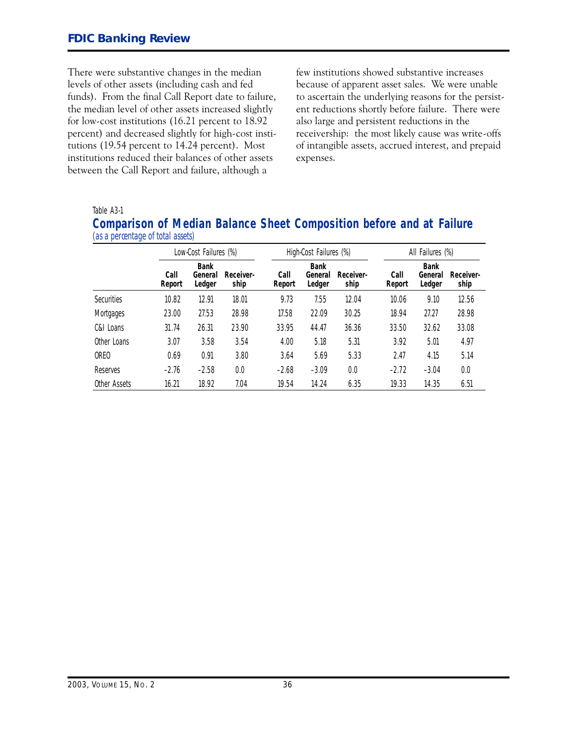There were substantive changes in the median levels of other assets (including cash and fed funds). From the final Call Report date to failure, the median level of other assets increased slightly for low-cost institutions (16.21 percent to 18.92 percent) and decreased slightly for high-cost institutions (19.54 percent to 14.24 percent). Most institutions reduced their balances of other assets between the Call Report and failure, although a

few institutions showed substantive increases because of apparent asset sales. We were unable to ascertain the underlying reasons for the persistent reductions shortly before failure. There were also large and persistent reductions in the receivership: the most likely cause was write-offs of intangible assets, accrued interest, and prepaid expenses.

#### Table A3-1

|                                   |  |  | <b>Comparison of Median Balance Sheet Composition before and at Failure</b> |  |  |
|-----------------------------------|--|--|-----------------------------------------------------------------------------|--|--|
| (as a percentage of total assets) |  |  |                                                                             |  |  |

|                   | Low-Cost Failures (%) |                                  |                   | High-Cost Failures (%) |                                  |                   | All Failures (%) |                                  |                   |
|-------------------|-----------------------|----------------------------------|-------------------|------------------------|----------------------------------|-------------------|------------------|----------------------------------|-------------------|
|                   | Call<br>Report        | <b>Bank</b><br>General<br>Ledger | Receiver-<br>ship | Call<br>Report         | <b>Bank</b><br>General<br>Ledger | Receiver-<br>ship | Call<br>Report   | <b>Bank</b><br>General<br>Ledger | Receiver-<br>ship |
| <b>Securities</b> | 10.82                 | 12.91                            | 18.01             | 9.73                   | 7.55                             | 12.04             | 10.06            | 9.10                             | 12.56             |
| Mortgages         | 23.00                 | 27.53                            | 28.98             | 17.58                  | 22.09                            | 30.25             | 18.94            | 27.27                            | 28.98             |
| C&L Loans         | 31.74                 | 26.31                            | 23.90             | 33.95                  | 44.47                            | 36.36             | 33.50            | 32.62                            | 33.08             |
| Other Loans       | 3.07                  | 3.58                             | 3.54              | 4.00                   | 5.18                             | 5.31              | 3.92             | 5.01                             | 4.97              |
| ORF <sub>0</sub>  | 0.69                  | 0.91                             | 3.80              | 3.64                   | 5.69                             | 5.33              | 2.47             | 4.15                             | 5.14              |
| Reserves          | $-2.76$               | $-2.58$                          | 0.0               | $-2.68$                | $-3.09$                          | 0.0               | $-2.72$          | $-3.04$                          | 0.0               |
| Other Assets      | 16.21                 | 18.92                            | 7.04              | 19.54                  | 14.24                            | 6.35              | 19.33            | 14.35                            | 6.51              |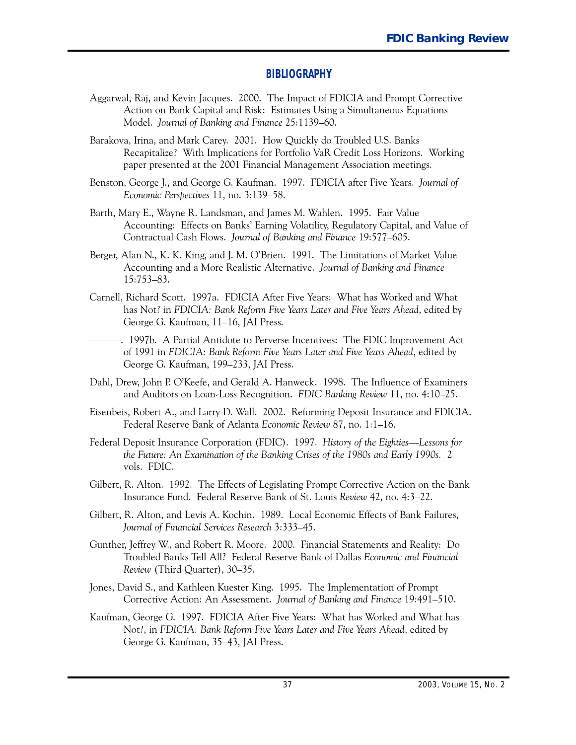#### **BIBLIOGRAPHY**

- Aggarwal, Raj, and Kevin Jacques. 2OOO. The Impact of FDICIA and Prompt Corrective Action on Bank Capital and Risk: Estimates Using a Simultaneous Equations Model. *Journal of Banking and Finance* 25:1139-6O.
- Barakova, Irina, and Mark Carey. 2OO1. How Quickly do Troubled U.S. Banks Recapitalize? With Implications for Portfolio VaR Credit Loss Horizons. Working paper presented at the 2OO1 Financial Management Association meetings.
- Benston, George J., and George G. Kaufman. 1997. FDICIA after Five Years. *Journal of Economic Perspectives* 11, no. 3:139–58.
- Barth, Mary E., Wayne R. Landsman, and James M. Wahlen. 1995. Fair Value Accounting: Effects on Banks' Earning Volatility, Regulatory Capital, and Value of Contractual Cash Flows. *Journal of Banking and Finance* 19:577-6O5.
- Berger, Alan N., K. K. King, and J. M. O'Brien. 1991. The Limitations of Market Value Accounting and a More Realistic Alternative. *Journal of Banking and Finance* 15:753-83.
- Carnell, Richard Scott. 1997a. FDICIA After Five Years: What has Worked and What has Not? in *FDICIA: Bank Reform File Years Later and File Years Ahead*, edited by George G. Kaufman, 11-16, JAI Press.
- ————. 1997b. A Partial Antidote to Perverse Incentives: The FDIC Improvement Act of 1991 in *FDICIA: Bank Reform File Years Later and File Years Ahead*, edited by George G. Kaufman, 199-233, JAI Press.
- Dahl, Drew, John P. O'Keefe, and Gerald A. Hanweck. 1998. The Influence of Examiners and Auditors on Loan-Loss Recognition. *FDIC Banking Review* 11, no. 4:10–25.
- Eisenbeis, Robert A., and Larry D. Wall. 2OO2. Reforming Deposit Insurance and FDICIA. Federal Reserve Bank of Atlanta *Economic Review* 87, no. 1:1–16.
- Federal Deposit Insurance Corporation (FDIC). 1997. *History of the Eighties-Lessons for the Future: An Examination of the Banking Crises of the 1980s and Early 1990s.* 2 vols. FDIC.
- Gilbert, R. Alton. 1992. The Effects of Legislating Prompt Corrective Action on the Bank Insurance Fund. Federal Reserve Bank of St. Louis *Review* 42, no. 4:3–22.
- Gilbert, R. Alton, and Levis A. Kochin. 1989. Local Economic Effects of Bank Failures, Journal of Financial Services Research 3:333–45.
- Gunther, Jeffrey W., and Robert R. Moore. 2OOO. Financial Statements and Reality: Do Troubled Banks Tell All? Federal Reserve Bank of Dallas *Economic and Financial Review* (Third Quarter), 30–35.
- Jones, David S., and Kathleen Kuester King. 1995. The Implementation of Prompt Corrective Action: An Assessment. *Journal of Banking and Finance* 19:491-51O.
- Kaufman, George G. 1997. FDICIA After Five Years: What has Worked and What has Not?, in *FDICIA: Bank Reform Five Years Later and Five Years Ahead*, edited by George G. Kaufman, 35-43, JAI Press.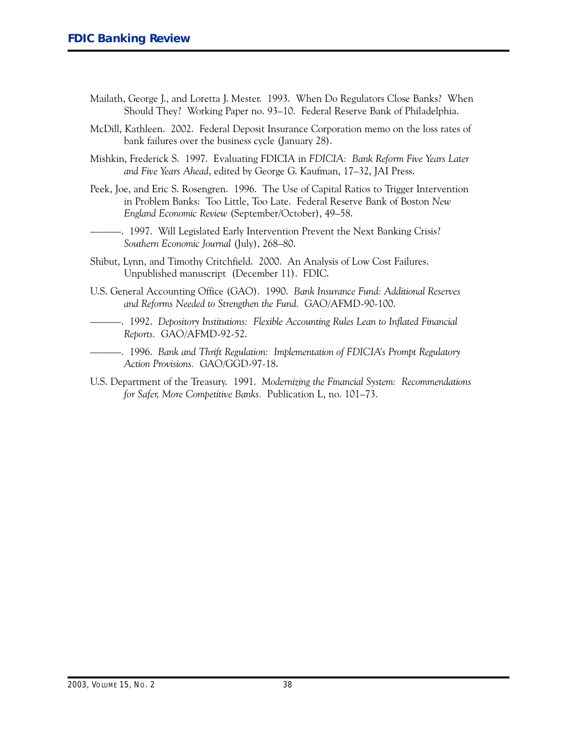- Mailath, George J., and Loretta J. Mester. 1993. When Do Regulators Close Banks? When Should They? Working Paper no. 93-1O. Federal Reserve Bank of Philadelphia.
- McDill, Kathleen. 2OO2. Federal Deposit Insurance Corporation memo on the loss rates of bank failures over the business cycle (January 28).
- Mishkin, Frederick S. 1997. Evaluating FDICIA in *FDICIA: Bank Reform File Years Later* and Five Years Ahead, edited by George G. Kaufman, 17–32, JAI Press.
- Peek, Joe, and Eric S. Rosengren. 1996. The Use of Capital Ratios to Trigger Intervention in Problem Banks: Too Little, Too Late. Federal Reserve Bank of Boston *New England Economic Review (September/October), 49-58.*
- ---. 1997. Will Legislated Early Intervention Prevent the Next Banking Crisis? *Southern Economic Journal* (July), 268-8O.
- Shibut, Lynn, and Timothy Critchfield. 2OOO. An Analysis of Low Cost Failures. Unpublished manuscript (December 11). FDIC.
- U.S. General Accounting Office (GAO). 1990. *Bank Insurance Fund: Additional Reserves* and Reforms Needed to Strengthen the Fund. GAO/AFMD-90-100.
- ---. 1992. *Depository Institutions: Flexible Accounting Rules Lean to Inflated Financial Reports.* GAO/AFMD-92-52.
- ---. 1996. *Bank and Thrift Regulation: Implementation of FDICIA's Prompt Regulatory* Action Provisions. GAO/GGD-97-18.
- U.S. Department of the Treasury. 1991. *Modernizing the Financial System: Recommendations for Safer, More Competitive Banks. Publication L, no. 101–73.*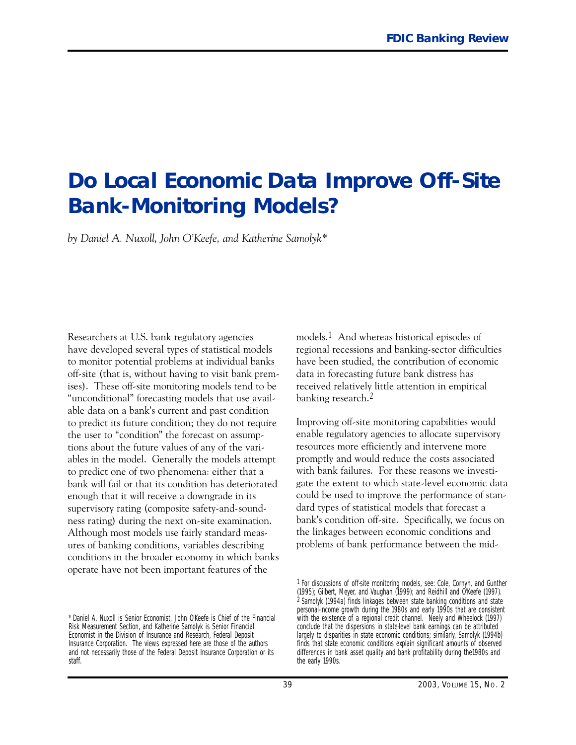# **Do Local Economic Data Improve Off-Site Bank-Monitoring Models?**

*by Daniel A. Nuxoll, John O'Keefe, and Katherine Samolyk\**

 Researchers at U.S. bank regulatory agencies have developed several types of statistical models to monitor potential problems at individual banks off-site (that is, without having to visit bank premises). These off-site monitoring models tend to be "unconditional" forecasting models that use available data on a bank's current and past condition to predict its future condition; they do not require the user to "condition" the forecast on assumptions about the future values of any of the variables in the model. Generally the models attempt to predict one of two phenomena: either that a bank will fail or that its condition has deteriorated enough that it will receive a downgrade in its supervisory rating (composite safety-and-soundness rating) during the next on-site examination. Although most models use fairly standard measures of banking conditions, variables describing conditions in the broader economy in which banks operate have not been important features of the

models.1 And whereas historical episodes of regional recessions and banking-sector difficulties have been studied, the contribution of economic data in forecasting future bank distress has received relatively little attention in empirical banking research.<sup>2</sup>

Improving off-site monitoring capabilities would enable regulatory agencies to allocate supervisory resources more efficiently and intervene more promptly and would reduce the costs associated with bank failures. For these reasons we investigate the extent to which state-level economic data could be used to improve the performance of standard types of statistical models that forecast a bank's condition off-site. Specifically, we focus on the linkages between economic conditions and problems of bank performance between the mid-

<sup>\*</sup> Daniel A. Nuxoll is Senior Economist, John O'Keefe is Chief of the Financial Risk Measurement Section, and Katherine Samolyk is Senior Financial Economist in the Division of Insurance and Research, Federal Deposit Insurance Corporation. The views expressed here are those of the authors and not necessarily those of the Federal Deposit Insurance Corporation or its staff.

<sup>1</sup> For discussions of off-site monitoring models, see: Cole, Cornyn, and Gunther (1995); Gilbert, Meyer, and Vaughan (1999); and Reidhill and O'Keefe (1997). 2 Samolyk (1994a) finds linkages between state banking conditions and state personal-income growth during the 1980s and early 1990s that are consistent with the existence of a regional credit channel. Neely and Wheelock (1997) conclude that the dispersions in state-level bank earnings can be attributed largely to disparities in state economic conditions; similarly, Samolyk (1994b) finds that state economic conditions explain significant amounts of observed differences in bank asset quality and bank profitability during the1980s and the early 1990s.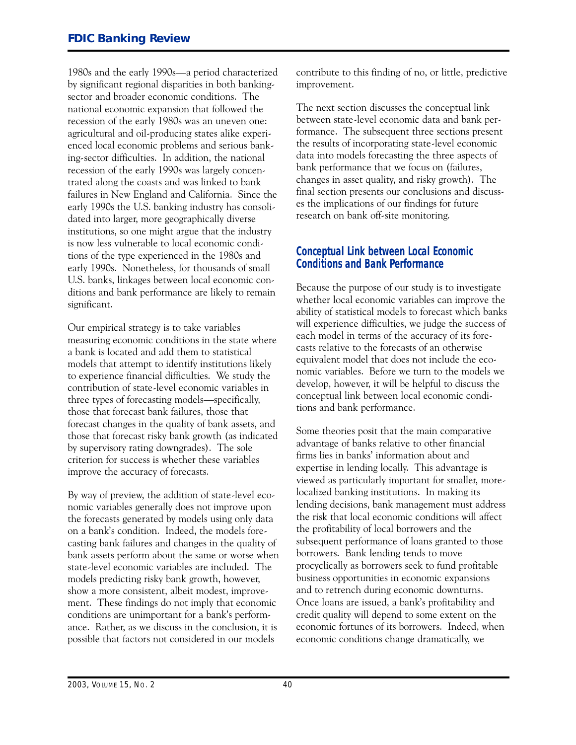1980s and the early 1990s-a period characterized by significant regional disparities in both bankingsector and broader economic conditions. The national economic expansion that followed the recession of the early 1980s was an uneven one: agricultural and oil-producing states alike experienced local economic problems and serious banking-sector difficulties. In addition, the national recession of the early 1990s was largely concentrated along the coasts and was linked to bank failures in New England and California. Since the early 1990s the U.S. banking industry has consolidated into larger, more geographically diverse institutions, so one might argue that the industry is now less vulnerable to local economic conditions of the type experienced in the 1980s and early 1990s. Nonetheless, for thousands of small U.S. banks, linkages between local economic conditions and bank performance are likely to remain significant.

Our empirical strategy is to take variables measuring economic conditions in the state where a bank is located and add them to statistical models that attempt to identify institutions likely to experience financial difficulties. We study the contribution of state-level economic variables in three types of forecasting models—specifically, those that forecast bank failures, those that forecast changes in the quality of bank assets, and those that forecast risky bank growth (as indicated by supervisory rating downgrades). The sole criterion for success is whether these variables improve the accuracy of forecasts.

By way of preview, the addition of state-level economic variables generally does not improve upon the forecasts generated by models using only data on a bank's condition. Indeed, the models forecasting bank failures and changes in the quality of bank assets perform about the same or worse when state-level economic variables are included. The models predicting risky bank growth, however, show a more consistent, albeit modest, improvement. These findings do not imply that economic conditions are unimportant for a bank's performance. Rather, as we discuss in the conclusion, it is possible that factors not considered in our models

contribute to this finding of no, or little, predictive improvement.

The next section discusses the conceptual link between state-level economic data and bank performance. The subsequent three sections present the results of incorporating state-level economic data into models forecasting the three aspects of bank performance that we focus on (failures, changes in asset quality, and risky growth). The final section presents our conclusions and discusses the implications of our findings for future research on bank off-site monitoring.

#### **Conceptual Link between Local Economic Conditions and Bank Performance**

Because the purpose of our study is to investigate whether local economic variables can improve the ability of statistical models to forecast which banks will experience difficulties, we judge the success of each model in terms of the accuracy of its forecasts relative to the forecasts of an otherwise equivalent model that does not include the economic variables. Before we turn to the models we develop, however, it will be helpful to discuss the conceptual link between local economic conditions and bank performance.

Some theories posit that the main comparative advantage of banks relative to other financial firms lies in banks' information about and expertise in lending locally. This advantage is viewed as particularly important for smaller, morelocalized banking institutions. In making its lending decisions, bank management must address the risk that local economic conditions will affect the profitability of local borrowers and the subsequent performance of loans granted to those borrowers. Bank lending tends to move procyclically as borrowers seek to fund profitable business opportunities in economic expansions and to retrench during economic downturns. Once loans are issued, a bank's profitability and credit quality will depend to some extent on the economic fortunes of its borrowers. Indeed, when economic conditions change dramatically, we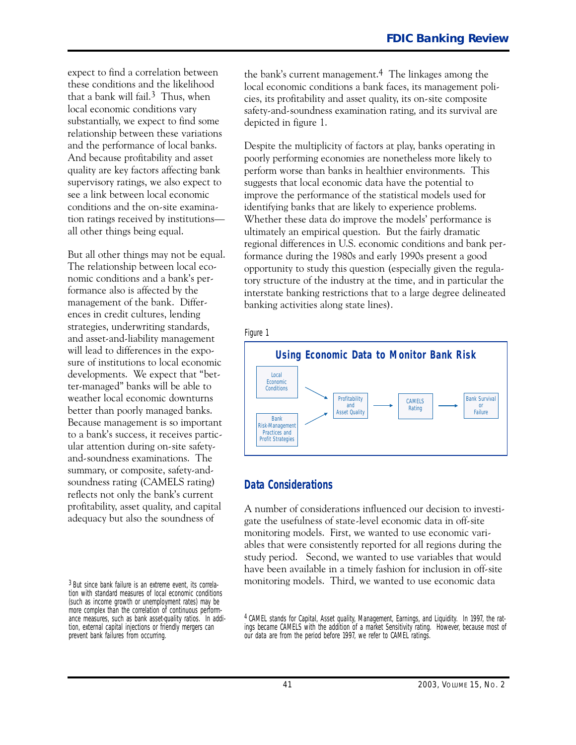expect to find a correlation between these conditions and the likelihood that a bank will fail.<sup>3</sup> Thus, when local economic conditions vary substantially, we expect to find some relationship between these variations and the performance of local banks. And because profitability and asset quality are key factors affecting bank supervisory ratings, we also expect to see a link between local economic conditions and the on-site examination ratings received by institutionsall other things being equal.

But all other things may not be equal. The relationship between local economic conditions and a bank's performance also is affected by the management of the bank. Differences in credit cultures, lending strategies, underwriting standards, and asset-and-liability management will lead to differences in the exposure of institutions to local economic developments. We expect that "better-managed" banks will be able to weather local economic downturns better than poorly managed banks. Because management is so important to a bank's success, it receives particular attention during on-site safetyand-soundness examinations. The summary, or composite, safety-andsoundness rating (CAMELS rating) reflects not only the bank's current profitability, asset quality, and capital adequacy but also the soundness of

the bank's current management.4 The linkages among the local economic conditions a bank faces, its management policies, its profitability and asset quality, its on-site composite safety-and-soundness examination rating, and its survival are depicted in figure 1.

Despite the multiplicity of factors at play, banks operating in poorly performing economies are nonetheless more likely to perform worse than banks in healthier environments. This suggests that local economic data have the potential to improve the performance of the statistical models used for identifying banks that are likely to experience problems. Whether these data do improve the models' performance is ultimately an empirical question. But the fairly dramatic regional differences in U.S. economic conditions and bank performance during the 1980s and early 1990s present a good opportunity to study this question (especially given the regulatory structure of the industry at the time, and in particular the interstate banking restrictions that to a large degree delineated banking activities along state lines).



### **Data Considerations**

 study period. Second, we wanted to use variables that would A number of considerations influenced our decision to investigate the usefulness of state-level economic data in off-site monitoring models. First, we wanted to use economic variables that were consistently reported for all regions during the have been available in a timely fashion for inclusion in off-site monitoring models. Third, we wanted to use economic data

<sup>3</sup> But since bank failure is an extreme event, its correlation with standard measures of local economic conditions (such as income growth or unemployment rates) may be more complex than the correlation of continuous performance measures, such as bank asset-quality ratios. In addition, external capital injections or friendly mergers can prevent bank failures from occurring.

 4 CAMEL stands for Capital, Asset quality, Management, Earnings, and Liquidity. In 1997, the ratings became CAMELS with the addition of a market Sensitivity rating. However, because most of our data are from the period before 1997, we refer to CAMEL ratings.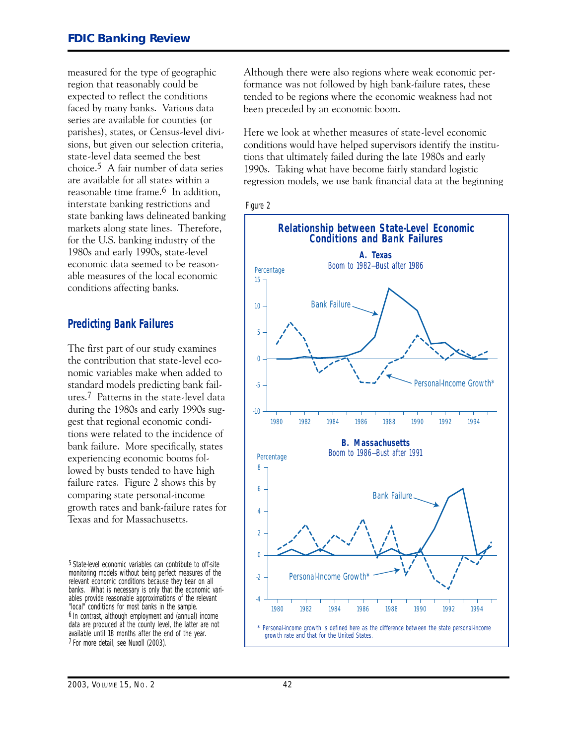measured for the type of geographic region that reasonably could be expected to reflect the conditions faced by many banks. Various data series are available for counties (or parishes), states, or Census-level divisions, but given our selection criteria, state-level data seemed the best choice.5 A fair number of data series are available for all states within a reasonable time frame.6 In addition, interstate banking restrictions and state banking laws delineated banking markets along state lines. Therefore, for the U.S. banking industry of the 1980s and early 1990s, state-level economic data seemed to be reasonable measures of the local economic conditions affecting banks.

### **Predicting Bank Failures**

The first part of our study examines the contribution that state-level economic variables make when added to standard models predicting bank failures.7 Patterns in the state-level data during the 1980s and early 1990s suggest that regional economic conditions were related to the incidence of bank failure. More specifically, states experiencing economic booms followed by busts tended to have high failure rates. Figure 2 shows this by comparing state personal-income growth rates and bank-failure rates for Texas and for Massachusetts.

5 State-level economic variables can contribute to off-site monitoring models without being perfect measures of the relevant economic conditions because they bear on all banks. What is necessary is only that the economic variables provide reasonable approximations of the relevant "local" conditions for most banks in the sample. 6 In contrast, although employment and (annual) income data are produced at the county level, the latter are not available until 18 months after the end of the year. 7 For more detail, see Nuxoll (2003).

Although there were also regions where weak economic performance was not followed by high bank-failure rates, these tended to be regions where the economic weakness had not been preceded by an economic boom.

Here we look at whether measures of state-level economic conditions would have helped supervisors identify the institutions that ultimately failed during the late 1980s and early 1990s. Taking what have become fairly standard logistic regression models, we use bank financial data at the beginning



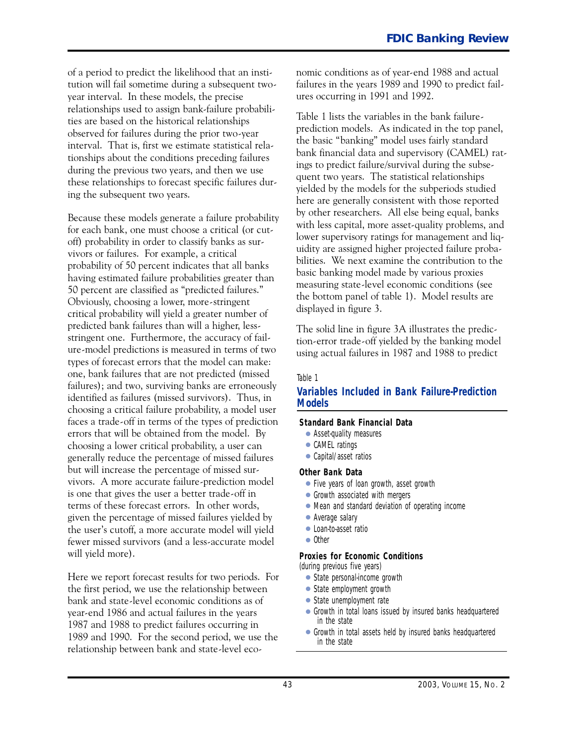of a period to predict the likelihood that an institution will fail sometime during a subsequent twoyear interval. In these models, the precise relationships used to assign bank-failure probabilities are based on the historical relationships observed for failures during the prior two-year interval. That is, first we estimate statistical relationships about the conditions preceding failures during the previous two years, and then we use these relationships to forecast specific failures during the subsequent two years.

 vivors. A more accurate failure-prediction model Because these models generate a failure probability for each bank, one must choose a critical (or cutoff) probability in order to classify banks as survivors or failures. For example, a critical probability of 50 percent indicates that all banks having estimated failure probabilities greater than 5 percent are classified as "predicted failures." Obviously, choosing a lower, more-stringent critical probability will yield a greater number of predicted bank failures than will a higher, lessstringent one. Furthermore, the accuracy of failure-model predictions is measured in terms of two types of forecast errors that the model can make: one, bank failures that are not predicted (missed failures); and two, surviving banks are erroneously identified as failures (missed survivors). Thus, in choosing a critical failure probability, a model user faces a trade-off in terms of the types of prediction errors that will be obtained from the model. By choosing a lower critical probability, a user can generally reduce the percentage of missed failures but will increase the percentage of missed suris one that gives the user a better trade-off in terms of these forecast errors. In other words, given the percentage of missed failures yielded by the user's cutoff, a more accurate model will yield fewer missed survivors (and a less-accurate model will yield more).

Here we report forecast results for two periods. For the first period, we use the relationship between bank and state-level economic conditions as of year-end 1986 and actual failures in the years 1987 and 1988 to predict failures occurring in 1989 and 1990. For the second period, we use the relationship between bank and state-level economic conditions as of year-end 1988 and actual failures in the years 1989 and 1990 to predict failures occurring in 1991 and 1992.

Table 1 lists the variables in the bank failureprediction models. As indicated in the top panel, the basic "banking" model uses fairly standard bank financial data and supervisory (CAMEL) ratings to predict failure/survival during the subsequent two years. The statistical relationships yielded by the models for the subperiods studied here are generally consistent with those reported by other researchers. All else being equal, banks with less capital, more asset-quality problems, and lower supervisory ratings for management and liquidity are assigned higher projected failure probabilities. We next examine the contribution to the basic banking model made by various proxies measuring state-level economic conditions (see the bottom panel of table 1). Model results are displayed in figure 3.

The solid line in figure 3A illustrates the prediction-error trade-off yielded by the banking model using actual failures in 1987 and 1988 to predict

#### Table 1

#### **Variables Included in Bank Failure-Prediction Models**

#### **Standard Bank Financial Data**

- Asset-quality measures
- CAMEL ratings
- Capital/asset ratios

#### **Other Bank Data**

- Five years of loan growth, asset growth
- Growth associated with mergers
- Mean and standard deviation of operating income
- Average salary
- Loan-to-asset ratio
- Other

#### **Proxies for Economic Conditions**

*(during previous five years)* 

- State personal-income growth
- State employment growth
- State unemployment rate
- Growth in total loans issued by insured banks headquartered in the state
- Growth in total assets held by insured banks headquartered in the state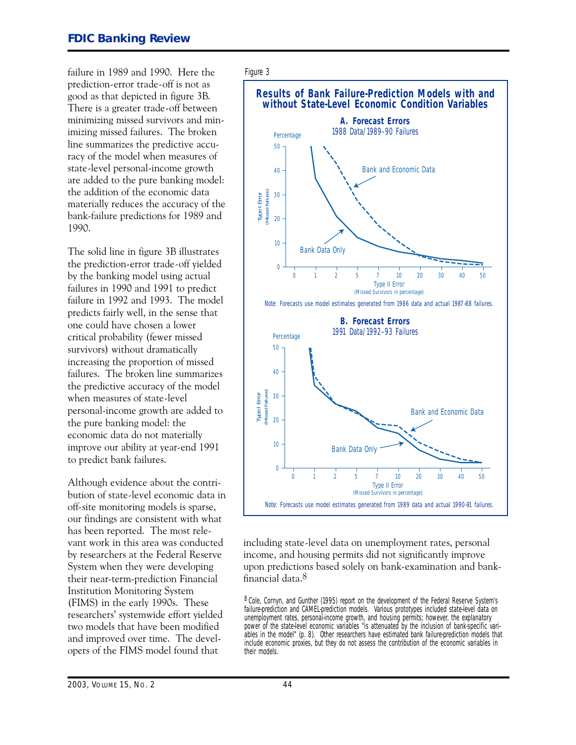failure in 1989 and 1990. Here the prediction-error trade-off is not as good as that depicted in figure 3B. There is a greater trade-off between minimizing missed survivors and minimizing missed failures. The broken line summarizes the predictive accuracy of the model when measures of state-level personal-income growth  $\frac{1}{40}$ are added to the pure banking model: the addition of the economic data materially reduces the accuracy of the bank-failure predictions for 1989 and 1990.

The solid line in figure 3B illustrates the prediction-error trade-off yielded  $\overline{0}$ by the banking model using actual failures in 1990 and 1991 to predict failure in 1992 and 1993. The model predicts fairly well, in the sense that one could have chosen a lower critical probability (fewer missed survivors) without dramatically increasing the proportion of missed failures. The broken line summarizes the predictive accuracy of the model when measures of state-level personal-income growth are added to the pure banking model: the economic data do not materially improve our ability at year-end  $1991$  10 to predict bank failures.

Although evidence about the contribution of state-level economic data in off-site monitoring models is sparse, our findings are consistent with what has been reported. The most relevant work in this area was conducted by researchers at the Federal Reserve System when they were developing their near-term-prediction Financial Institution Monitoring System (FIMS) in the early 1990s. These researchers' systemwide effort yielded two models that have been modified and improved over time. The developers of the FIMS model found that

#### Figure 3



including state-level data on unemployment rates, personal income, and housing permits did not significantly improve upon predictions based solely on bank-examination and bankfinancial data.8

8 Cole, Cornyn, and Gunther (1995) report on the development of the Federal Reserve System's failure-prediction and CAMEL-prediction models. Various prototypes included state-level data on unemployment rates, personal-income growth, and housing permits; however, the explanatory power of the state-level economic variables "is attenuated by the inclusion of bank-specific variables in the model" (p. 8). Other researchers have estimated bank failure-prediction models that include economic proxies, but they do not assess the contribution of the economic variables in their models.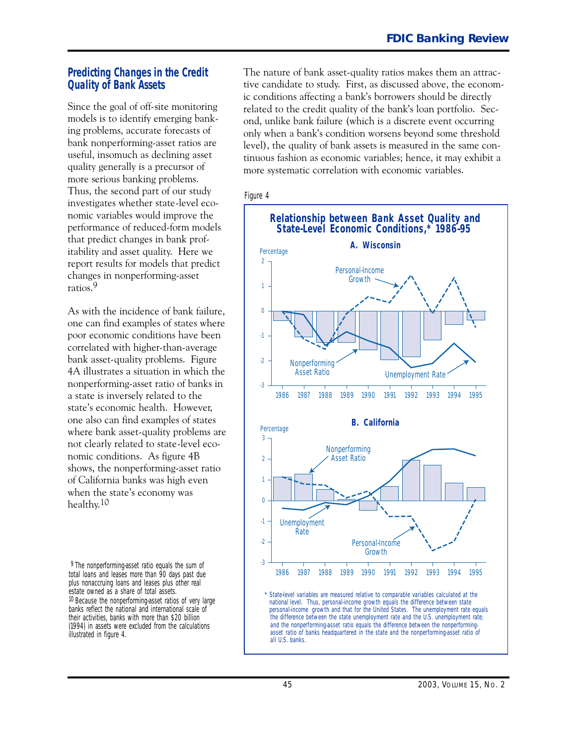### **Predicting Changes in the Credit Quality of Bank Assets**

 itability and asset quality. Here we Since the goal of off-site monitoring models is to identify emerging banking problems, accurate forecasts of bank nonperforming-asset ratios are useful, insomuch as declining asset quality generally is a precursor of more serious banking problems. Thus, the second part of our study investigates whether state-level economic variables would improve the performance of reduced-form models that predict changes in bank profreport results for models that predict changes in nonperforming-asset ratios.9

As with the incidence of bank failure, one can find examples of states where poor economic conditions have been correlated with higher-than-average bank asset-quality problems. Figure 4A illustrates a situation in which the nonperforming-asset ratio of banks in a state is inversely related to the state's economic health. However, one also can find examples of states where bank asset-quality problems are not clearly related to state-level economic conditions. As figure 4B shows, the nonperforming-asset ratio of California banks was high even when the state's economy was healthy.<sup>10</sup>

<sup>9</sup> The nonperforming-asset ratio equals the sum of total loans and leases more than 90 days past due plus nonaccruing loans and leases plus other real estate owned as a share of total assets. 10 Because the nonperforming-asset ratios of very large banks reflect the national and international scale of their activities, banks with more than \$20 billion (1994) in assets were excluded from the calculations illustrated in figure 4.

The nature of bank asset-quality ratios makes them an attractive candidate to study. First, as discussed above, the economic conditions affecting a bank's borrowers should be directly related to the credit quality of the bank's loan portfolio. Second, unlike bank failure (which is a discrete event occurring only when a bank's condition worsens beyond some threshold level), the quality of bank assets is measured in the same continuous fashion as economic variables; hence, it may exhibit a more systematic correlation with economic variables.



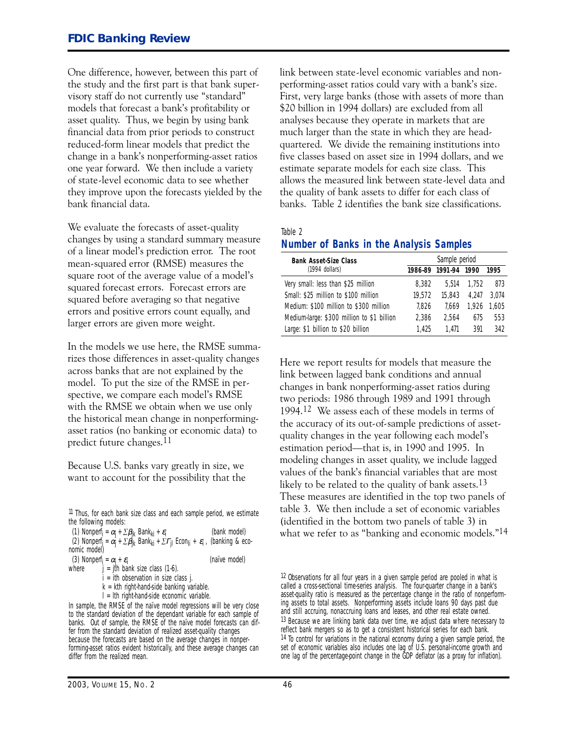One difference, however, between this part of the study and the first part is that bank supervisory staff do not currently use "standard" models that forecast a bank's profitability or asset quality. Thus, we begin by using bank financial data from prior periods to construct reduced-form linear models that predict the change in a bank's nonperforming-asset ratios one year forward. We then include a variety of state-level economic data to see whether they improve upon the forecasts yielded by the bank financial data.

We evaluate the forecasts of asset-quality changes by using a standard summary measure of a linear model's prediction error. The root mean-squared error (RMSE) measures the square root of the average value of a model's squared forecast errors. Forecast errors are squared before averaging so that negative errors and positive errors count equally, and larger errors are given more weight.

In the models we use here, the RMSE summarizes those differences in asset-quality changes across banks that are not explained by the model. To put the size of the RMSE in perspective, we compare each model's RMSE with the RMSE we obtain when we use only the historical mean change in nonperformingasset ratios (no banking or economic data) to predict future changes.11

Because U.S. banks vary greatly in size, we want to account for the possibility that the

11 Thus, for each bank size class and each sample period, we estimate the following models:

(1) *Nonperf<sub>i</sub>* =  $\alpha_j$  +  $\sum \beta_{jk}$  Bank<sub>ki</sub> +  $\varepsilon_j$  *(bank model)* (2) *Nonperfi =* α*j* + �β*jk Bankki* + �Γ*jl Econli* + <sup>ε</sup>*i* , *(banking & eco-nomic model)* 

(3) *Nonperf<sub>i</sub>* =  $\alpha_j$  +  $\varepsilon_j$  <br>where  $i = i$ th bank size class (1.6) (naïve model)

*j* = *jth bank size class (1-6)*.

*i = ith observation in size class j. k = kth right-hand-side banking variable.* 

*l = lth right-hand-side economic variable.* 

link between state-level economic variables and nonperforming-asset ratios could vary with a bank's size. First, very large banks (those with assets of more than �2 billion in 1994 dollars) are excluded from all analyses because they operate in markets that are much larger than the state in which they are headquartered. We divide the remaining institutions into five classes based on asset size in 1994 dollars, and we estimate separate models for each size class. This allows the measured link between state-level data and the quality of bank assets to differ for each class of banks. Table 2 identifies the bank size classifications.

Table 2

#### **Number of Banks in the Analysis Samples**

| <b>Bank Asset-Size Class</b>               | Sample period |         |       |       |  |
|--------------------------------------------|---------------|---------|-------|-------|--|
| (1994 dollars)                             | 1986-89       | 1991-94 | 1990  | 1995  |  |
| Very small: less than \$25 million         | 8.382         | 5.514   | 1.752 | 873   |  |
| Small: \$25 million to \$100 million       | 19.572        | 15.843  | 4.247 | 3.074 |  |
| Medium: \$100 million to \$300 million     | 7.826         | 7.669   | 1.926 | 1.605 |  |
| Medium-large: \$300 million to \$1 billion | 2.386         | 2.564   | 675   | 553   |  |
| Large: \$1 billion to \$20 billion         | 1.425         | 1.471   | 391   | 342   |  |

Here we report results for models that measure the link between lagged bank conditions and annual changes in bank nonperforming-asset ratios during two periods: 1986 through 1989 and 1991 through 1994.12 We assess each of these models in terms of the accuracy of its out-of-sample predictions of assetquality changes in the year following each model's estimation period—that is, in 1990 and 1995. In modeling changes in asset quality, we include lagged values of the bank's financial variables that are most likely to be related to the quality of bank assets.<sup>13</sup> These measures are identified in the top two panels of table ). We then include a set of economic variables (identified in the bottom two panels of table 3) in what we refer to as "banking and economic models."<sup>14</sup>

In sample, the RMSE of the naïve model regressions will be very close to the standard deviation of the dependant variable for each sample of banks. Out of sample, the RMSE of the naïve model forecasts can differ from the standard deviation of realized asset-quality changes because the forecasts are based on the average changes in nonperforming-asset ratios evident historically, and these average changes can differ from the realized mean.

<sup>12</sup> Observations for all four years in a given sample period are pooled in what is called a cross-sectional time-series analysis. The four-quarter change in a bank's asset-quality ratio is measured as the percentage change in the ratio of nonperforming assets to total assets. Nonperforming assets include loans 90 days past due and still accruing, nonaccruing loans and leases, and other real estate owned. 13 Because we are linking bank data over time, we adjust data where necessary to reflect bank mergers so as to get a consistent historical series for each bank. 14 To control for variations in the national economy during a given sample period, the set of economic variables also includes one lag of U.S. personal-income growth and one lag of the percentage-point change in the GDP deflator (as a proxy for inflation).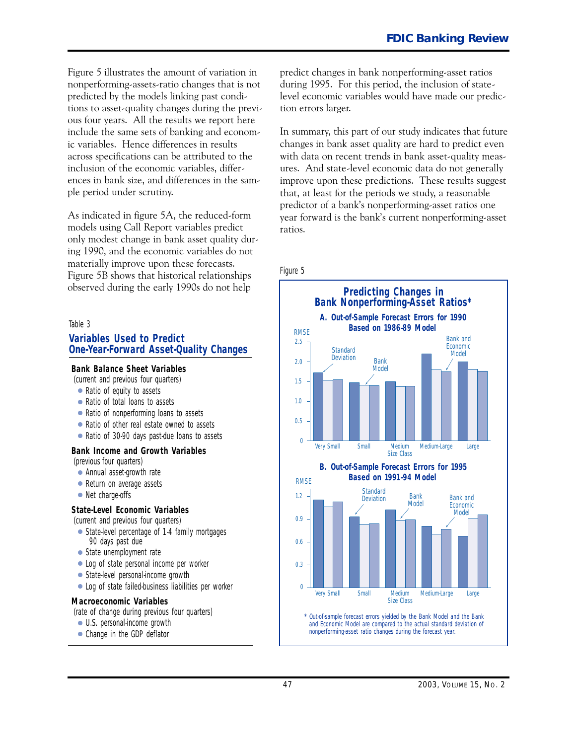Figure 5 illustrates the amount of variation in nonperforming-assets-ratio changes that is not predicted by the models linking past conditions to asset-quality changes during the previous four years. All the results we report here include the same sets of banking and economic variables. Hence differences in results across specifications can be attributed to the inclusion of the economic variables, differences in bank size, and differences in the sample period under scrutiny.

As indicated in figure 5A, the reduced-form models using Call Report variables predict only modest change in bank asset quality during 1990, and the economic variables do not materially improve upon these forecasts. Figure 5B shows that historical relationships observed during the early 1990s do not help

#### Table 3

#### **Variables Used to Predict One-Year-Forward Asset-Quality Changes**

#### **Bank Balance Sheet Variables**

*(current and previous four quarters)* 

- Ratio of equity to assets
- Ratio of total loans to assets
- Ratio of nonperforming loans to assets
- Ratio of other real estate owned to assets
- Ratio of 30-90 days past-due loans to assets

#### **Bank Income and Growth Variables**

*(previous four quarters)* 

- Annual asset-growth rate
- Return on average assets
- Net charge-offs

#### **State-Level Economic Variables**

*(current and previous four quarters)* 

- State-level percentage of 1-4 family mortgages 90 days past due
- State unemployment rate
- Log of state personal income per worker
- State-level personal-income growth
- Log of state failed-business liabilities per worker

#### **Macroeconomic Variables**

*(rate of change during previous four quarters)* 

- U.S. personal-income growth
- Change in the GDP deflator

predict changes in bank nonperforming-asset ratios during 1995. For this period, the inclusion of statelevel economic variables would have made our prediction errors larger.

In summary, this part of our study indicates that future changes in bank asset quality are hard to predict even with data on recent trends in bank asset-quality measures. And state-level economic data do not generally improve upon these predictions. These results suggest that, at least for the periods we study, a reasonable predictor of a bank's nonperforming-asset ratios one year forward is the bank's current nonperforming-asset ratios.

Figure 5

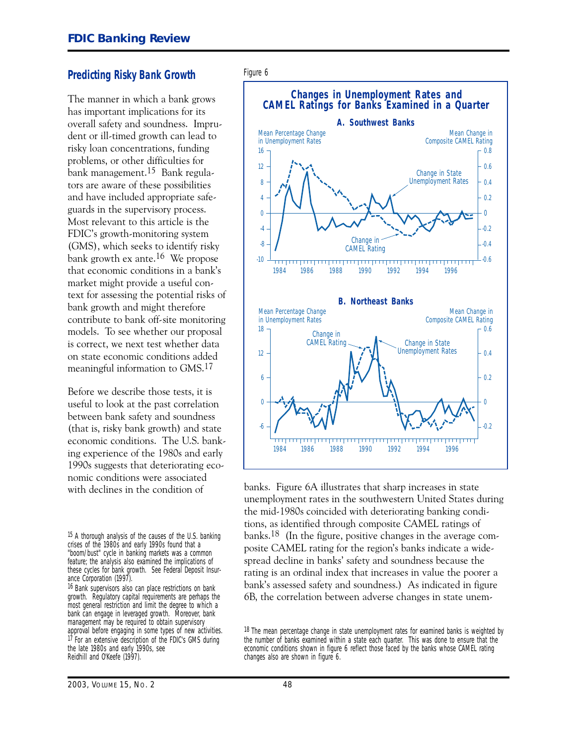#### **Predicting Risky Bank Growth**

The manner in which a bank grows has important implications for its overall safety and soundness. Imprudent or ill-timed growth can lead to risky loan concentrations, funding problems, or other difficulties for bank management.15 Bank regulators are aware of these possibilities and have included appropriate safeguards in the supervisory process. Most relevant to this article is the FDIC's growth-monitoring system (GMS), which seeks to identify risky bank growth ex ante.16 We propose that economic conditions in a bank's market might provide a useful context for assessing the potential risks of bank growth and might therefore contribute to bank off-site monitoring models. To see whether our proposal is correct, we next test whether data on state economic conditions added meaningful information to GMS.17

 economic conditions. The U.S. bank-Before we describe those tests, it is useful to look at the past correlation between bank safety and soundness (that is, risky bank growth) and state ing experience of the 1980s and early 1990s suggests that deteriorating economic conditions were associated with declines in the condition of

16 Bank supervisors also can place restrictions on bank growth. Regulatory capital requirements are perhaps the most general restriction and limit the degree to which a bank can engage in leveraged growth. Moreover, bank management may be required to obtain supervisory approval before engaging in some types of new activities. 17 For an extensive description of the FDIC's GMS during the late 1980s and early 1990s, see Reidhill and O'Keefe (1997).



banks. Figure 6A illustrates that sharp increases in state unemployment rates in the southwestern United States during the mid-1980s coincided with deteriorating banking conditions, as identified through composite CAMEL ratings of banks.18 (In the figure, positive changes in the average composite CAMEL rating for the region's banks indicate a widespread decline in banks' safety and soundness because the rating is an ordinal index that increases in value the poorer a bank's assessed safety and soundness.) As indicated in figure 6B, the correlation between adverse changes in state unem-

<sup>18</sup> The mean percentage change in state unemployment rates for examined banks is weighted by the number of banks examined within a state each quarter. This was done to ensure that the economic conditions shown in figure 6 reflect those faced by the banks whose CAMEL rating changes also are shown in figure 6.

<sup>15</sup> A thorough analysis of the causes of the U.S. banking crises of the 1980s and early 1990s found that a "boom/bust" cycle in banking markets was a common feature; the analysis also examined the implications of these cycles for bank growth. See Federal Deposit Insurance Corporation (1997).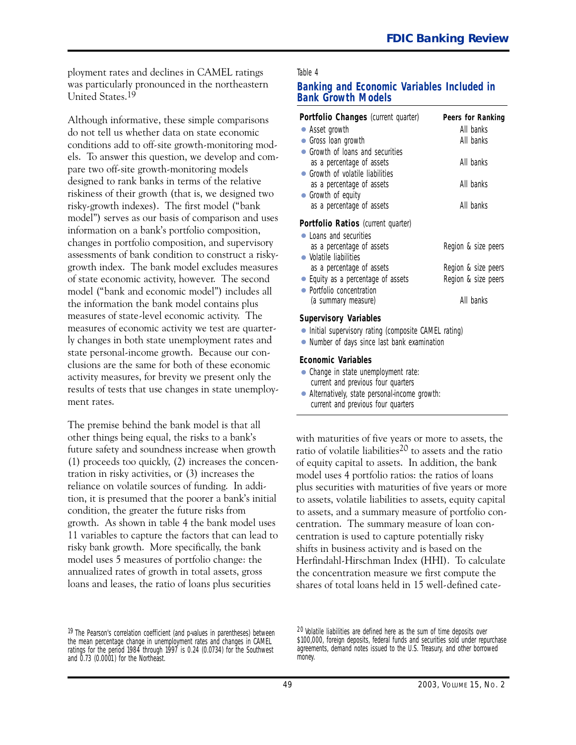ployment rates and declines in CAMEL ratings Table 4 was particularly pronounced in the northeastern **Banking and Economic Variables Included in**<br>**Bank Growth Models Bank Growth Models** 

Although informative, these simple comparisons do not tell us whether data on state economic conditions add to off-site growth-monitoring models. To answer this question, we develop and compare two off-site growth-monitoring models designed to rank banks in terms of the relative riskiness of their growth (that is, we designed two risky-growth indexes). The first model ("bank model") serves as our basis of comparison and uses information on a bank's portfolio composition, changes in portfolio composition, and supervisory assessments of bank condition to construct a riskygrowth index. The bank model excludes measures of state economic activity, however. The second model ("bank and economic model") includes all the information the bank model contains plus measures of state-level economic activity. The measures of economic activity we test are quarterly changes in both state unemployment rates and state personal-income growth. Because our conclusions are the same for both of these economic activity measures, for brevity we present only the results of tests that use changes in state unemployment rates.

The premise behind the bank model is that all other things being equal, the risks to a bank's future safety and soundness increase when growth (1) proceeds too quickly, (2) increases the concentration in risky activities, or  $(3)$  increases the reliance on volatile sources of funding. In addition, it is presumed that the poorer a bank's initial condition, the greater the future risks from growth. As shown in table 4 the bank model uses 11 variables to capture the factors that can lead to risky bank growth. More specifically, the bank model uses 5 measures of portfolio change: the annualized rates of growth in total assets, gross loans and leases, the ratio of loans plus securities

#### 19 The Pearson's correlation coefficient (and p-values in parentheses) between the mean percentage change in unemployment rates and changes in CAMEL ratings for the period 1984 through 1997 is 0.24 (0.0734) for the Southwest and 0.73 (0.0001) for the Northeast.

| Portfolio Changes (current quarter) | Peers for Ranking   |
|-------------------------------------|---------------------|
| • Asset growth                      | All banks           |
| • Gross Ioan growth                 | All banks           |
| • Growth of loans and securities    |                     |
| as a percentage of assets           | All banks           |
| • Growth of volatile liabilities    |                     |
| as a percentage of assets           | All banks           |
| • Growth of equity                  |                     |
| as a percentage of assets           | All banks           |
| Portfolio Ratios (current quarter)  |                     |
| • Loans and securities              |                     |
| as a percentage of assets           | Region & size peers |
| • Volatile liabilities              |                     |
| as a percentage of assets           | Region & size peers |
| • Equity as a percentage of assets  | Region & size peers |
| Portfolio concentration             |                     |
| (a summary measure)                 | All banks           |

#### **Supervisory Variables**

- Initial supervisory rating (composite CAMEL rating)
- Number of days since last bank examination

#### **Economic Variables**

- Change in state unemployment rate: current and previous four quarters
- Alternatively, state personal-income growth: current and previous four quarters

with maturities of five years or more to assets, the ratio of volatile liabilities<sup>20</sup> to assets and the ratio of equity capital to assets. In addition, the bank model uses 4 portfolio ratios: the ratios of loans plus securities with maturities of five years or more to assets, volatile liabilities to assets, equity capital to assets, and a summary measure of portfolio concentration. The summary measure of loan concentration is used to capture potentially risky shifts in business activity and is based on the Herfindahl-Hirschman Index (HHI). To calculate the concentration measure we first compute the shares of total loans held in 15 well-defined cate-

<sup>20</sup> Volatile liabilities are defined here as the sum of time deposits over \$100,000, foreign deposits, federal funds and securities sold under repurchase agreements, demand notes issued to the U.S. Treasury, and other borrowed money.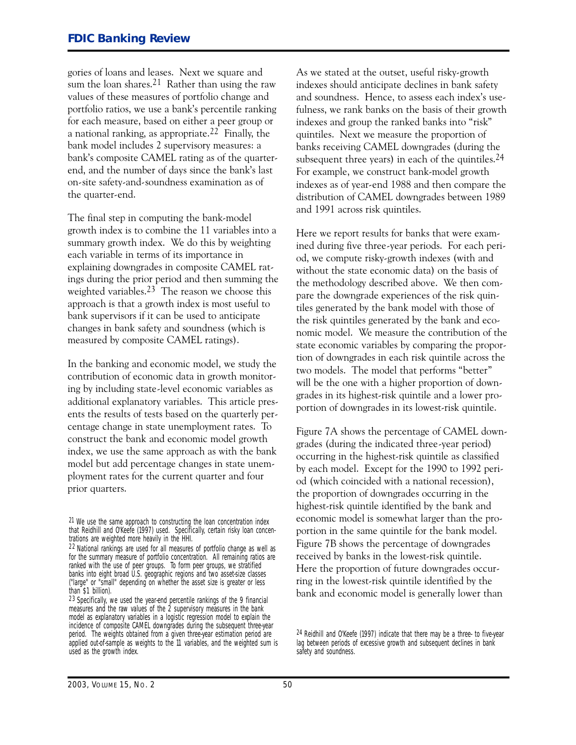gories of loans and leases. Next we square and sum the loan shares.<sup>21</sup> Rather than using the raw values of these measures of portfolio change and portfolio ratios, we use a bank's percentile ranking for each measure, based on either a peer group or a national ranking, as appropriate.<sup>22</sup> Finally, the bank model includes 2 supervisory measures: a bank's composite CAMEL rating as of the quarterend, and the number of days since the bank's last on-site safety-and-soundness examination as of the quarter-end.

The final step in computing the bank-model growth index is to combine the 11 variables into a summary growth index. We do this by weighting each variable in terms of its importance in explaining downgrades in composite CAMEL ratings during the prior period and then summing the weighted variables.<sup>23</sup> The reason we choose this approach is that a growth index is most useful to bank supervisors if it can be used to anticipate changes in bank safety and soundness (which is measured by composite CAMEL ratings).

In the banking and economic model, we study the contribution of economic data in growth monitoring by including state-level economic variables as additional explanatory variables. This article presents the results of tests based on the quarterly percentage change in state unemployment rates. To construct the bank and economic model growth index, we use the same approach as with the bank model but add percentage changes in state unemployment rates for the current quarter and four prior quarters.

As we stated at the outset, useful risky-growth indexes should anticipate declines in bank safety and soundness. Hence, to assess each index's usefulness, we rank banks on the basis of their growth indexes and group the ranked banks into "risk" quintiles. Next we measure the proportion of banks receiving CAMEL downgrades (during the subsequent three years) in each of the quintiles.  $24$ For example, we construct bank-model growth indexes as of year-end 1988 and then compare the distribution of CAMEL downgrades between 1989 and 1991 across risk quintiles.

Here we report results for banks that were examined during five three-year periods. For each period, we compute risky-growth indexes (with and without the state economic data) on the basis of the methodology described above. We then compare the downgrade experiences of the risk quintiles generated by the bank model with those of the risk quintiles generated by the bank and economic model. We measure the contribution of the state economic variables by comparing the proportion of downgrades in each risk quintile across the two models. The model that performs "better" will be the one with a higher proportion of downgrades in its highest-risk quintile and a lower proportion of downgrades in its lowest-risk quintile.

Figure 7A shows the percentage of CAMEL downgrades (during the indicated three-year period) occurring in the highest-risk quintile as classified by each model. Except for the 1990 to 1992 period (which coincided with a national recession), the proportion of downgrades occurring in the highest-risk quintile identified by the bank and economic model is somewhat larger than the proportion in the same quintile for the bank model. Figure 7B shows the percentage of downgrades received by banks in the lowest-risk quintile. Here the proportion of future downgrades occurring in the lowest-risk quintile identified by the bank and economic model is generally lower than

<sup>21</sup> We use the same approach to constructing the loan concentration index that Reidhill and O'Keefe (1997) used. Specifically, certain risky loan concentrations are weighted more heavily in the HHI.

<sup>22</sup> National rankings are used for all measures of portfolio change as well as for the summary measure of portfolio concentration. All remaining ratios are ranked with the use of peer groups. To form peer groups, we stratified banks into eight broad U.S. geographic regions and two asset-size classes ("large" or "small" depending on whether the asset size is greater or less than \$1 billion).

<sup>23</sup> Specifically, we used the year-end percentile rankings of the 9 financial measures and the raw values of the 2 supervisory measures in the bank model as explanatory variables in a logistic regression model to explain the incidence of composite CAMEL downgrades during the subsequent three-year period. The weights obtained from a given three-year estimation period are applied out-of-sample as weights to the 11 variables, and the weighted sum is used as the growth index.

<sup>24</sup> Reidhill and O'Keefe (1997) indicate that there may be a three- to five-year lag between periods of excessive growth and subsequent declines in bank safety and soundness.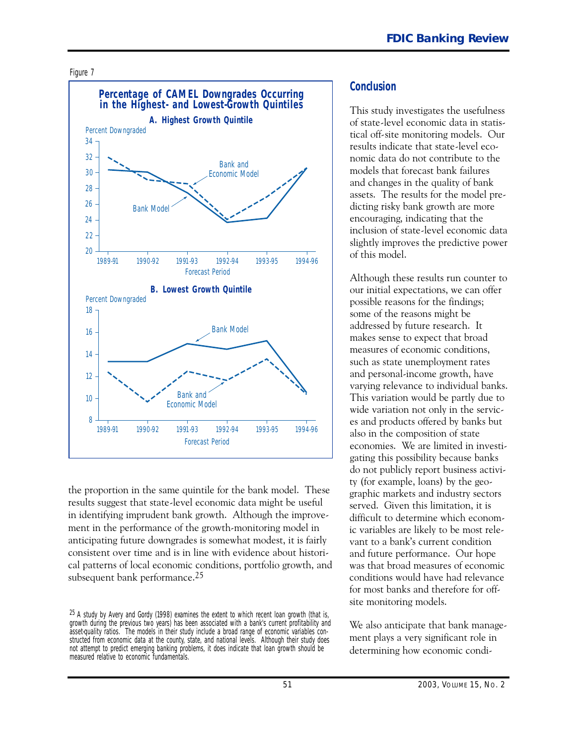



the proportion in the same quintile for the bank model. These results suggest that state-level economic data might be useful in identifying imprudent bank growth. Although the improvement in the performance of the growth-monitoring model in anticipating future downgrades is somewhat modest, it is fairly consistent over time and is in line with evidence about historical patterns of local economic conditions, portfolio growth, and subsequent bank performance.<sup>25</sup>

#### **Conclusion**

This study investigates the usefulness of state-level economic data in statistical off-site monitoring models. Our results indicate that state-level economic data do not contribute to the models that forecast bank failures and changes in the quality of bank assets. The results for the model predicting risky bank growth are more encouraging, indicating that the inclusion of state-level economic data slightly improves the predictive power of this model.

Although these results run counter to our initial expectations, we can offer possible reasons for the findings; some of the reasons might be addressed by future research. It makes sense to expect that broad measures of economic conditions, such as state unemployment rates and personal-income growth, have varying relevance to individual banks. This variation would be partly due to wide variation not only in the services and products offered by banks but also in the composition of state economies. We are limited in investigating this possibility because banks do not publicly report business activity (for example, loans) by the geographic markets and industry sectors served. Given this limitation, it is difficult to determine which economic variables are likely to be most relevant to a bank's current condition and future performance. Our hope was that broad measures of economic conditions would have had relevance for most banks and therefore for offsite monitoring models.

We also anticipate that bank management plays a very significant role in determining how economic condi-

 $25$  A study by Avery and Gordy (1998) examines the extent to which recent loan growth (that is, growth during the previous two years) has been associated with a bank's current profitability and asset-quality ratios. The models in their study include a broad range of economic variables constructed from economic data at the county, state, and national levels. Although their study does not attempt to predict emerging banking problems, it does indicate that loan growth should be measured relative to economic fundamentals.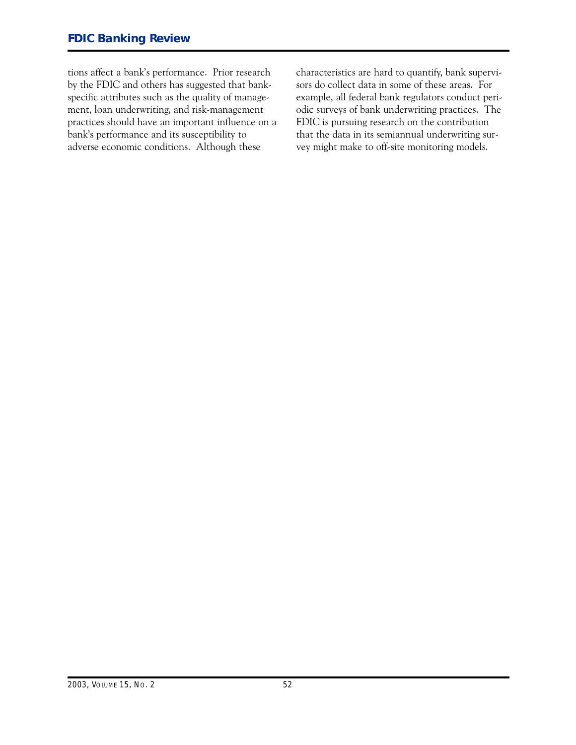tions affect a bank's performance. Prior research by the FDIC and others has suggested that bankspecific attributes such as the quality of management, loan underwriting, and risk-management practices should have an important influence on a bank's performance and its susceptibility to adverse economic conditions. Although these

characteristics are hard to quantify, bank supervisors do collect data in some of these areas. For example, all federal bank regulators conduct periodic surveys of bank underwriting practices. The FDIC is pursuing research on the contribution that the data in its semiannual underwriting survey might make to off-site monitoring models.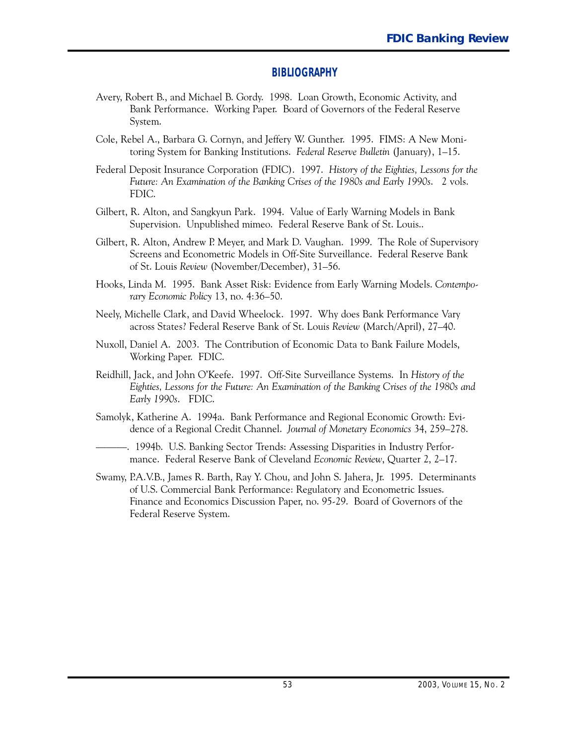#### **BIBLIOGRAPHY**

- Avery, Robert B., and Michael B. Gordy. 1998. Loan Growth, Economic Activity, and Bank Performance. Working Paper. Board of Governors of the Federal Reserve System.
- Cole, Rebel A., Barbara G. Cornyn, and Jeffery W. Gunther. 1995. FIMS: A New Monitoring System for Banking Institutions. *Federal Reserve Bulletin* (January), 1-15.
- Federal Deposit Insurance Corporation (FDIC). 1997. *History of the Eighties, Lessons for the Future: An Examination of the Banking Crises of the 1980s and Early 1990s*. 2 vols. FDIC.
- Gilbert, R. Alton, and Sangkyun Park. 1994. Value of Early Warning Models in Bank Supervision. Unpublished mimeo. Federal Reserve Bank of St. Louis..
- Gilbert, R. Alton, Andrew P. Meyer, and Mark D. Vaughan. 1999. The Role of Supervisory Screens and Econometric Models in Off-Site Surveillance. Federal Reserve Bank of St. Louis *Review* (November/December), 31–56.
- Hooks, Linda M. 1995. Bank Asset Risk: Evidence from Early Warning Models. *Contemporary Economic Policy* 13, no. 4:36–50.
- Neely, Michelle Clark, and David Wheelock. 1997. Why does Bank Performance Vary across States? Federal Reserve Bank of St. Louis Review (March/April), 27-40.
- Nuxoll, Daniel A. 2003. The Contribution of Economic Data to Bank Failure Models, Working Paper. FDIC.
- Reidhill, Jack, and John O'Keefe. 1997. Off-Site Surveillance Systems. In *History of the Early 1990s*. FDIC. *Eighties, Lessons for the Future: An Examination of the Banking Crises of the 1980s and*
- Samolyk, Katherine A. 1994a. Bank Performance and Regional Economic Growth: Evidence of a Regional Credit Channel. *Journal of Monetary Economics* 34, 259–278.
- -------------. 1994b. U.S. Banking Sector Trends: Assessing Disparities in Industry Performance. Federal Reserve Bank of Cleveland *Economic Review*, Quarter 2, 2-17.
- Swamy, P.A.V.B., James R. Barth, Ray Y. Chou, and John S. Jahera, Jr. 1995. Determinants of U.S. Commercial Bank Performance: Regulatory and Econometric Issues. Finance and Economics Discussion Paper, no. 95-29. Board of Governors of the Federal Reserve System.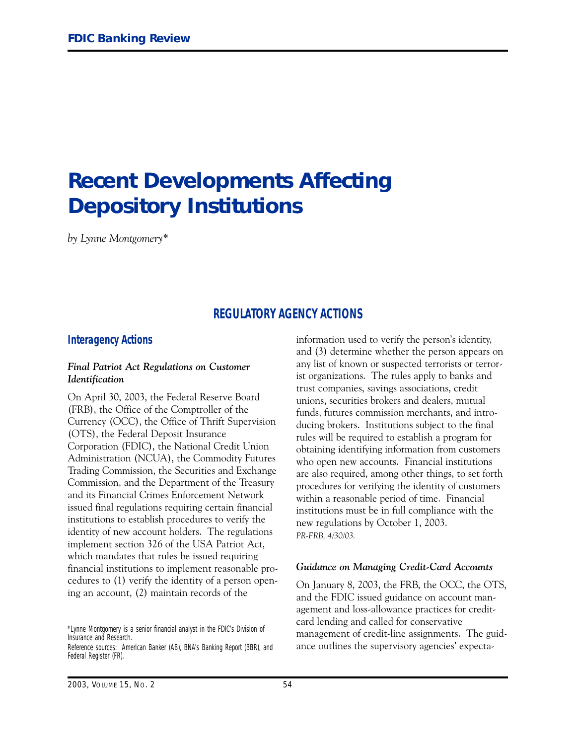# **Recent Developments Affecting Depository Institutions**

*by Lynne Montgomery\**

# **REGULATORY AGENCY ACTIONS**

#### **Interagency Actions**

#### *Final Patriot Act Regulations on Customer Identification*

On April 30, 2003, the Federal Reserve Board (FRB), the Office of the Comptroller of the Currency (OCC), the Office of Thrift Supervision (OTS), the Federal Deposit Insurance Corporation (FDIC), the National Credit Union Administration (NCUA), the Commodity Futures Trading Commission, the Securities and Exchange Commission, and the Department of the Treasury and its Financial Crimes Enforcement Network issued final regulations requiring certain financial institutions to establish procedures to verify the identity of new account holders. The regulations implement section 326 of the USA Patriot Act, which mandates that rules be issued requiring financial institutions to implement reasonable procedures to (1) verify the identity of a person opening an account, (2) maintain records of the

\*Lynne Montgomery is a senior financial analyst in the FDIC's Division of Insurance and Research.

Reference sources: *American Banker* (AB), *BNA's Banking Report* (BBR), and *Federal Register* (FR).

information used to verify the person's identity, and (3) determine whether the person appears on any list of known or suspected terrorists or terrorist organizations. The rules apply to banks and trust companies, savings associations, credit unions, securities brokers and dealers, mutual funds, futures commission merchants, and introducing brokers. Institutions subject to the final rules will be required to establish a program for obtaining identifying information from customers who open new accounts. Financial institutions are also required, among other things, to set forth procedures for verifying the identity of customers within a reasonable period of time. Financial institutions must be in full compliance with the new regulations by October 1, 2003. *PR-FRB, 4/30/03.*

#### *Guidance on Managing Credit-Card Accounts*

On January 8, 2003, the FRB, the OCC, the OTS, and the FDIC issued guidance on account management and loss-allowance practices for creditcard lending and called for conservative management of credit-line assignments. The guidance outlines the supervisory agencies' expecta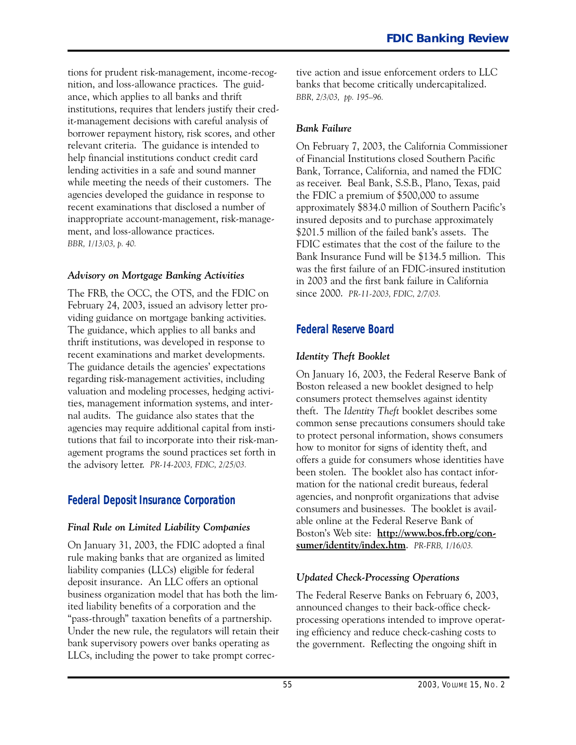tions for prudent risk-management, income-recognition, and loss-allowance practices. The guidance, which applies to all banks and thrift institutions, requires that lenders justify their credit-management decisions with careful analysis of borrower repayment history, risk scores, and other relevant criteria. The guidance is intended to help financial institutions conduct credit card lending activities in a safe and sound manner while meeting the needs of their customers. The agencies developed the guidance in response to recent examinations that disclosed a number of inappropriate account-management, risk-management, and loss-allowance practices. *BBR, 1/13/03, p. 40.*

#### *Advisory on Mortgage Banking Activities*

The FRB, the OCC, the OTS, and the FDIC on February 24, 2003, issued an advisory letter providing guidance on mortgage banking activities. The guidance, which applies to all banks and thrift institutions, was developed in response to recent examinations and market developments. The guidance details the agencies' expectations regarding risk-management activities, including valuation and modeling processes, hedging activities, management information systems, and internal audits. The guidance also states that the agencies may require additional capital from institutions that fail to incorporate into their risk-management programs the sound practices set forth in the advisory letter. *PR-14-2003, FDIC, 2/25/03.*

# **Federal Deposit Insurance Corporation**

### *Final Rule on Limited Liability Companies*

On January 31, 2003, the FDIC adopted a final rule making banks that are organized as limited liability companies (LLCs) eligible for federal deposit insurance. An LLC offers an optional business organization model that has both the limited liability benefits of a corporation and the "pass-through" taxation benefits of a partnership. Under the new rule, the regulators will retain their bank supervisory powers over banks operating as LLCs, including the power to take prompt corrective action and issue enforcement orders to LLC banks that become critically undercapitalized. *BBR, 2/3/03, pp. 195-96.*

# *Bank Failure*

On February 7, 2003, the California Commissioner of Financial Institutions closed Southern Pacific Bank, Torrance, California, and named the FDIC as receiver. Beal Bank, S.S.B., Plano, Texas, paid the FDIC a premium of \$500,000 to assume approximately \$834.0 million of Southern Pacific's insured deposits and to purchase approximately \$201.5 million of the failed bank's assets. The FDIC estimates that the cost of the failure to the Bank Insurance Fund will be \$134.5 million. This was the first failure of an FDIC-insured institution in 2003 and the first bank failure in California since 2000. *PR-11-2003, FDIC, 2/7/03.*

# **Federal Reserve Board**

# *Identity Theft Booklet*

On January 16, 2003, the Federal Reserve Bank of Boston released a new booklet designed to help consumers protect themselves against identity theft. The *Identity Theft* booklet describes some common sense precautions consumers should take to protect personal information, shows consumers how to monitor for signs of identity theft, and offers a guide for consumers whose identities have been stolen. The booklet also has contact information for the national credit bureaus, federal agencies, and nonprofit organizations that advise consumers and businesses. The booklet is available online at the Federal Reserve Bank of Boston's Web site: http://www.bos.frb.org/con**sumer/identity/index.htm**. *PR-FRB, 1/16/03.*

# *Updated Check-Processing Operations*

The Federal Reserve Banks on February 6, 2003, announced changes to their back-office checkprocessing operations intended to improve operating efficiency and reduce check-cashing costs to the government. Reflecting the ongoing shift in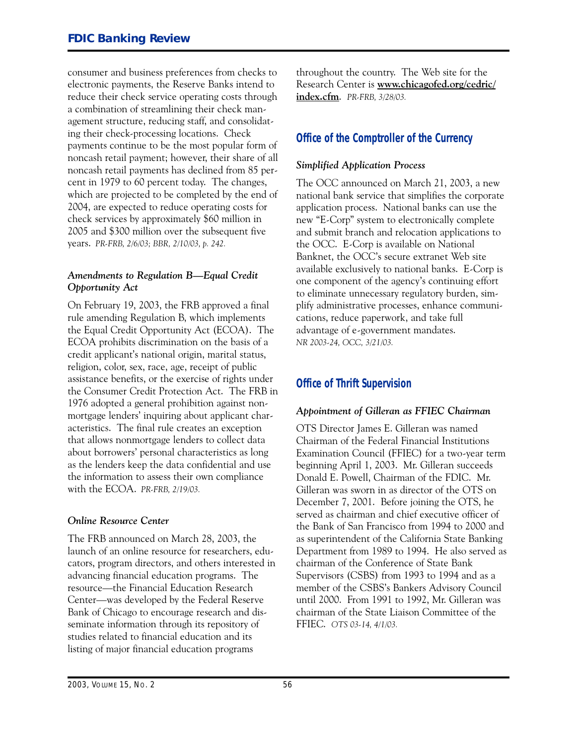consumer and business preferences from checks to electronic payments, the Reserve Banks intend to reduce their check service operating costs through a combination of streamlining their check management structure, reducing staff, and consolidating their check-processing locations. Check payments continue to be the most popular form of noncash retail payment; however, their share of all noncash retail payments has declined from 85 percent in 1979 to 60 percent today. The changes, which are projected to be completed by the end of 2004, are expected to reduce operating costs for check services by approximately \$60 million in 2005 and \$300 million over the subsequent five years. *PR-FRB, 2/6/03; BBR, 2/10/03, p. 242.*

#### *Amendments to Regulation B-Equal Credit Opportunity Act*

On February 19, 2003, the FRB approved a final rule amending Regulation B, which implements the Equal Credit Opportunity Act (ECOA). The ECOA prohibits discrimination on the basis of a credit applicant's national origin, marital status, religion, color, sex, race, age, receipt of public assistance benefits, or the exercise of rights under the Consumer Credit Protection Act. The FRB in 1976 adopted a general prohibition against nonmortgage lenders' inquiring about applicant characteristics. The final rule creates an exception that allows nonmortgage lenders to collect data about borrowers' personal characteristics as long as the lenders keep the data confidential and use the information to assess their own compliance with the ECOA. *PR-FRB, 2/19/03.*

#### *Online Resource Center*

The FRB announced on March 28, 2003, the launch of an online resource for researchers, educators, program directors, and others interested in advancing financial education programs. The resource-the Financial Education Research Center-was developed by the Federal Reserve Bank of Chicago to encourage research and disseminate information through its repository of studies related to financial education and its listing of major financial education programs

throughout the country. The Web site for the Research Center is www.chicagofed.org/cedric/ **index.c&m**. *PR-FRB, 3/28/03.* 

# **Office of the Comptroller of the Currency**

#### *Simplified Application Process*

The OCC announced on March 21, 2003, a new national bank service that simplifies the corporate application process. National banks can use the new "E-Corp" system to electronically complete and submit branch and relocation applications to the OCC. E-Corp is available on National Banknet, the OCC's secure extranet Web site available exclusively to national banks. E-Corp is one component of the agency's continuing effort to eliminate unnecessary regulatory burden, simplify administrative processes, enhance communications, reduce paperwork, and take full advantage of e-government mandates. *NR 2003-24, OCC, 3/21/03.*

# **Office of Thrift Supervision**

#### *Appointment of Gilleran as FFIEC Chairman*

 beginning April 1, 2003. Mr. Gilleran succeeds OTS Director James E. Gilleran was named Chairman of the Federal Financial Institutions Examination Council (FFIEC) for a two-year term Donald E. Powell, Chairman of the FDIC. Mr. Gilleran was sworn in as director of the OTS on December 7, 2001. Before joining the OTS, he served as chairman and chief executive officer of the Bank of San Francisco from 1994 to 2000 and as superintendent of the California State Banking Department from 1989 to 1994. He also served as chairman of the Conference of State Bank Supervisors (CSBS) from 1993 to 1994 and as a member of the CSBS's Bankers Advisory Council until 2000. From 1991 to 1992, Mr. Gilleran was chairman of the State Liaison Committee of the FFIEC. *OTS 03-14, 4/1/03.*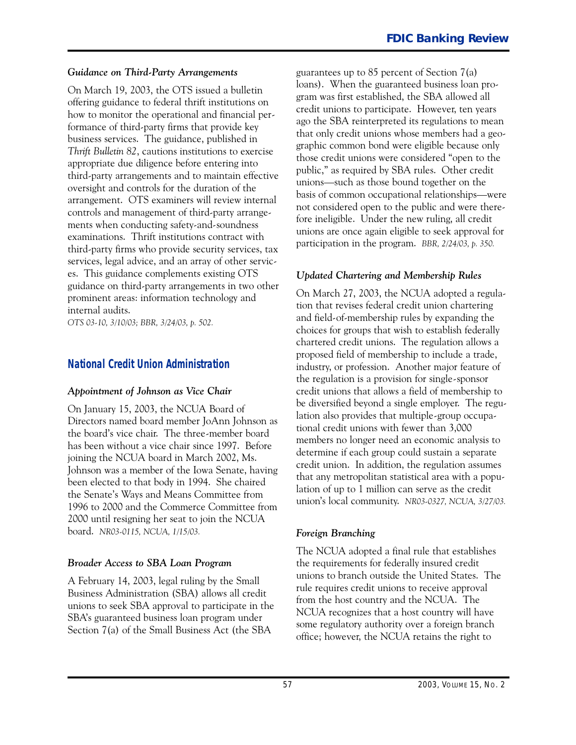#### *Guidance on Third-Party Arrangements*

On March 19, 2003, the OTS issued a bulletin offering guidance to federal thrift institutions on how to monitor the operational and financial performance of third-party firms that provide key business services. The guidance, published in *Thrift Bulletin 82*, cautions institutions to exercise appropriate due diligence before entering into third-party arrangements and to maintain effective oversight and controls for the duration of the arrangement. OTS examiners will review internal controls and management of third-party arrangements when conducting safety-and-soundness examinations. Thrift institutions contract with third-party firms who provide security services, tax services, legal advice, and an array of other services. This guidance complements existing OTS guidance on third-party arrangements in two other prominent areas: information technology and internal audits.

*OTS 03-10, 3/10/03; BBR, 3/24/03, p. 502.*

### **National Credit Union Administration**

#### *Appointment of Johnson as Vice Chair*

the board's vice chair. The three-member board On January 15, 2003, the NCUA Board of Directors named board member JoAnn Johnson as has been without a vice chair since 1997. Before joining the NCUA board in March 2002, Ms. Johnson was a member of the Iowa Senate, having been elected to that body in 1994. She chaired the Senate's Ways and Means Committee from 1996 to 2000 and the Commerce Committee from 2000 until resigning her seat to join the NCUA board. *NR03-0115, NCUA, 1/15/03.*

#### *Broader Access to SBA Loan Program*

A February 14, 2003, legal ruling by the Small Business Administration (SBA) allows all credit unions to seek SBA approval to participate in the SBA's guaranteed business loan program under Section 7(a) of the Small Business Act (the SBA

guarantees up to 85 percent of Section 7(a) loans). When the guaranteed business loan program was first established, the SBA allowed all credit unions to participate. However, ten years ago the SBA reinterpreted its regulations to mean that only credit unions whose members had a geographic common bond were eligible because only those credit unions were considered "open to the public," as required by SBA rules. Other credit unions-such as those bound together on the basis of common occupational relationships—were not considered open to the public and were therefore ineligible. Under the new ruling, all credit unions are once again eligible to seek approval for participation in the program. *BBR, 2/24/03, p. 350.*

#### *Updated Chartering and Membership Rules*

On March 27, 2003, the NCUA adopted a regulation that revises federal credit union chartering and field-of-membership rules by expanding the choices for groups that wish to establish federally chartered credit unions. The regulation allows a proposed field of membership to include a trade, industry, or profession. Another major feature of the regulation is a provision for single-sponsor credit unions that allows a field of membership to be diversified beyond a single employer. The regulation also provides that multiple-group occupational credit unions with fewer than 3,000 members no longer need an economic analysis to determine if each group could sustain a separate credit union. In addition, the regulation assumes that any metropolitan statistical area with a population of up to 1 million can serve as the credit union's local community. *NR03-0327, NCUA, 3/27/03.*

#### *Foreign Branching*

The NCUA adopted a final rule that establishes the requirements for federally insured credit unions to branch outside the United States. The rule requires credit unions to receive approval from the host country and the NCUA. The NCUA recognizes that a host country will have some regulatory authority over a foreign branch office; however, the NCUA retains the right to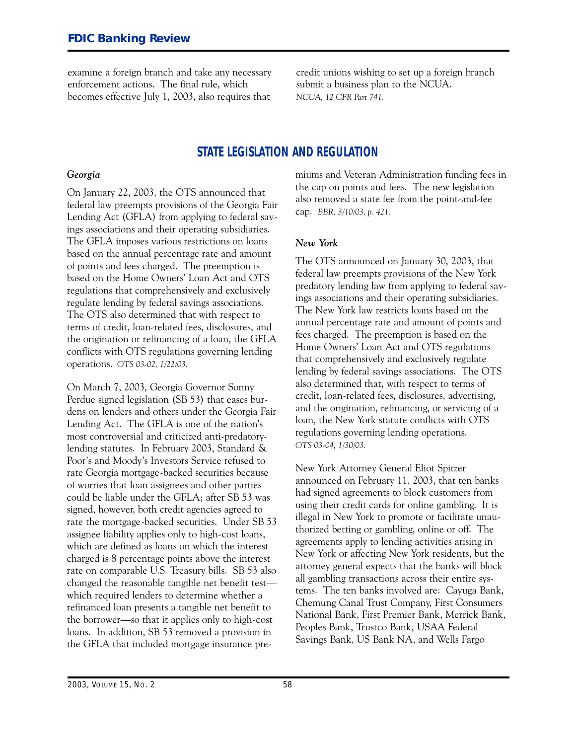examine a foreign branch and take any necessary credit unions wishing to set up a foreign branch enforcement actions. The final rule, which submit a business plan to the NCUA. becomes effective July 1, 2003, also requires that *NCUA, 12 CFR Part 741.*

# **STATE LEGISLATION AND REGULATION**

#### *Georgia*

On January 22, 2003, the OTS announced that federal law preempts provisions of the Georgia Fair Lending Act (GFLA) from applying to federal savings associations and their operating subsidiaries. The GFLA imposes various restrictions on loans based on the annual percentage rate and amount of points and fees charged. The preemption is based on the Home Owners' Loan Act and OTS regulations that comprehensively and exclusively regulate lending by federal savings associations. The OTS also determined that with respect to terms of credit, loan-related fees, disclosures, and the origination or refinancing of a loan, the GFLA conflicts with OTS regulations governing lending operations. *OTS 03-02, 1/22/03.*

On March 7, 2003, Georgia Governor Sonny Perdue signed legislation (SB 53) that eases burdens on lenders and others under the Georgia Fair Lending Act. The GFLA is one of the nation's most controversial and criticized anti-predatorylending statutes. In February 2003, Standard & Poor's and Moody's Investors Service refused to rate Georgia mortgage-backed securities because of worries that loan assignees and other parties could be liable under the GFLA; after SB 53 was signed, however, both credit agencies agreed to rate the mortgage-backed securities. Under SB 53 assignee liability applies only to high-cost loans, which are defined as loans on which the interest charged is 8 percentage points above the interest rate on comparable U.S. Treasury bills. SB 53 also changed the reasonable tangible net benefit test which required lenders to determine whether a refinanced loan presents a tangible net benefit to the borrower-so that it applies only to high-cost loans. In addition, SB 53 removed a provision in the GFLA that included mortgage insurance premiums and Veteran Administration funding fees in the cap on points and fees. The new legislation also removed a state fee from the point-and-fee cap. *BBR, 3/10/03, p. 421.*

#### *New York*

The OTS announced on January 30, 2003, that federal law preempts provisions of the New York predatory lending law from applying to federal savings associations and their operating subsidiaries. The New York law restricts loans based on the annual percentage rate and amount of points and fees charged. The preemption is based on the Home Owners' Loan Act and OTS regulations that comprehensively and exclusively regulate lending by federal savings associations. The OTS also determined that, with respect to terms of credit, loan-related fees, disclosures, advertising, and the origination, refinancing, or servicing of a loan, the New York statute conflicts with OTS regulations governing lending operations. *OTS 03-04, 1/30/03.*

 using their credit cards for online gambling. It is New York Attorney General Eliot Spitzer announced on February 11, 2003, that ten banks had signed agreements to block customers from illegal in New York to promote or facilitate unauthorized betting or gambling, online or off. The agreements apply to lending activities arising in New York or affecting New York residents, but the attorney general expects that the banks will block all gambling transactions across their entire systems. The ten banks involved are: Cayuga Bank, Chemung Canal Trust Company, First Consumers National Bank, First Premier Bank, Merrick Bank, Peoples Bank, Trustco Bank, USAA Federal Savings Bank, US Bank NA, and Wells Fargo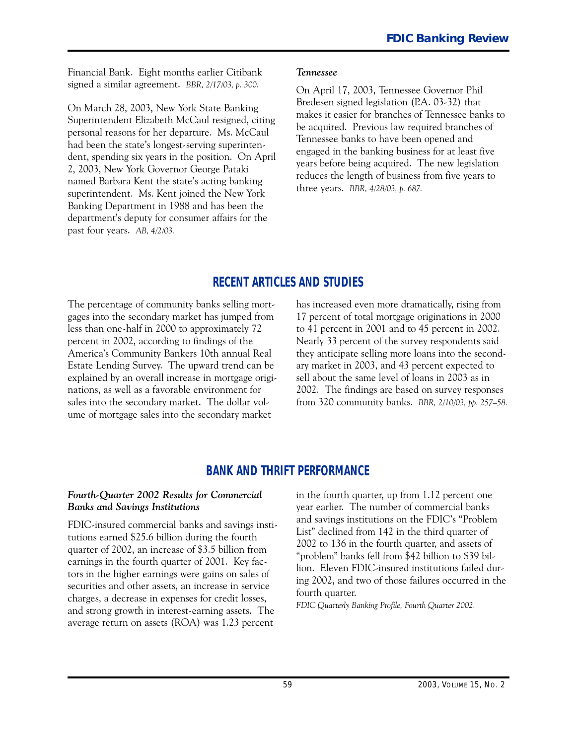Financial Bank. Eight months earlier Citibank signed a similar agreement. *BBR, 2/17/03, p. 300.*

On March 28, 2003, New York State Banking Superintendent Elizabeth McCaul resigned, citing personal reasons for her departure. Ms. McCaul had been the state's longest-serving superintendent, spending six years in the position. On April 2, 2003, New York Governor George Pataki named Barbara Kent the state's acting banking superintendent. Ms. Kent joined the New York Banking Department in 1988 and has been the department's deputy for consumer affairs for the past four years. *AB, 4/2/03.*

#### *Tennessee*

On April 17, 2003, Tennessee Governor Phil Bredesen signed legislation (P.A. 03-32) that makes it easier for branches of Tennessee banks to be acquired. Previous law required branches of Tennessee banks to have been opened and engaged in the banking business for at least five years before being acquired. The new legislation reduces the length of business from five years to three years. *BBR, 4/28/03, p. 687.*

# **RECENT ARTICLES AND STUDIES**

The percentage of community banks selling mortgages into the secondary market has jumped from less than one-half in 2000 to approximately 72 percent in 2002, according to findings of the America's Community Bankers 10th annual Real Estate Lending Survey. The upward trend can be explained by an overall increase in mortgage originations, as well as a favorable environment for sales into the secondary market. The dollar volume of mortgage sales into the secondary market

has increased even more dramatically, rising from 17 percent of total mortgage originations in 2000 to 41 percent in 2001 and to 45 percent in 2002. Nearly 33 percent of the survey respondents said they anticipate selling more loans into the secondary market in 2003, and 43 percent expected to sell about the same level of loans in 2003 as in 2002. The findings are based on survey responses from 320 community banks. *BBR, 2/10/03, pp. 257-58.*

# **BANK AND THRIFT PERFORMANCE**

#### *Fourth-�uarter ���� Results for Commercial Banks and Savings Institutions*

FDIC-insured commercial banks and savings institutions earned \$25.6 billion during the fourth quarter of 2002, an increase of \$3.5 billion from earnings in the fourth quarter of 2001. Key factors in the higher earnings were gains on sales of securities and other assets, an increase in service charges, a decrease in expenses for credit losses, and strong growth in interest-earning assets. The average return on assets (ROA) was 1.23 percent

in the fourth quarter, up from 1.12 percent one year earlier. The number of commercial banks and savings institutions on the FDIC's "Problem List" declined from 142 in the third quarter of 2002 to 136 in the fourth quarter, and assets of "problem" banks fell from \$42 billion to \$39 billion. Eleven FDIC-insured institutions failed during 2002, and two of those failures occurred in the fourth quarter.

*FDIC �uarterly Ban�ing Profile, Fourth �uarter 2002.*